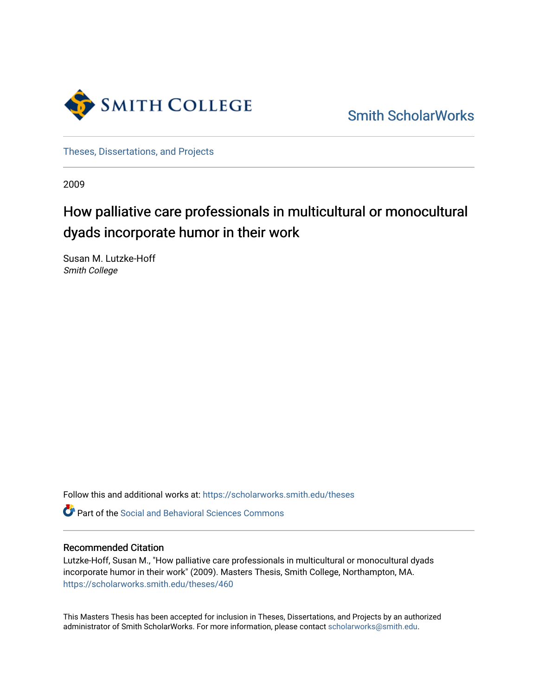

[Smith ScholarWorks](https://scholarworks.smith.edu/) 

[Theses, Dissertations, and Projects](https://scholarworks.smith.edu/theses) 

2009

# How palliative care professionals in multicultural or monocultural dyads incorporate humor in their work

Susan M. Lutzke-Hoff Smith College

Follow this and additional works at: [https://scholarworks.smith.edu/theses](https://scholarworks.smith.edu/theses?utm_source=scholarworks.smith.edu%2Ftheses%2F460&utm_medium=PDF&utm_campaign=PDFCoverPages) 

**C** Part of the Social and Behavioral Sciences Commons

#### Recommended Citation

Lutzke-Hoff, Susan M., "How palliative care professionals in multicultural or monocultural dyads incorporate humor in their work" (2009). Masters Thesis, Smith College, Northampton, MA. [https://scholarworks.smith.edu/theses/460](https://scholarworks.smith.edu/theses/460?utm_source=scholarworks.smith.edu%2Ftheses%2F460&utm_medium=PDF&utm_campaign=PDFCoverPages) 

This Masters Thesis has been accepted for inclusion in Theses, Dissertations, and Projects by an authorized administrator of Smith ScholarWorks. For more information, please contact [scholarworks@smith.edu](mailto:scholarworks@smith.edu).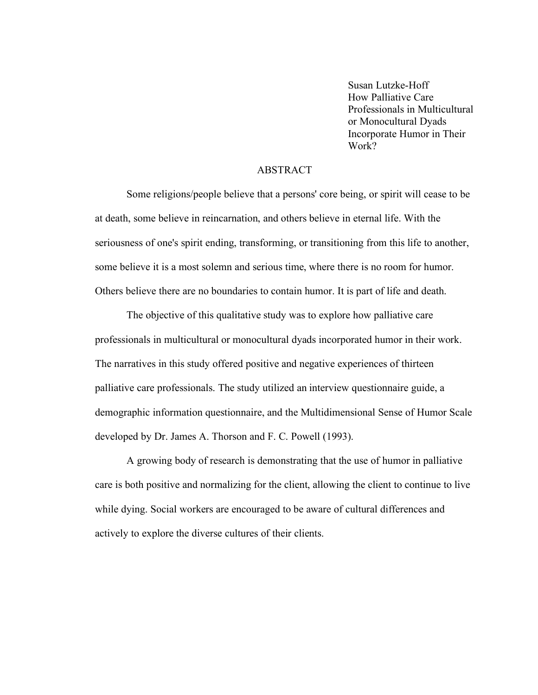Susan Lutzke-Hoff How Palliative Care Professionals in Multicultural or Monocultural Dyads Incorporate Humor in Their Work?

#### **ABSTRACT**

Some religions/people believe that a persons' core being, or spirit will cease to be at death, some believe in reincarnation, and others believe in eternal life. With the seriousness of one's spirit ending, transforming, or transitioning from this life to another, some believe it is a most solemn and serious time, where there is no room for humor. Others believe there are no boundaries to contain humor. It is part of life and death.

The objective of this qualitative study was to explore how palliative care professionals in multicultural or monocultural dyads incorporated humor in their work. The narratives in this study offered positive and negative experiences of thirteen palliative care professionals. The study utilized an interview questionnaire guide, a demographic information questionnaire, and the Multidimensional Sense of Humor Scale developed by Dr. James A. Thorson and F. C. Powell (1993).

A growing body of research is demonstrating that the use of humor in palliative care is both positive and normalizing for the client, allowing the client to continue to live while dying. Social workers are encouraged to be aware of cultural differences and actively to explore the diverse cultures of their clients.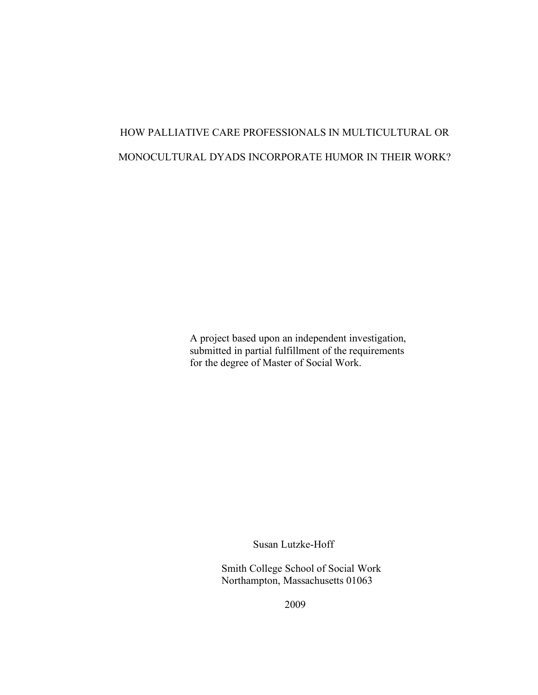# HOW PALLIATIVE CARE PROFESSIONALS IN MULTICULTURAL OR MONOCULTURAL DYADS INCORPORATE HUMOR IN THEIR WORK?

A project based upon an independent investigation, submitted in partial fulfillment of the requirements for the degree of Master of Social Work.

Susan Lutzke-Hoff

Smith College School of Social Work Northampton, Massachusetts 01063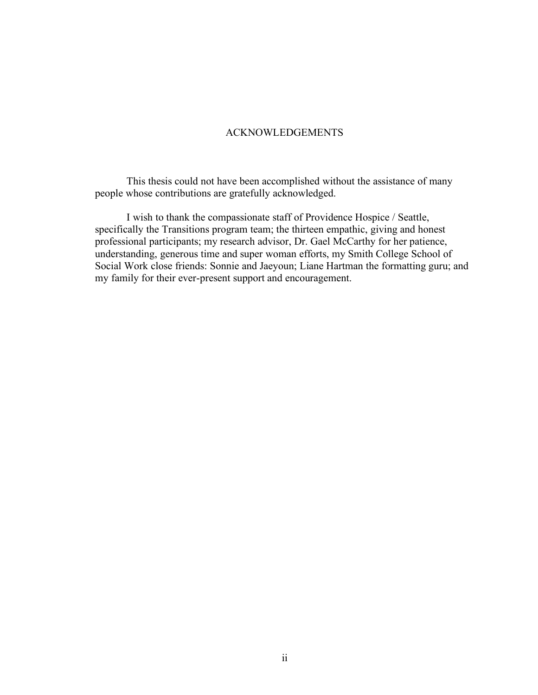#### ACKNOWLEDGEMENTS

This thesis could not have been accomplished without the assistance of many people whose contributions are gratefully acknowledged.

I wish to thank the compassionate staff of Providence Hospice / Seattle, specifically the Transitions program team; the thirteen empathic, giving and honest professional participants; my research advisor, Dr. Gael McCarthy for her patience, understanding, generous time and super woman efforts, my Smith College School of Social Work close friends: Sonnie and Jaeyoun; Liane Hartman the formatting guru; and my family for their ever-present support and encouragement.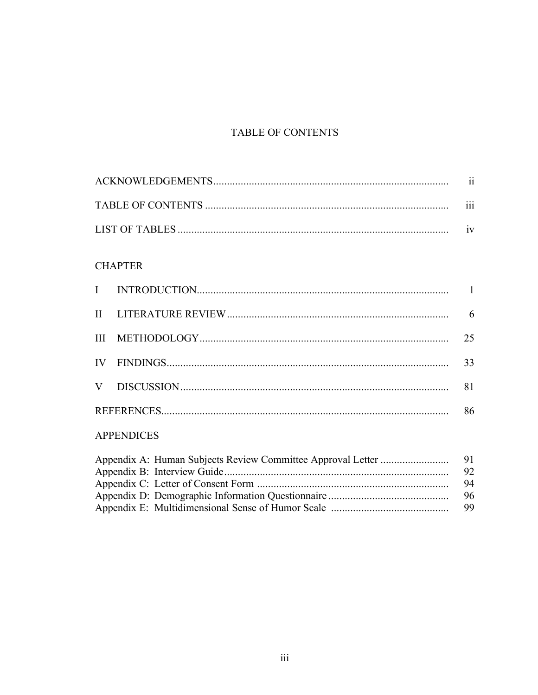## TABLE OF CONTENTS

| $\cdots$ |
|----------|
|          |

### **CHAPTER**

|  | 6  |
|--|----|
|  | 25 |
|  | 33 |
|  | 81 |
|  | 86 |

## **APPENDICES**

|  | 91. |
|--|-----|
|  | 92. |
|  | 94  |
|  | 96  |
|  | 99. |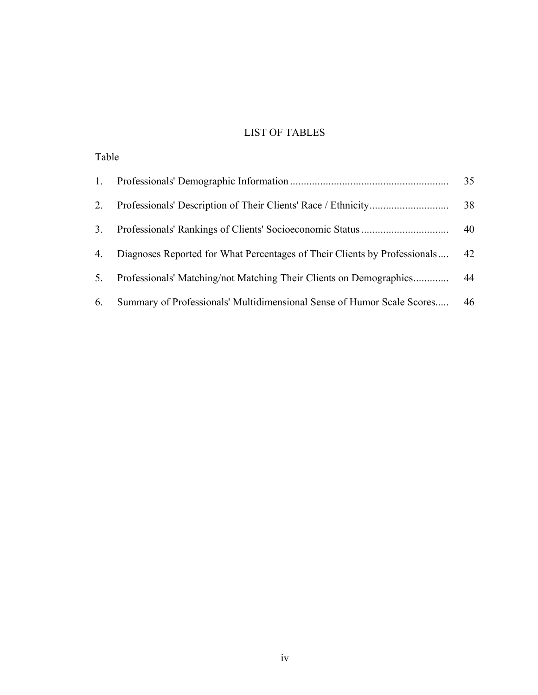## LIST OF TABLES

| Table |                                                                           |    |
|-------|---------------------------------------------------------------------------|----|
| 1.    |                                                                           | 35 |
| 2.    |                                                                           | 38 |
| 3.    |                                                                           | 40 |
| 4.    | Diagnoses Reported for What Percentages of Their Clients by Professionals | 42 |
| 5.    | Professionals' Matching/not Matching Their Clients on Demographics        | 44 |
| 6.    | Summary of Professionals' Multidimensional Sense of Humor Scale Scores    | 46 |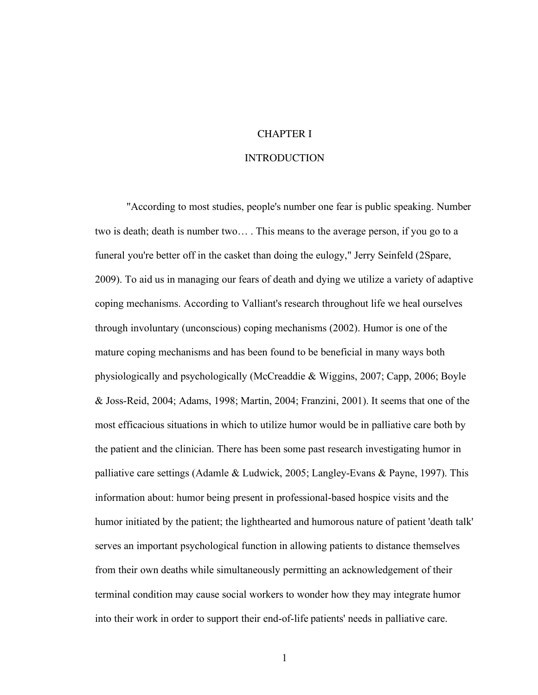#### CHAPTER I

#### **INTRODUCTION**

"According to most studies, people's number one fear is public speaking. Number two is death; death is number two… . This means to the average person, if you go to a funeral you're better off in the casket than doing the eulogy," Jerry Seinfeld (2Spare, 2009). To aid us in managing our fears of death and dying we utilize a variety of adaptive coping mechanisms. According to Valliant's research throughout life we heal ourselves through involuntary (unconscious) coping mechanisms (2002). Humor is one of the mature coping mechanisms and has been found to be beneficial in many ways both physiologically and psychologically (McCreaddie & Wiggins, 2007; Capp, 2006; Boyle & Joss-Reid, 2004; Adams, 1998; Martin, 2004; Franzini, 2001). It seems that one of the most efficacious situations in which to utilize humor would be in palliative care both by the patient and the clinician. There has been some past research investigating humor in palliative care settings (Adamle & Ludwick, 2005; Langley-Evans & Payne, 1997). This information about: humor being present in professional-based hospice visits and the humor initiated by the patient; the lighthearted and humorous nature of patient 'death talk' serves an important psychological function in allowing patients to distance themselves from their own deaths while simultaneously permitting an acknowledgement of their terminal condition may cause social workers to wonder how they may integrate humor into their work in order to support their end-of-life patients' needs in palliative care.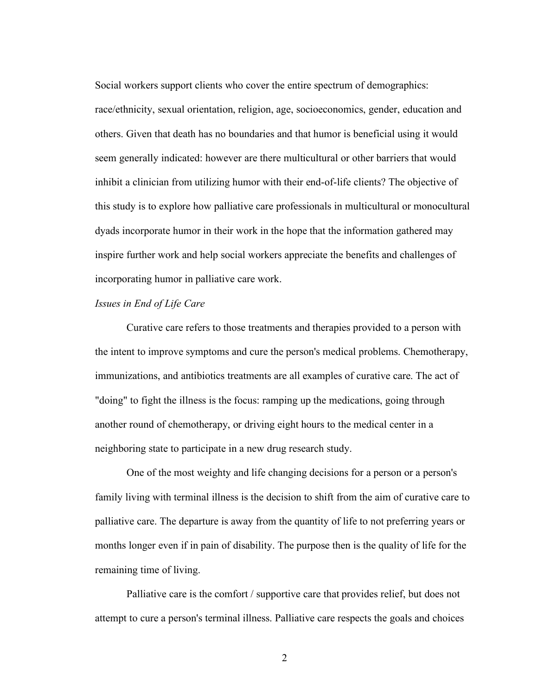Social workers support clients who cover the entire spectrum of demographics: race/ethnicity, sexual orientation, religion, age, socioeconomics, gender, education and others. Given that death has no boundaries and that humor is beneficial using it would seem generally indicated: however are there multicultural or other barriers that would inhibit a clinician from utilizing humor with their end-of-life clients? The objective of this study is to explore how palliative care professionals in multicultural or monocultural dyads incorporate humor in their work in the hope that the information gathered may inspire further work and help social workers appreciate the benefits and challenges of incorporating humor in palliative care work.

#### *Issues in End of Life Care*

Curative care refers to those treatments and therapies provided to a person with the intent to improve symptoms and cure the person's medical problems. Chemotherapy, immunizations, and antibiotics treatments are all examples of curative care. The act of "doing" to fight the illness is the focus: ramping up the medications, going through another round of chemotherapy, or driving eight hours to the medical center in a neighboring state to participate in a new drug research study.

One of the most weighty and life changing decisions for a person or a person's family living with terminal illness is the decision to shift from the aim of curative care to palliative care. The departure is away from the quantity of life to not preferring years or months longer even if in pain of disability. The purpose then is the quality of life for the remaining time of living.

Palliative care is the comfort / supportive care that provides relief, but does not attempt to cure a person's terminal illness. Palliative care respects the goals and choices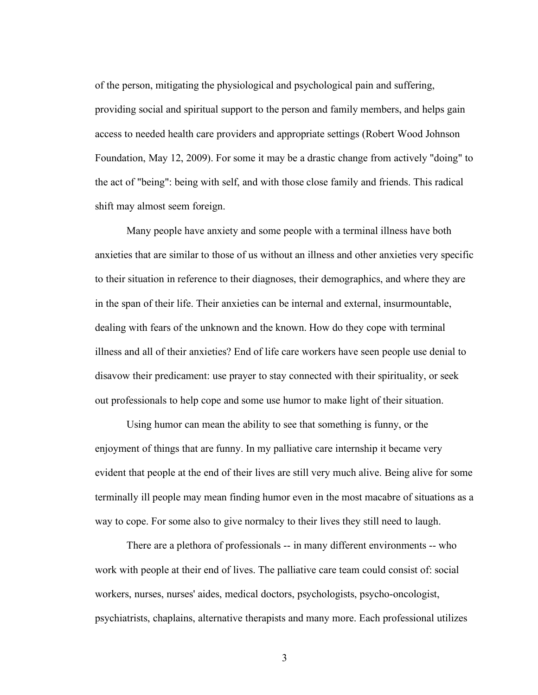of the person, mitigating the physiological and psychological pain and suffering, providing social and spiritual support to the person and family members, and helps gain access to needed health care providers and appropriate settings (Robert Wood Johnson Foundation, May 12, 2009). For some it may be a drastic change from actively "doing" to the act of "being": being with self, and with those close family and friends. This radical shift may almost seem foreign.

Many people have anxiety and some people with a terminal illness have both anxieties that are similar to those of us without an illness and other anxieties very specific to their situation in reference to their diagnoses, their demographics, and where they are in the span of their life. Their anxieties can be internal and external, insurmountable, dealing with fears of the unknown and the known. How do they cope with terminal illness and all of their anxieties? End of life care workers have seen people use denial to disavow their predicament: use prayer to stay connected with their spirituality, or seek out professionals to help cope and some use humor to make light of their situation.

Using humor can mean the ability to see that something is funny, or the enjoyment of things that are funny. In my palliative care internship it became very evident that people at the end of their lives are still very much alive. Being alive for some terminally ill people may mean finding humor even in the most macabre of situations as a way to cope. For some also to give normalcy to their lives they still need to laugh.

There are a plethora of professionals -- in many different environments -- who work with people at their end of lives. The palliative care team could consist of: social workers, nurses, nurses' aides, medical doctors, psychologists, psycho-oncologist, psychiatrists, chaplains, alternative therapists and many more. Each professional utilizes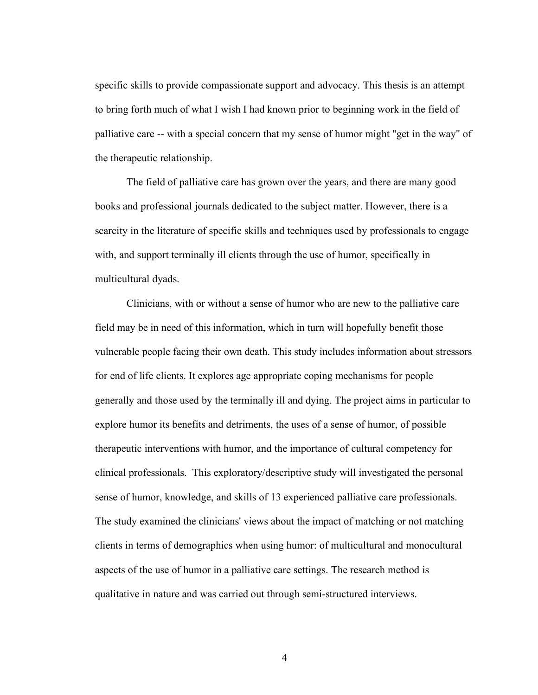specific skills to provide compassionate support and advocacy. This thesis is an attempt to bring forth much of what I wish I had known prior to beginning work in the field of palliative care -- with a special concern that my sense of humor might "get in the way" of the therapeutic relationship.

The field of palliative care has grown over the years, and there are many good books and professional journals dedicated to the subject matter. However, there is a scarcity in the literature of specific skills and techniques used by professionals to engage with, and support terminally ill clients through the use of humor, specifically in multicultural dyads.

Clinicians, with or without a sense of humor who are new to the palliative care field may be in need of this information, which in turn will hopefully benefit those vulnerable people facing their own death. This study includes information about stressors for end of life clients. It explores age appropriate coping mechanisms for people generally and those used by the terminally ill and dying. The project aims in particular to explore humor its benefits and detriments, the uses of a sense of humor, of possible therapeutic interventions with humor, and the importance of cultural competency for clinical professionals. This exploratory/descriptive study will investigated the personal sense of humor, knowledge, and skills of 13 experienced palliative care professionals. The study examined the clinicians' views about the impact of matching or not matching clients in terms of demographics when using humor: of multicultural and monocultural aspects of the use of humor in a palliative care settings. The research method is qualitative in nature and was carried out through semi-structured interviews.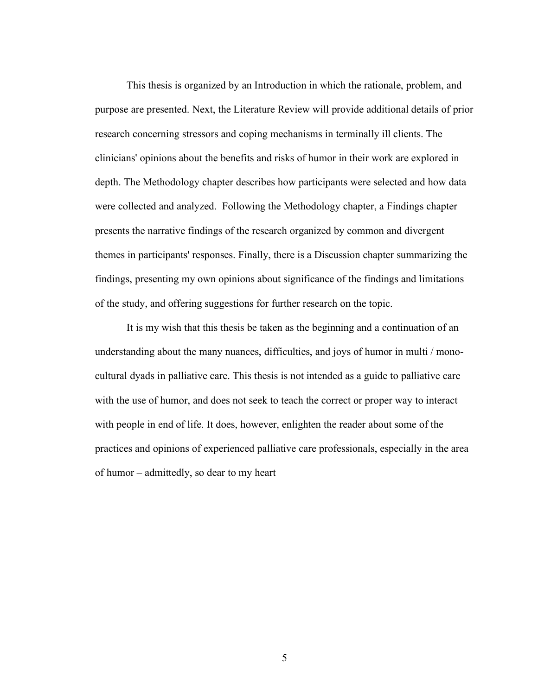This thesis is organized by an Introduction in which the rationale, problem, and purpose are presented. Next, the Literature Review will provide additional details of prior research concerning stressors and coping mechanisms in terminally ill clients. The clinicians' opinions about the benefits and risks of humor in their work are explored in depth. The Methodology chapter describes how participants were selected and how data were collected and analyzed. Following the Methodology chapter, a Findings chapter presents the narrative findings of the research organized by common and divergent themes in participants' responses. Finally, there is a Discussion chapter summarizing the findings, presenting my own opinions about significance of the findings and limitations of the study, and offering suggestions for further research on the topic.

It is my wish that this thesis be taken as the beginning and a continuation of an understanding about the many nuances, difficulties, and joys of humor in multi / monocultural dyads in palliative care. This thesis is not intended as a guide to palliative care with the use of humor, and does not seek to teach the correct or proper way to interact with people in end of life. It does, however, enlighten the reader about some of the practices and opinions of experienced palliative care professionals, especially in the area of humor – admittedly, so dear to my heart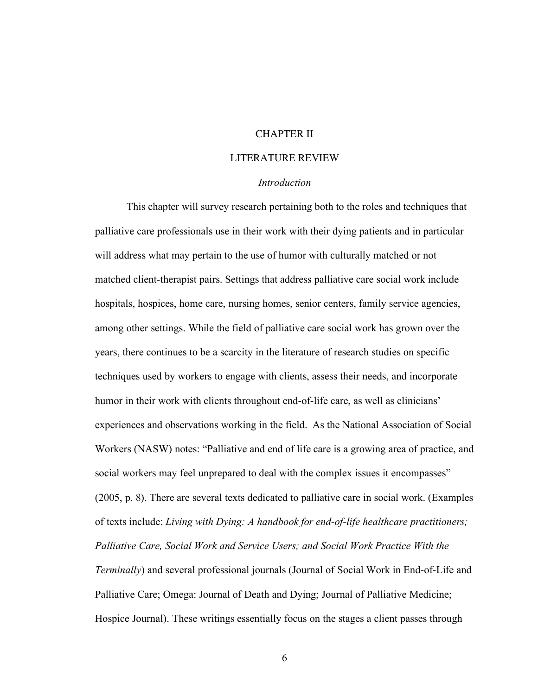#### CHAPTER II

#### LITERATURE REVIEW

#### *Introduction*

This chapter will survey research pertaining both to the roles and techniques that palliative care professionals use in their work with their dying patients and in particular will address what may pertain to the use of humor with culturally matched or not matched client-therapist pairs. Settings that address palliative care social work include hospitals, hospices, home care, nursing homes, senior centers, family service agencies, among other settings. While the field of palliative care social work has grown over the years, there continues to be a scarcity in the literature of research studies on specific techniques used by workers to engage with clients, assess their needs, and incorporate humor in their work with clients throughout end-of-life care, as well as clinicians' experiences and observations working in the field. As the National Association of Social Workers (NASW) notes: "Palliative and end of life care is a growing area of practice, and social workers may feel unprepared to deal with the complex issues it encompasses" (2005, p. 8). There are several texts dedicated to palliative care in social work. (Examples of texts include: *Living with Dying: A handbook for end-of-life healthcare practitioners; Palliative Care, Social Work and Service Users; and Social Work Practice With the Terminally*) and several professional journals (Journal of Social Work in End-of-Life and Palliative Care; Omega: Journal of Death and Dying; Journal of Palliative Medicine; Hospice Journal). These writings essentially focus on the stages a client passes through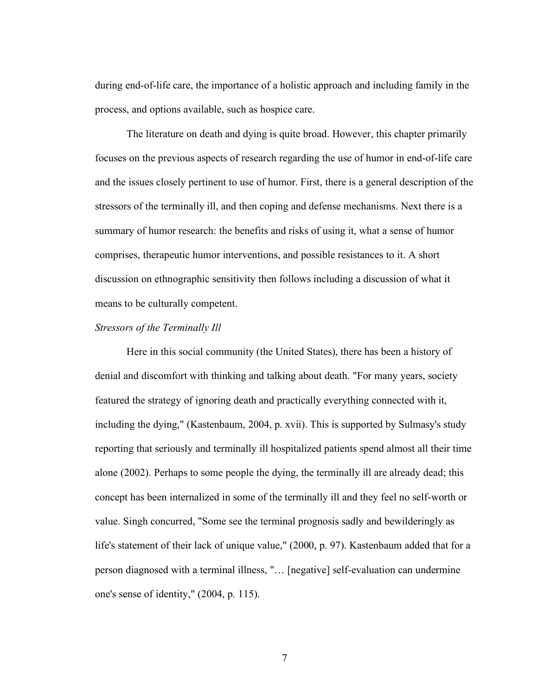during end-of-life care, the importance of a holistic approach and including family in the process, and options available, such as hospice care.

The literature on death and dying is quite broad. However, this chapter primarily focuses on the previous aspects of research regarding the use of humor in end-of-life care and the issues closely pertinent to use of humor. First, there is a general description of the stressors of the terminally ill, and then coping and defense mechanisms. Next there is a summary of humor research: the benefits and risks of using it, what a sense of humor comprises, therapeutic humor interventions, and possible resistances to it. A short discussion on ethnographic sensitivity then follows including a discussion of what it means to be culturally competent.

#### *Stressors of the Terminally Ill*

Here in this social community (the United States), there has been a history of denial and discomfort with thinking and talking about death. "For many years, society featured the strategy of ignoring death and practically everything connected with it, including the dying," (Kastenbaum, 2004, p. xvii). This is supported by Sulmasy's study reporting that seriously and terminally ill hospitalized patients spend almost all their time alone (2002). Perhaps to some people the dying, the terminally ill are already dead; this concept has been internalized in some of the terminally ill and they feel no self-worth or value. Singh concurred, "Some see the terminal prognosis sadly and bewilderingly as life's statement of their lack of unique value," (2000, p. 97). Kastenbaum added that for a person diagnosed with a terminal illness, "… [negative] self-evaluation can undermine one's sense of identity," (2004, p. 115).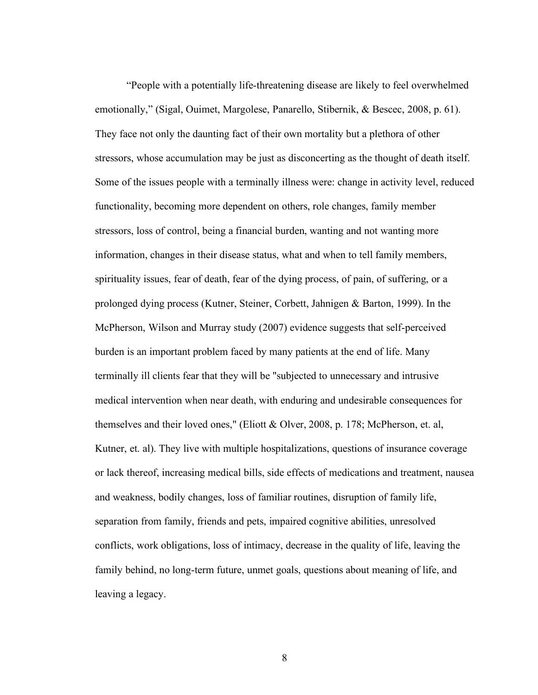"People with a potentially life-threatening disease are likely to feel overwhelmed emotionally," (Sigal, Ouimet, Margolese, Panarello, Stibernik, & Bescec, 2008, p. 61). They face not only the daunting fact of their own mortality but a plethora of other stressors, whose accumulation may be just as disconcerting as the thought of death itself. Some of the issues people with a terminally illness were: change in activity level, reduced functionality, becoming more dependent on others, role changes, family member stressors, loss of control, being a financial burden, wanting and not wanting more information, changes in their disease status, what and when to tell family members, spirituality issues, fear of death, fear of the dying process, of pain, of suffering, or a prolonged dying process (Kutner, Steiner, Corbett, Jahnigen & Barton, 1999). In the McPherson, Wilson and Murray study (2007) evidence suggests that self-perceived burden is an important problem faced by many patients at the end of life. Many terminally ill clients fear that they will be "subjected to unnecessary and intrusive medical intervention when near death, with enduring and undesirable consequences for themselves and their loved ones," (Eliott & Olver, 2008, p. 178; McPherson, et. al, Kutner, et. al). They live with multiple hospitalizations, questions of insurance coverage or lack thereof, increasing medical bills, side effects of medications and treatment, nausea and weakness, bodily changes, loss of familiar routines, disruption of family life, separation from family, friends and pets, impaired cognitive abilities, unresolved conflicts, work obligations, loss of intimacy, decrease in the quality of life, leaving the family behind, no long-term future, unmet goals, questions about meaning of life, and leaving a legacy.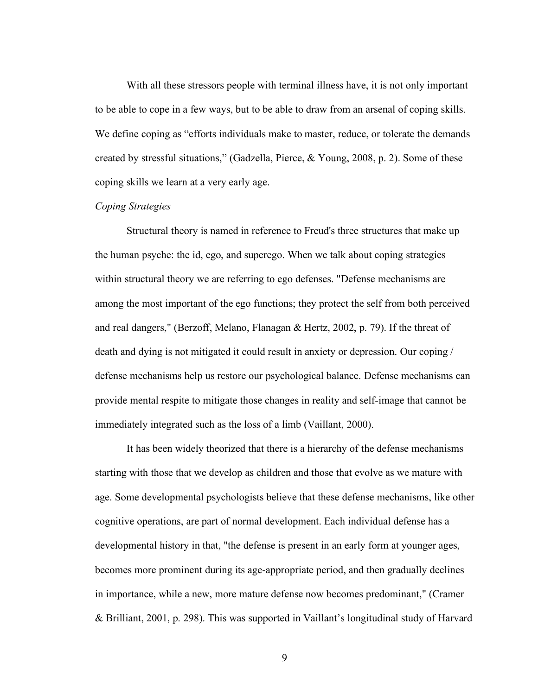With all these stressors people with terminal illness have, it is not only important to be able to cope in a few ways, but to be able to draw from an arsenal of coping skills. We define coping as "efforts individuals make to master, reduce, or tolerate the demands created by stressful situations," (Gadzella, Pierce, & Young, 2008, p. 2). Some of these coping skills we learn at a very early age.

#### *Coping Strategies*

Structural theory is named in reference to Freud's three structures that make up the human psyche: the id, ego, and superego. When we talk about coping strategies within structural theory we are referring to ego defenses. "Defense mechanisms are among the most important of the ego functions; they protect the self from both perceived and real dangers," (Berzoff, Melano, Flanagan & Hertz, 2002, p. 79). If the threat of death and dying is not mitigated it could result in anxiety or depression. Our coping / defense mechanisms help us restore our psychological balance. Defense mechanisms can provide mental respite to mitigate those changes in reality and self-image that cannot be immediately integrated such as the loss of a limb (Vaillant, 2000).

It has been widely theorized that there is a hierarchy of the defense mechanisms starting with those that we develop as children and those that evolve as we mature with age. Some developmental psychologists believe that these defense mechanisms, like other cognitive operations, are part of normal development. Each individual defense has a developmental history in that, "the defense is present in an early form at younger ages, becomes more prominent during its age-appropriate period, and then gradually declines in importance, while a new, more mature defense now becomes predominant," (Cramer & Brilliant, 2001, p. 298). This was supported in Vaillant's longitudinal study of Harvard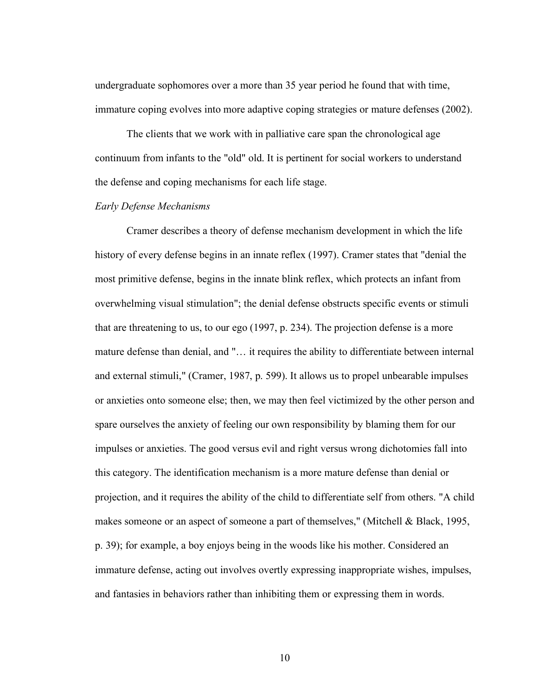undergraduate sophomores over a more than 35 year period he found that with time, immature coping evolves into more adaptive coping strategies or mature defenses (2002).

The clients that we work with in palliative care span the chronological age continuum from infants to the "old" old. It is pertinent for social workers to understand the defense and coping mechanisms for each life stage.

#### *Early Defense Mechanisms*

Cramer describes a theory of defense mechanism development in which the life history of every defense begins in an innate reflex (1997). Cramer states that "denial the most primitive defense, begins in the innate blink reflex, which protects an infant from overwhelming visual stimulation"; the denial defense obstructs specific events or stimuli that are threatening to us, to our ego (1997, p. 234). The projection defense is a more mature defense than denial, and "… it requires the ability to differentiate between internal and external stimuli," (Cramer, 1987, p. 599). It allows us to propel unbearable impulses or anxieties onto someone else; then, we may then feel victimized by the other person and spare ourselves the anxiety of feeling our own responsibility by blaming them for our impulses or anxieties. The good versus evil and right versus wrong dichotomies fall into this category. The identification mechanism is a more mature defense than denial or projection, and it requires the ability of the child to differentiate self from others. "A child makes someone or an aspect of someone a part of themselves," (Mitchell & Black, 1995, p. 39); for example, a boy enjoys being in the woods like his mother. Considered an immature defense, acting out involves overtly expressing inappropriate wishes, impulses, and fantasies in behaviors rather than inhibiting them or expressing them in words.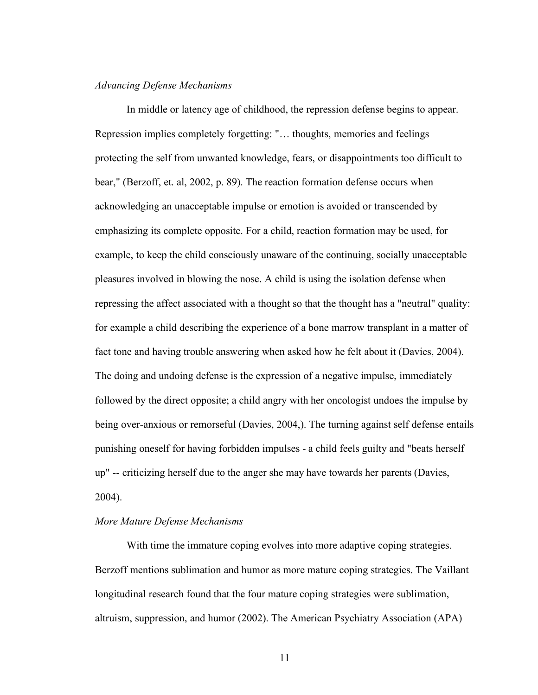#### *Advancing Defense Mechanisms*

In middle or latency age of childhood, the repression defense begins to appear. Repression implies completely forgetting: "… thoughts, memories and feelings protecting the self from unwanted knowledge, fears, or disappointments too difficult to bear," (Berzoff, et. al, 2002, p. 89). The reaction formation defense occurs when acknowledging an unacceptable impulse or emotion is avoided or transcended by emphasizing its complete opposite. For a child, reaction formation may be used, for example, to keep the child consciously unaware of the continuing, socially unacceptable pleasures involved in blowing the nose. A child is using the isolation defense when repressing the affect associated with a thought so that the thought has a "neutral" quality: for example a child describing the experience of a bone marrow transplant in a matter of fact tone and having trouble answering when asked how he felt about it (Davies, 2004). The doing and undoing defense is the expression of a negative impulse, immediately followed by the direct opposite; a child angry with her oncologist undoes the impulse by being over-anxious or remorseful (Davies, 2004,). The turning against self defense entails punishing oneself for having forbidden impulses - a child feels guilty and "beats herself up" -- criticizing herself due to the anger she may have towards her parents (Davies, 2004).

#### *More Mature Defense Mechanisms*

With time the immature coping evolves into more adaptive coping strategies. Berzoff mentions sublimation and humor as more mature coping strategies. The Vaillant longitudinal research found that the four mature coping strategies were sublimation, altruism, suppression, and humor (2002). The American Psychiatry Association (APA)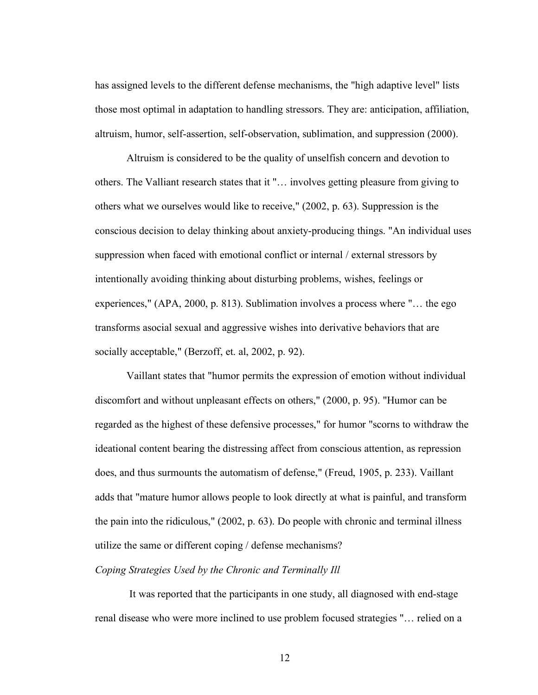has assigned levels to the different defense mechanisms, the "high adaptive level" lists those most optimal in adaptation to handling stressors. They are: anticipation, affiliation, altruism, humor, self-assertion, self-observation, sublimation, and suppression (2000).

Altruism is considered to be the quality of unselfish concern and devotion to others. The Valliant research states that it "… involves getting pleasure from giving to others what we ourselves would like to receive," (2002, p. 63). Suppression is the conscious decision to delay thinking about anxiety-producing things. "An individual uses suppression when faced with emotional conflict or internal / external stressors by intentionally avoiding thinking about disturbing problems, wishes, feelings or experiences," (APA, 2000, p. 813). Sublimation involves a process where "… the ego transforms asocial sexual and aggressive wishes into derivative behaviors that are socially acceptable," (Berzoff, et. al, 2002, p. 92).

Vaillant states that "humor permits the expression of emotion without individual discomfort and without unpleasant effects on others," (2000, p. 95). "Humor can be regarded as the highest of these defensive processes," for humor "scorns to withdraw the ideational content bearing the distressing affect from conscious attention, as repression does, and thus surmounts the automatism of defense," (Freud, 1905, p. 233). Vaillant adds that "mature humor allows people to look directly at what is painful, and transform the pain into the ridiculous," (2002, p. 63). Do people with chronic and terminal illness utilize the same or different coping / defense mechanisms?

#### *Coping Strategies Used by the Chronic and Terminally Ill*

It was reported that the participants in one study, all diagnosed with end-stage renal disease who were more inclined to use problem focused strategies "… relied on a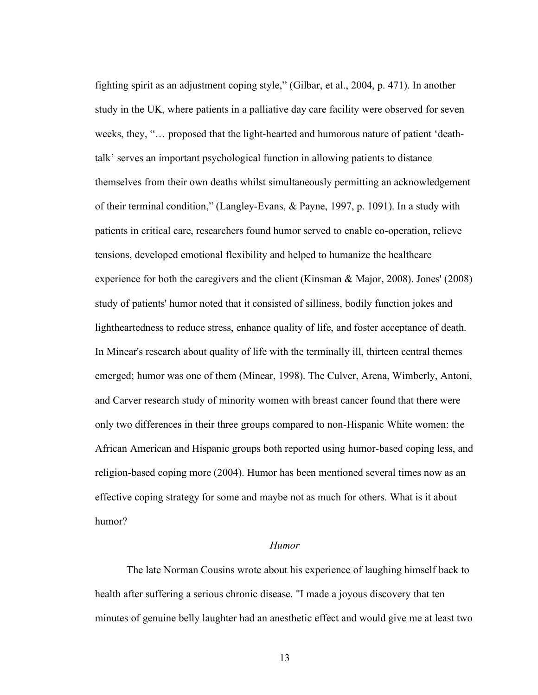fighting spirit as an adjustment coping style," (Gilbar, et al., 2004, p. 471). In another study in the UK, where patients in a palliative day care facility were observed for seven weeks, they, "… proposed that the light-hearted and humorous nature of patient 'deathtalk' serves an important psychological function in allowing patients to distance themselves from their own deaths whilst simultaneously permitting an acknowledgement of their terminal condition," (Langley-Evans, & Payne, 1997, p. 1091). In a study with patients in critical care, researchers found humor served to enable co-operation, relieve tensions, developed emotional flexibility and helped to humanize the healthcare experience for both the caregivers and the client (Kinsman & Major, 2008). Jones' (2008) study of patients' humor noted that it consisted of silliness, bodily function jokes and lightheartedness to reduce stress, enhance quality of life, and foster acceptance of death. In Minear's research about quality of life with the terminally ill, thirteen central themes emerged; humor was one of them (Minear, 1998). The Culver, Arena, Wimberly, Antoni, and Carver research study of minority women with breast cancer found that there were only two differences in their three groups compared to non-Hispanic White women: the African American and Hispanic groups both reported using humor-based coping less, and religion-based coping more (2004). Humor has been mentioned several times now as an effective coping strategy for some and maybe not as much for others. What is it about humor?

#### *Humor*

The late Norman Cousins wrote about his experience of laughing himself back to health after suffering a serious chronic disease. "I made a joyous discovery that ten minutes of genuine belly laughter had an anesthetic effect and would give me at least two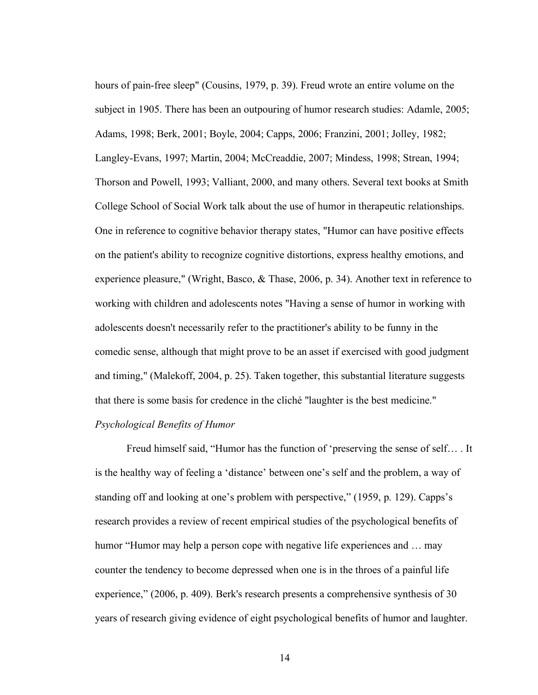hours of pain-free sleep" (Cousins, 1979, p. 39). Freud wrote an entire volume on the subject in 1905. There has been an outpouring of humor research studies: Adamle, 2005; Adams, 1998; Berk, 2001; Boyle, 2004; Capps, 2006; Franzini, 2001; Jolley, 1982; Langley-Evans, 1997; Martin, 2004; McCreaddie, 2007; Mindess, 1998; Strean, 1994; Thorson and Powell, 1993; Valliant, 2000, and many others. Several text books at Smith College School of Social Work talk about the use of humor in therapeutic relationships. One in reference to cognitive behavior therapy states, "Humor can have positive effects on the patient's ability to recognize cognitive distortions, express healthy emotions, and experience pleasure," (Wright, Basco, & Thase, 2006, p. 34). Another text in reference to working with children and adolescents notes "Having a sense of humor in working with adolescents doesn't necessarily refer to the practitioner's ability to be funny in the comedic sense, although that might prove to be an asset if exercised with good judgment and timing," (Malekoff, 2004, p. 25). Taken together, this substantial literature suggests that there is some basis for credence in the cliché "laughter is the best medicine."

#### *Psychological Benefits of Humor*

Freud himself said, "Humor has the function of 'preserving the sense of self… . It is the healthy way of feeling a 'distance' between one's self and the problem, a way of standing off and looking at one's problem with perspective," (1959, p. 129). Capps's research provides a review of recent empirical studies of the psychological benefits of humor "Humor may help a person cope with negative life experiences and ... may counter the tendency to become depressed when one is in the throes of a painful life experience," (2006, p. 409). Berk's research presents a comprehensive synthesis of 30 years of research giving evidence of eight psychological benefits of humor and laughter.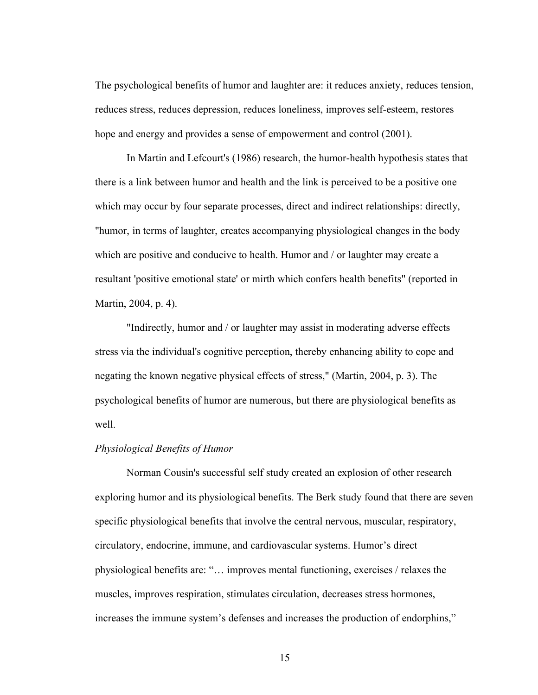The psychological benefits of humor and laughter are: it reduces anxiety, reduces tension, reduces stress, reduces depression, reduces loneliness, improves self-esteem, restores hope and energy and provides a sense of empowerment and control (2001).

In Martin and Lefcourt's (1986) research, the humor-health hypothesis states that there is a link between humor and health and the link is perceived to be a positive one which may occur by four separate processes, direct and indirect relationships: directly, "humor, in terms of laughter, creates accompanying physiological changes in the body which are positive and conducive to health. Humor and / or laughter may create a resultant 'positive emotional state' or mirth which confers health benefits" (reported in Martin, 2004, p. 4).

"Indirectly, humor and / or laughter may assist in moderating adverse effects stress via the individual's cognitive perception, thereby enhancing ability to cope and negating the known negative physical effects of stress," (Martin, 2004, p. 3). The psychological benefits of humor are numerous, but there are physiological benefits as well.

#### *Physiological Benefits of Humor*

Norman Cousin's successful self study created an explosion of other research exploring humor and its physiological benefits. The Berk study found that there are seven specific physiological benefits that involve the central nervous, muscular, respiratory, circulatory, endocrine, immune, and cardiovascular systems. Humor's direct physiological benefits are: "… improves mental functioning, exercises / relaxes the muscles, improves respiration, stimulates circulation, decreases stress hormones, increases the immune system's defenses and increases the production of endorphins,"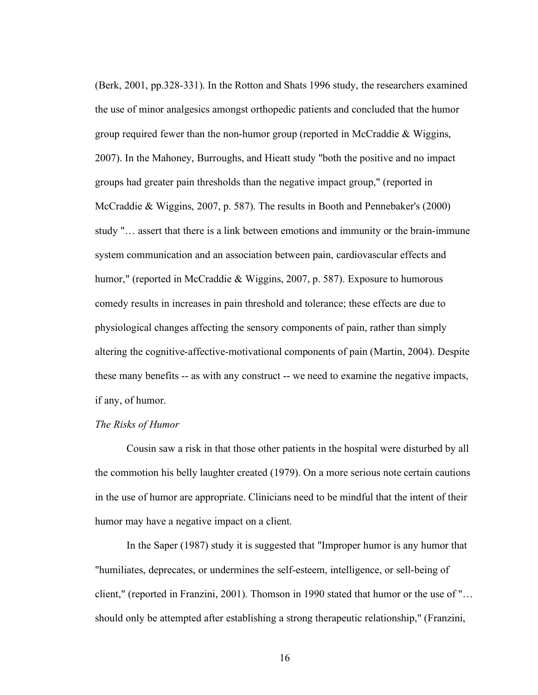(Berk, 2001, pp.328-331). In the Rotton and Shats 1996 study, the researchers examined the use of minor analgesics amongst orthopedic patients and concluded that the humor group required fewer than the non-humor group (reported in McCraddie & Wiggins, 2007). In the Mahoney, Burroughs, and Hieatt study "both the positive and no impact groups had greater pain thresholds than the negative impact group," (reported in McCraddie & Wiggins, 2007, p. 587). The results in Booth and Pennebaker's (2000) study "… assert that there is a link between emotions and immunity or the brain-immune system communication and an association between pain, cardiovascular effects and humor," (reported in McCraddie & Wiggins, 2007, p. 587). Exposure to humorous comedy results in increases in pain threshold and tolerance; these effects are due to physiological changes affecting the sensory components of pain, rather than simply altering the cognitive-affective-motivational components of pain (Martin, 2004). Despite these many benefits -- as with any construct -- we need to examine the negative impacts, if any, of humor.

#### *The Risks of Humor*

Cousin saw a risk in that those other patients in the hospital were disturbed by all the commotion his belly laughter created (1979). On a more serious note certain cautions in the use of humor are appropriate. Clinicians need to be mindful that the intent of their humor may have a negative impact on a client.

In the Saper (1987) study it is suggested that "Improper humor is any humor that "humiliates, deprecates, or undermines the self-esteem, intelligence, or sell-being of client," (reported in Franzini, 2001). Thomson in 1990 stated that humor or the use of "… should only be attempted after establishing a strong therapeutic relationship," (Franzini,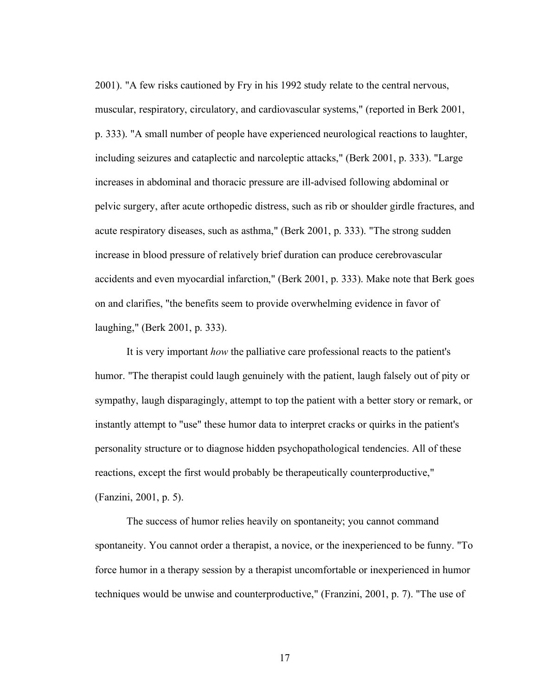2001). "A few risks cautioned by Fry in his 1992 study relate to the central nervous, muscular, respiratory, circulatory, and cardiovascular systems," (reported in Berk 2001, p. 333). "A small number of people have experienced neurological reactions to laughter, including seizures and cataplectic and narcoleptic attacks," (Berk 2001, p. 333). "Large increases in abdominal and thoracic pressure are ill-advised following abdominal or pelvic surgery, after acute orthopedic distress, such as rib or shoulder girdle fractures, and acute respiratory diseases, such as asthma," (Berk 2001, p. 333). "The strong sudden increase in blood pressure of relatively brief duration can produce cerebrovascular accidents and even myocardial infarction," (Berk 2001, p. 333). Make note that Berk goes on and clarifies, "the benefits seem to provide overwhelming evidence in favor of laughing," (Berk 2001, p. 333).

It is very important *how* the palliative care professional reacts to the patient's humor. "The therapist could laugh genuinely with the patient, laugh falsely out of pity or sympathy, laugh disparagingly, attempt to top the patient with a better story or remark, or instantly attempt to "use" these humor data to interpret cracks or quirks in the patient's personality structure or to diagnose hidden psychopathological tendencies. All of these reactions, except the first would probably be therapeutically counterproductive," (Fanzini, 2001, p. 5).

The success of humor relies heavily on spontaneity; you cannot command spontaneity. You cannot order a therapist, a novice, or the inexperienced to be funny. "To force humor in a therapy session by a therapist uncomfortable or inexperienced in humor techniques would be unwise and counterproductive," (Franzini, 2001, p. 7). "The use of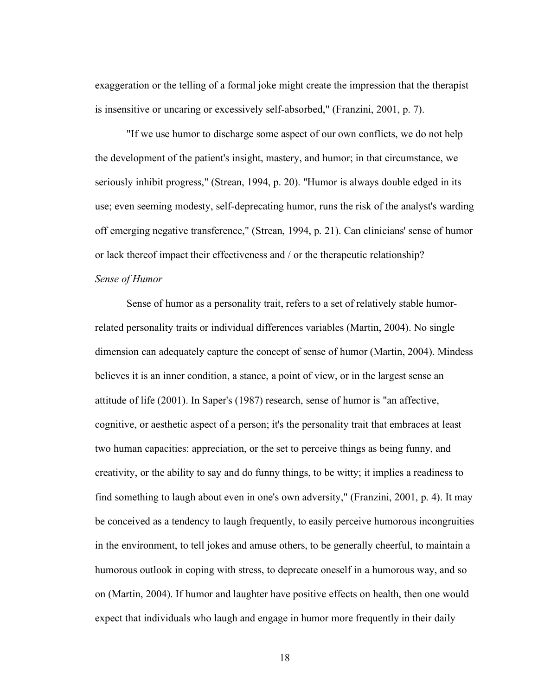exaggeration or the telling of a formal joke might create the impression that the therapist is insensitive or uncaring or excessively self-absorbed," (Franzini, 2001, p. 7).

"If we use humor to discharge some aspect of our own conflicts, we do not help the development of the patient's insight, mastery, and humor; in that circumstance, we seriously inhibit progress," (Strean, 1994, p. 20). "Humor is always double edged in its use; even seeming modesty, self-deprecating humor, runs the risk of the analyst's warding off emerging negative transference," (Strean, 1994, p. 21). Can clinicians' sense of humor or lack thereof impact their effectiveness and / or the therapeutic relationship? *Sense of Humor*

# Sense of humor as a personality trait, refers to a set of relatively stable humorrelated personality traits or individual differences variables (Martin, 2004). No single dimension can adequately capture the concept of sense of humor (Martin, 2004). Mindess believes it is an inner condition, a stance, a point of view, or in the largest sense an attitude of life (2001). In Saper's (1987) research, sense of humor is "an affective, cognitive, or aesthetic aspect of a person; it's the personality trait that embraces at least two human capacities: appreciation, or the set to perceive things as being funny, and creativity, or the ability to say and do funny things, to be witty; it implies a readiness to find something to laugh about even in one's own adversity," (Franzini, 2001, p. 4). It may be conceived as a tendency to laugh frequently, to easily perceive humorous incongruities in the environment, to tell jokes and amuse others, to be generally cheerful, to maintain a humorous outlook in coping with stress, to deprecate oneself in a humorous way, and so on (Martin, 2004). If humor and laughter have positive effects on health, then one would expect that individuals who laugh and engage in humor more frequently in their daily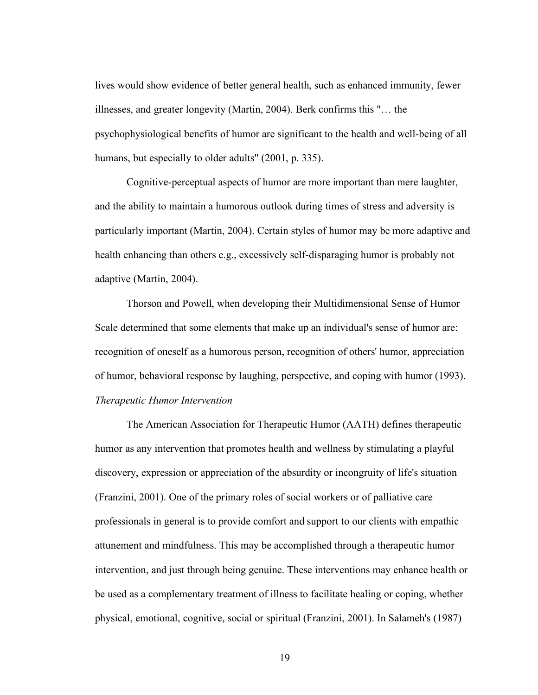lives would show evidence of better general health, such as enhanced immunity, fewer illnesses, and greater longevity (Martin, 2004). Berk confirms this "… the psychophysiological benefits of humor are significant to the health and well-being of all humans, but especially to older adults" (2001, p. 335).

Cognitive-perceptual aspects of humor are more important than mere laughter, and the ability to maintain a humorous outlook during times of stress and adversity is particularly important (Martin, 2004). Certain styles of humor may be more adaptive and health enhancing than others e.g., excessively self-disparaging humor is probably not adaptive (Martin, 2004).

Thorson and Powell, when developing their Multidimensional Sense of Humor Scale determined that some elements that make up an individual's sense of humor are: recognition of oneself as a humorous person, recognition of others' humor, appreciation of humor, behavioral response by laughing, perspective, and coping with humor (1993). *Therapeutic Humor Intervention*

The American Association for Therapeutic Humor (AATH) defines therapeutic humor as any intervention that promotes health and wellness by stimulating a playful discovery, expression or appreciation of the absurdity or incongruity of life's situation (Franzini, 2001). One of the primary roles of social workers or of palliative care professionals in general is to provide comfort and support to our clients with empathic attunement and mindfulness. This may be accomplished through a therapeutic humor intervention, and just through being genuine. These interventions may enhance health or be used as a complementary treatment of illness to facilitate healing or coping, whether physical, emotional, cognitive, social or spiritual (Franzini, 2001). In Salameh's (1987)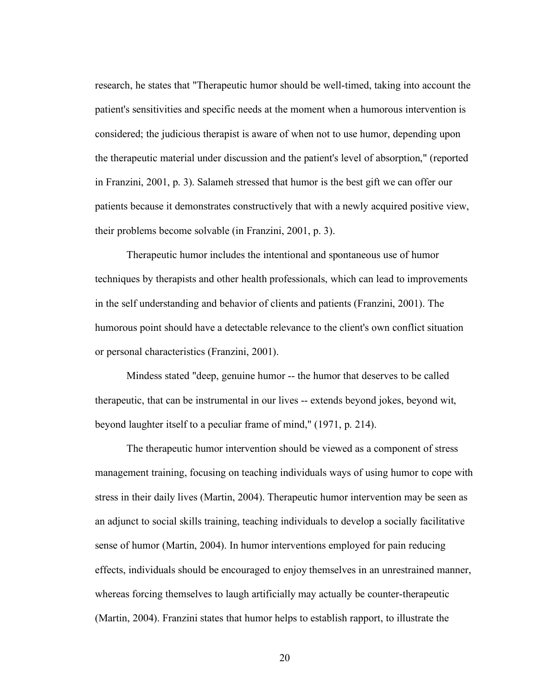research, he states that "Therapeutic humor should be well-timed, taking into account the patient's sensitivities and specific needs at the moment when a humorous intervention is considered; the judicious therapist is aware of when not to use humor, depending upon the therapeutic material under discussion and the patient's level of absorption," (reported in Franzini, 2001, p. 3). Salameh stressed that humor is the best gift we can offer our patients because it demonstrates constructively that with a newly acquired positive view, their problems become solvable (in Franzini, 2001, p. 3).

Therapeutic humor includes the intentional and spontaneous use of humor techniques by therapists and other health professionals, which can lead to improvements in the self understanding and behavior of clients and patients (Franzini, 2001). The humorous point should have a detectable relevance to the client's own conflict situation or personal characteristics (Franzini, 2001).

Mindess stated "deep, genuine humor -- the humor that deserves to be called therapeutic, that can be instrumental in our lives -- extends beyond jokes, beyond wit, beyond laughter itself to a peculiar frame of mind," (1971, p. 214).

The therapeutic humor intervention should be viewed as a component of stress management training, focusing on teaching individuals ways of using humor to cope with stress in their daily lives (Martin, 2004). Therapeutic humor intervention may be seen as an adjunct to social skills training, teaching individuals to develop a socially facilitative sense of humor (Martin, 2004). In humor interventions employed for pain reducing effects, individuals should be encouraged to enjoy themselves in an unrestrained manner, whereas forcing themselves to laugh artificially may actually be counter-therapeutic (Martin, 2004). Franzini states that humor helps to establish rapport, to illustrate the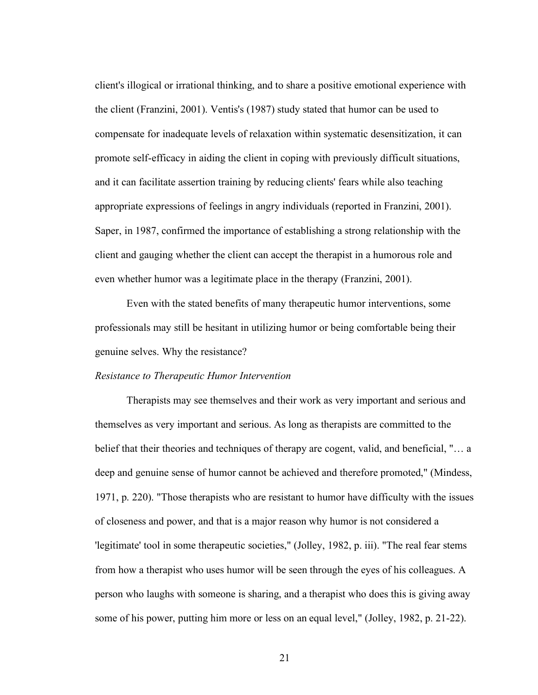client's illogical or irrational thinking, and to share a positive emotional experience with the client (Franzini, 2001). Ventis's (1987) study stated that humor can be used to compensate for inadequate levels of relaxation within systematic desensitization, it can promote self-efficacy in aiding the client in coping with previously difficult situations, and it can facilitate assertion training by reducing clients' fears while also teaching appropriate expressions of feelings in angry individuals (reported in Franzini, 2001). Saper, in 1987, confirmed the importance of establishing a strong relationship with the client and gauging whether the client can accept the therapist in a humorous role and even whether humor was a legitimate place in the therapy (Franzini, 2001).

Even with the stated benefits of many therapeutic humor interventions, some professionals may still be hesitant in utilizing humor or being comfortable being their genuine selves. Why the resistance?

#### *Resistance to Therapeutic Humor Intervention*

Therapists may see themselves and their work as very important and serious and themselves as very important and serious. As long as therapists are committed to the belief that their theories and techniques of therapy are cogent, valid, and beneficial, "… a deep and genuine sense of humor cannot be achieved and therefore promoted," (Mindess, 1971, p. 220). "Those therapists who are resistant to humor have difficulty with the issues of closeness and power, and that is a major reason why humor is not considered a 'legitimate' tool in some therapeutic societies," (Jolley, 1982, p. iii). "The real fear stems from how a therapist who uses humor will be seen through the eyes of his colleagues. A person who laughs with someone is sharing, and a therapist who does this is giving away some of his power, putting him more or less on an equal level," (Jolley, 1982, p. 21-22).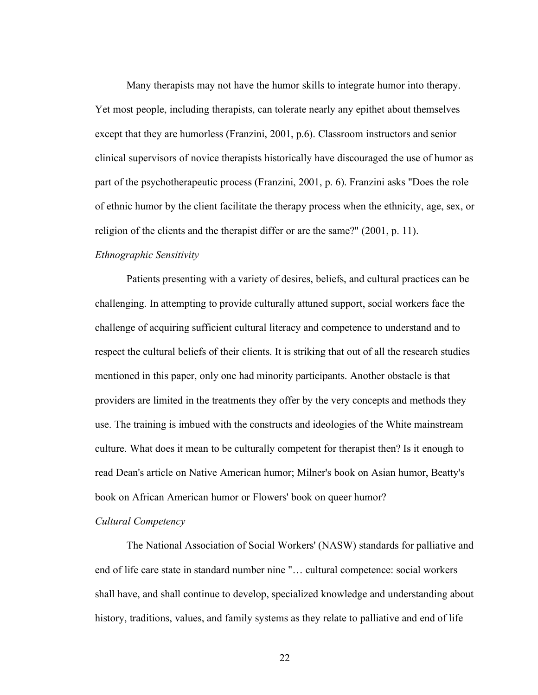Many therapists may not have the humor skills to integrate humor into therapy. Yet most people, including therapists, can tolerate nearly any epithet about themselves except that they are humorless (Franzini, 2001, p.6). Classroom instructors and senior clinical supervisors of novice therapists historically have discouraged the use of humor as part of the psychotherapeutic process (Franzini, 2001, p. 6). Franzini asks "Does the role of ethnic humor by the client facilitate the therapy process when the ethnicity, age, sex, or religion of the clients and the therapist differ or are the same?" (2001, p. 11).

#### *Ethnographic Sensitivity*

Patients presenting with a variety of desires, beliefs, and cultural practices can be challenging. In attempting to provide culturally attuned support, social workers face the challenge of acquiring sufficient cultural literacy and competence to understand and to respect the cultural beliefs of their clients. It is striking that out of all the research studies mentioned in this paper, only one had minority participants. Another obstacle is that providers are limited in the treatments they offer by the very concepts and methods they use. The training is imbued with the constructs and ideologies of the White mainstream culture. What does it mean to be culturally competent for therapist then? Is it enough to read Dean's article on Native American humor; Milner's book on Asian humor, Beatty's book on African American humor or Flowers' book on queer humor?

#### *Cultural Competency*

The National Association of Social Workers' (NASW) standards for palliative and end of life care state in standard number nine "… cultural competence: social workers shall have, and shall continue to develop, specialized knowledge and understanding about history, traditions, values, and family systems as they relate to palliative and end of life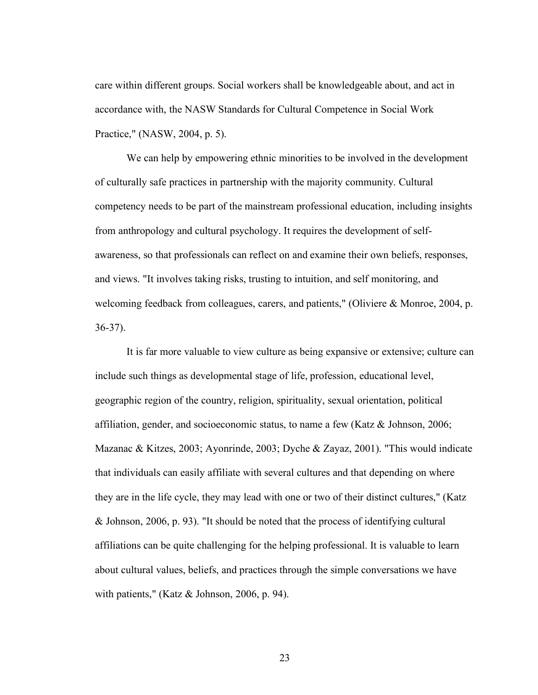care within different groups. Social workers shall be knowledgeable about, and act in accordance with, the NASW Standards for Cultural Competence in Social Work Practice," (NASW, 2004, p. 5).

We can help by empowering ethnic minorities to be involved in the development of culturally safe practices in partnership with the majority community. Cultural competency needs to be part of the mainstream professional education, including insights from anthropology and cultural psychology. It requires the development of selfawareness, so that professionals can reflect on and examine their own beliefs, responses, and views. "It involves taking risks, trusting to intuition, and self monitoring, and welcoming feedback from colleagues, carers, and patients," (Oliviere & Monroe, 2004, p. 36-37).

It is far more valuable to view culture as being expansive or extensive; culture can include such things as developmental stage of life, profession, educational level, geographic region of the country, religion, spirituality, sexual orientation, political affiliation, gender, and socioeconomic status, to name a few (Katz & Johnson, 2006; Mazanac & Kitzes, 2003; Ayonrinde, 2003; Dyche & Zayaz, 2001). "This would indicate that individuals can easily affiliate with several cultures and that depending on where they are in the life cycle, they may lead with one or two of their distinct cultures," (Katz & Johnson, 2006, p. 93). "It should be noted that the process of identifying cultural affiliations can be quite challenging for the helping professional. It is valuable to learn about cultural values, beliefs, and practices through the simple conversations we have with patients," (Katz & Johnson, 2006, p. 94).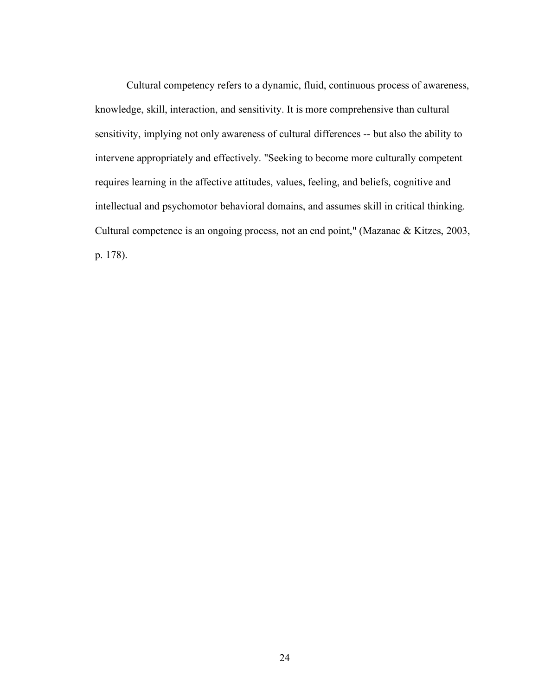Cultural competency refers to a dynamic, fluid, continuous process of awareness, knowledge, skill, interaction, and sensitivity. It is more comprehensive than cultural sensitivity, implying not only awareness of cultural differences -- but also the ability to intervene appropriately and effectively. "Seeking to become more culturally competent requires learning in the affective attitudes, values, feeling, and beliefs, cognitive and intellectual and psychomotor behavioral domains, and assumes skill in critical thinking. Cultural competence is an ongoing process, not an end point," (Mazanac & Kitzes, 2003, p. 178).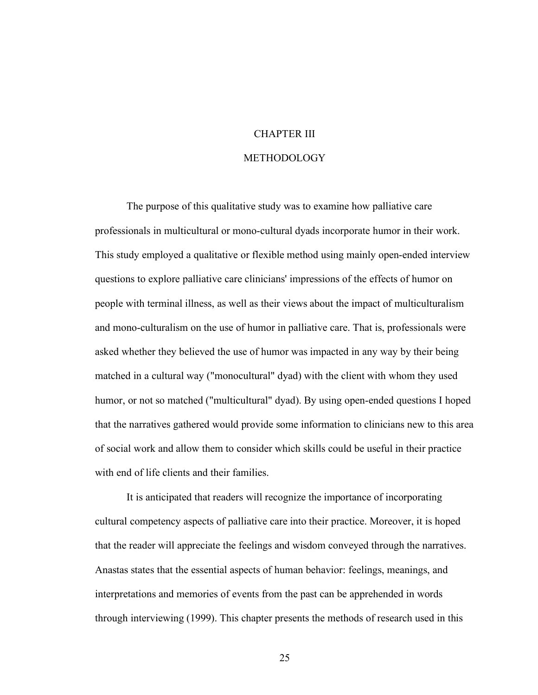## CHAPTER III

#### METHODOLOGY

The purpose of this qualitative study was to examine how palliative care professionals in multicultural or mono-cultural dyads incorporate humor in their work. This study employed a qualitative or flexible method using mainly open-ended interview questions to explore palliative care clinicians' impressions of the effects of humor on people with terminal illness, as well as their views about the impact of multiculturalism and mono-culturalism on the use of humor in palliative care. That is, professionals were asked whether they believed the use of humor was impacted in any way by their being matched in a cultural way ("monocultural" dyad) with the client with whom they used humor, or not so matched ("multicultural" dyad). By using open-ended questions I hoped that the narratives gathered would provide some information to clinicians new to this area of social work and allow them to consider which skills could be useful in their practice with end of life clients and their families.

It is anticipated that readers will recognize the importance of incorporating cultural competency aspects of palliative care into their practice. Moreover, it is hoped that the reader will appreciate the feelings and wisdom conveyed through the narratives. Anastas states that the essential aspects of human behavior: feelings, meanings, and interpretations and memories of events from the past can be apprehended in words through interviewing (1999). This chapter presents the methods of research used in this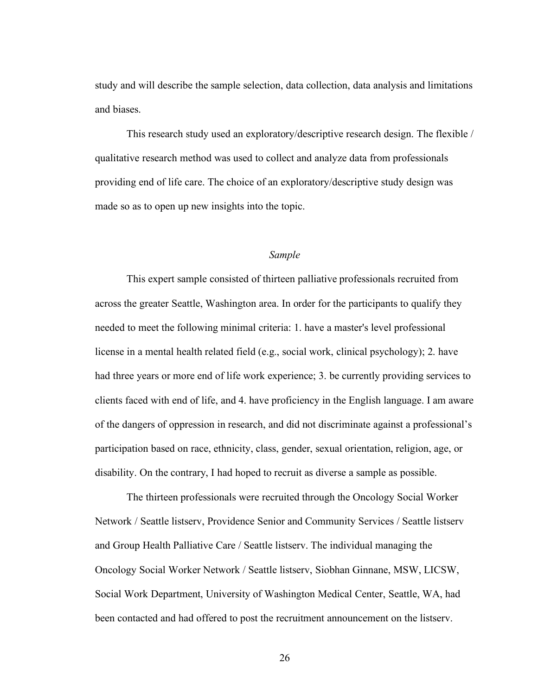study and will describe the sample selection, data collection, data analysis and limitations and biases.

This research study used an exploratory/descriptive research design. The flexible / qualitative research method was used to collect and analyze data from professionals providing end of life care. The choice of an exploratory/descriptive study design was made so as to open up new insights into the topic.

#### *Sample*

This expert sample consisted of thirteen palliative professionals recruited from across the greater Seattle, Washington area. In order for the participants to qualify they needed to meet the following minimal criteria: 1. have a master's level professional license in a mental health related field (e.g., social work, clinical psychology); 2. have had three years or more end of life work experience; 3. be currently providing services to clients faced with end of life, and 4. have proficiency in the English language. I am aware of the dangers of oppression in research, and did not discriminate against a professional's participation based on race, ethnicity, class, gender, sexual orientation, religion, age, or disability. On the contrary, I had hoped to recruit as diverse a sample as possible.

The thirteen professionals were recruited through the Oncology Social Worker Network / Seattle listserv, Providence Senior and Community Services / Seattle listserv and Group Health Palliative Care / Seattle listserv. The individual managing the Oncology Social Worker Network / Seattle listserv, Siobhan Ginnane, MSW, LICSW, Social Work Department, University of Washington Medical Center, Seattle, WA, had been contacted and had offered to post the recruitment announcement on the listserv.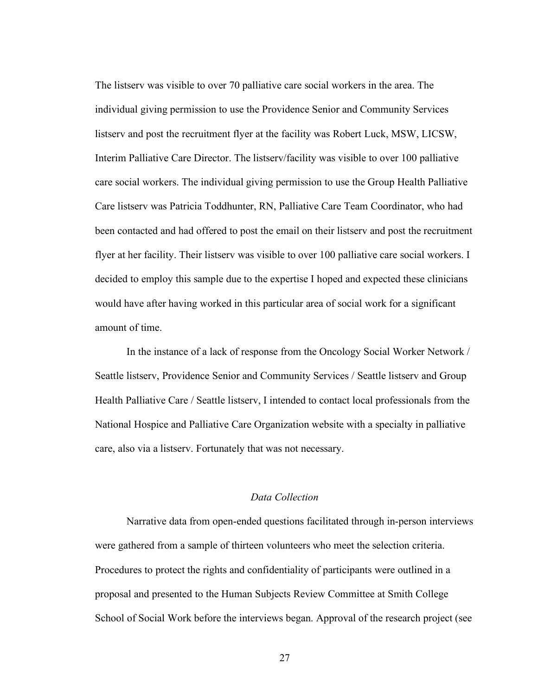The listserv was visible to over 70 palliative care social workers in the area. The individual giving permission to use the Providence Senior and Community Services listserv and post the recruitment flyer at the facility was Robert Luck, MSW, LICSW, Interim Palliative Care Director. The listserv/facility was visible to over 100 palliative care social workers. The individual giving permission to use the Group Health Palliative Care listserv was Patricia Toddhunter, RN, Palliative Care Team Coordinator, who had been contacted and had offered to post the email on their listserv and post the recruitment flyer at her facility. Their listserv was visible to over 100 palliative care social workers. I decided to employ this sample due to the expertise I hoped and expected these clinicians would have after having worked in this particular area of social work for a significant amount of time.

In the instance of a lack of response from the Oncology Social Worker Network / Seattle listserv, Providence Senior and Community Services / Seattle listserv and Group Health Palliative Care / Seattle listserv, I intended to contact local professionals from the National Hospice and Palliative Care Organization website with a specialty in palliative care, also via a listserv. Fortunately that was not necessary.

#### *Data Collection*

Narrative data from open-ended questions facilitated through in-person interviews were gathered from a sample of thirteen volunteers who meet the selection criteria. Procedures to protect the rights and confidentiality of participants were outlined in a proposal and presented to the Human Subjects Review Committee at Smith College School of Social Work before the interviews began. Approval of the research project (see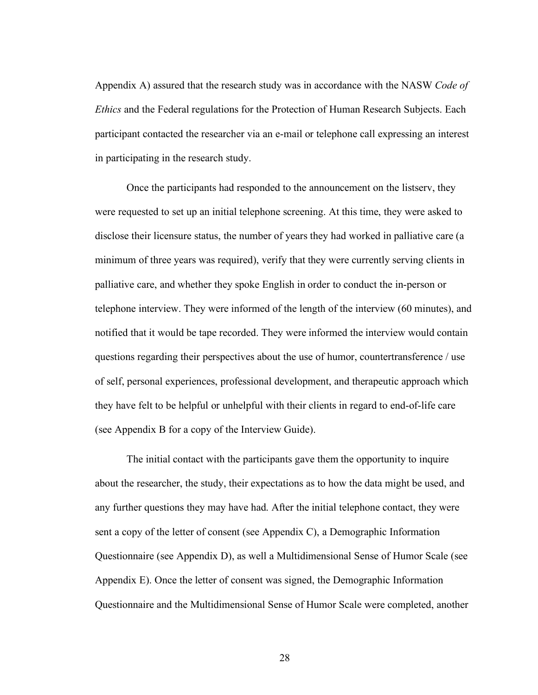Appendix A) assured that the research study was in accordance with the NASW *Code of Ethics* and the Federal regulations for the Protection of Human Research Subjects. Each participant contacted the researcher via an e-mail or telephone call expressing an interest in participating in the research study.

Once the participants had responded to the announcement on the listserv, they were requested to set up an initial telephone screening. At this time, they were asked to disclose their licensure status, the number of years they had worked in palliative care (a minimum of three years was required), verify that they were currently serving clients in palliative care, and whether they spoke English in order to conduct the in-person or telephone interview. They were informed of the length of the interview (60 minutes), and notified that it would be tape recorded. They were informed the interview would contain questions regarding their perspectives about the use of humor, countertransference / use of self, personal experiences, professional development, and therapeutic approach which they have felt to be helpful or unhelpful with their clients in regard to end-of-life care (see Appendix B for a copy of the Interview Guide).

The initial contact with the participants gave them the opportunity to inquire about the researcher, the study, their expectations as to how the data might be used, and any further questions they may have had. After the initial telephone contact, they were sent a copy of the letter of consent (see Appendix C), a Demographic Information Questionnaire (see Appendix D), as well a Multidimensional Sense of Humor Scale (see Appendix E). Once the letter of consent was signed, the Demographic Information Questionnaire and the Multidimensional Sense of Humor Scale were completed, another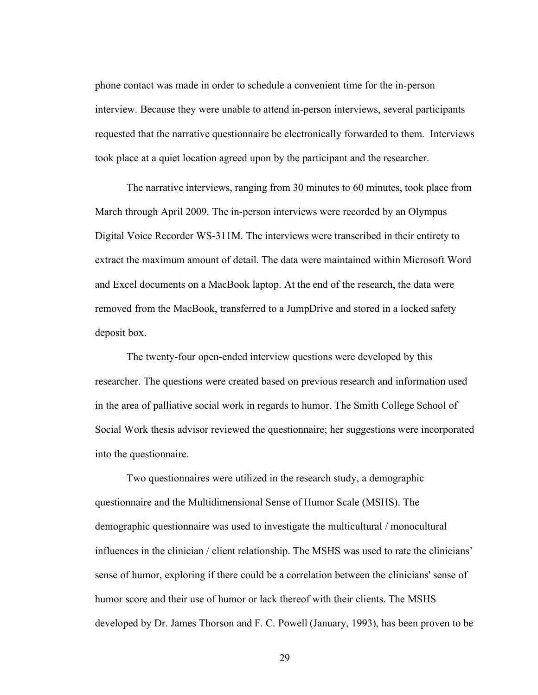phone contact was made in order to schedule a convenient time for the in-person interview. Because they were unable to attend in-person interviews, several participants requested that the narrative questionnaire be electronically forwarded to them. Interviews took place at a quiet location agreed upon by the participant and the researcher.

The narrative interviews, ranging from 30 minutes to 60 minutes, took place from March through April 2009. The in-person interviews were recorded by an Olympus Digital Voice Recorder WS-311M. The interviews were transcribed in their entirety to extract the maximum amount of detail. The data were maintained within Microsoft Word and Excel documents on a MacBook laptop. At the end of the research, the data were removed from the MacBook, transferred to a JumpDrive and stored in a locked safety deposit box.

The twenty-four open-ended interview questions were developed by this researcher. The questions were created based on previous research and information used in the area of palliative social work in regards to humor. The Smith College School of Social Work thesis advisor reviewed the questionnaire; her suggestions were incorporated into the questionnaire.

Two questionnaires were utilized in the research study, a demographic questionnaire and the Multidimensional Sense of Humor Scale (MSHS). The demographic questionnaire was used to investigate the multicultural / monocultural influences in the clinician / client relationship. The MSHS was used to rate the clinicians' sense of humor, exploring if there could be a correlation between the clinicians' sense of humor score and their use of humor or lack thereof with their clients. The MSHS developed by Dr. James Thorson and F. C. Powell (January, 1993), has been proven to be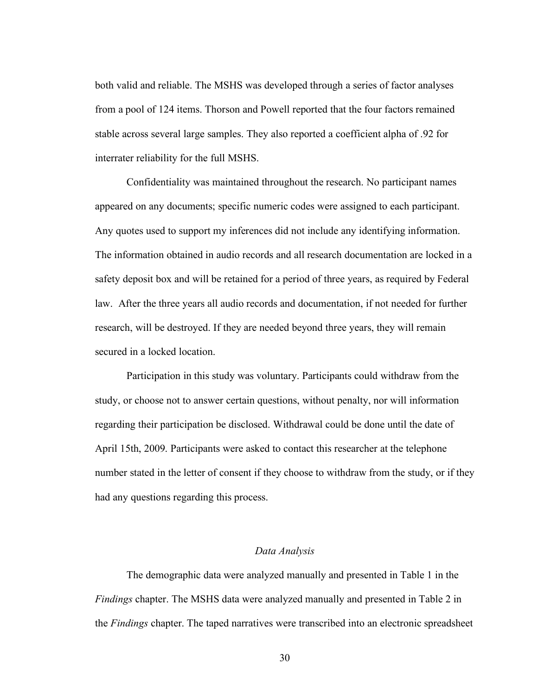both valid and reliable. The MSHS was developed through a series of factor analyses from a pool of 124 items. Thorson and Powell reported that the four factors remained stable across several large samples. They also reported a coefficient alpha of .92 for interrater reliability for the full MSHS.

Confidentiality was maintained throughout the research. No participant names appeared on any documents; specific numeric codes were assigned to each participant. Any quotes used to support my inferences did not include any identifying information. The information obtained in audio records and all research documentation are locked in a safety deposit box and will be retained for a period of three years, as required by Federal law. After the three years all audio records and documentation, if not needed for further research, will be destroyed. If they are needed beyond three years, they will remain secured in a locked location.

Participation in this study was voluntary. Participants could withdraw from the study, or choose not to answer certain questions, without penalty, nor will information regarding their participation be disclosed. Withdrawal could be done until the date of April 15th, 2009. Participants were asked to contact this researcher at the telephone number stated in the letter of consent if they choose to withdraw from the study, or if they had any questions regarding this process.

#### *Data Analysis*

The demographic data were analyzed manually and presented in Table 1 in the *Findings* chapter. The MSHS data were analyzed manually and presented in Table 2 in the *Findings* chapter. The taped narratives were transcribed into an electronic spreadsheet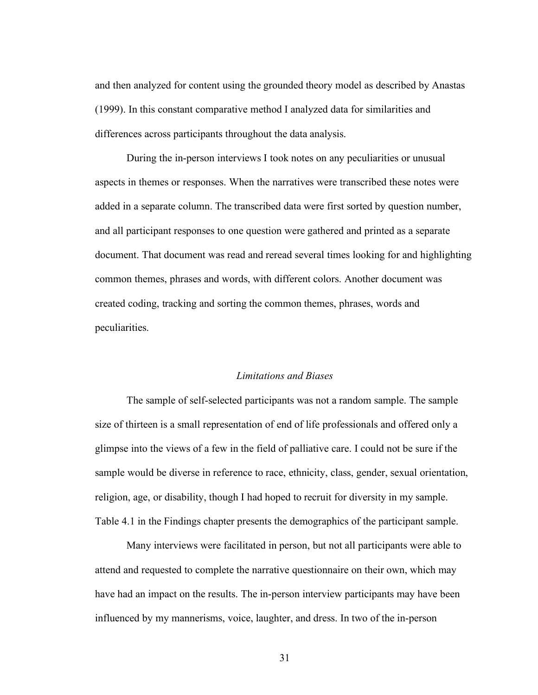and then analyzed for content using the grounded theory model as described by Anastas (1999). In this constant comparative method I analyzed data for similarities and differences across participants throughout the data analysis.

During the in-person interviews I took notes on any peculiarities or unusual aspects in themes or responses. When the narratives were transcribed these notes were added in a separate column. The transcribed data were first sorted by question number, and all participant responses to one question were gathered and printed as a separate document. That document was read and reread several times looking for and highlighting common themes, phrases and words, with different colors. Another document was created coding, tracking and sorting the common themes, phrases, words and peculiarities.

### *Limitations and Biases*

The sample of self-selected participants was not a random sample. The sample size of thirteen is a small representation of end of life professionals and offered only a glimpse into the views of a few in the field of palliative care. I could not be sure if the sample would be diverse in reference to race, ethnicity, class, gender, sexual orientation, religion, age, or disability, though I had hoped to recruit for diversity in my sample. Table 4.1 in the Findings chapter presents the demographics of the participant sample.

Many interviews were facilitated in person, but not all participants were able to attend and requested to complete the narrative questionnaire on their own, which may have had an impact on the results. The in-person interview participants may have been influenced by my mannerisms, voice, laughter, and dress. In two of the in-person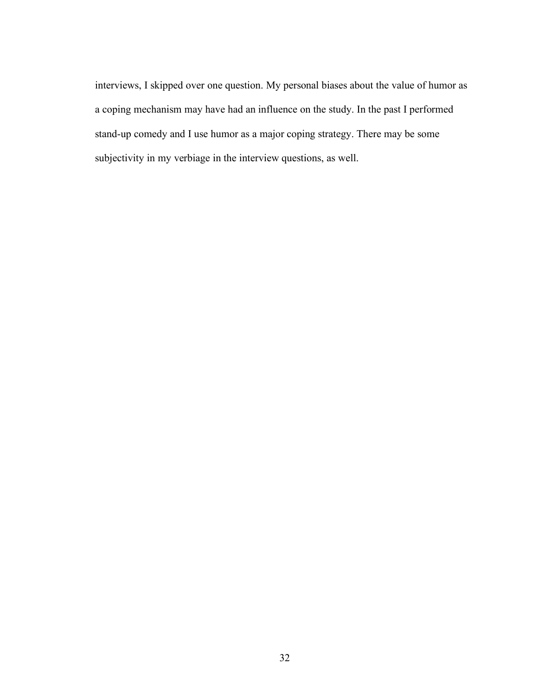interviews, I skipped over one question. My personal biases about the value of humor as a coping mechanism may have had an influence on the study. In the past I performed stand-up comedy and I use humor as a major coping strategy. There may be some subjectivity in my verbiage in the interview questions, as well.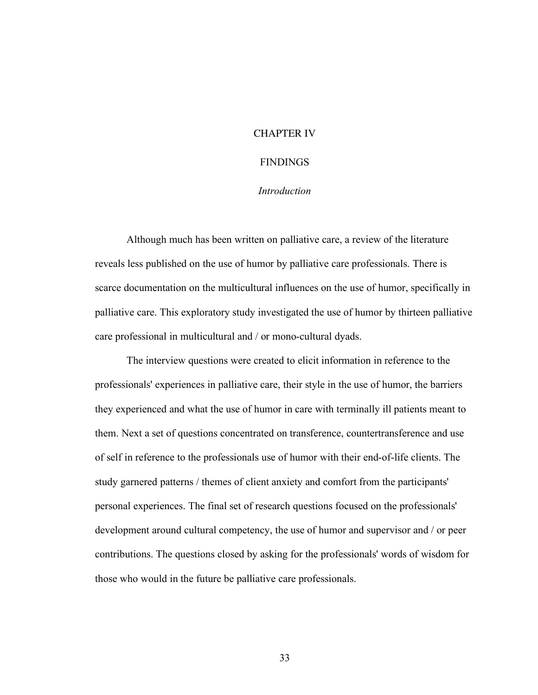### CHAPTER IV

### FINDINGS

### *Introduction*

Although much has been written on palliative care, a review of the literature reveals less published on the use of humor by palliative care professionals. There is scarce documentation on the multicultural influences on the use of humor, specifically in palliative care. This exploratory study investigated the use of humor by thirteen palliative care professional in multicultural and / or mono-cultural dyads.

The interview questions were created to elicit information in reference to the professionals' experiences in palliative care, their style in the use of humor, the barriers they experienced and what the use of humor in care with terminally ill patients meant to them. Next a set of questions concentrated on transference, countertransference and use of self in reference to the professionals use of humor with their end-of-life clients. The study garnered patterns / themes of client anxiety and comfort from the participants' personal experiences. The final set of research questions focused on the professionals' development around cultural competency, the use of humor and supervisor and / or peer contributions. The questions closed by asking for the professionals' words of wisdom for those who would in the future be palliative care professionals.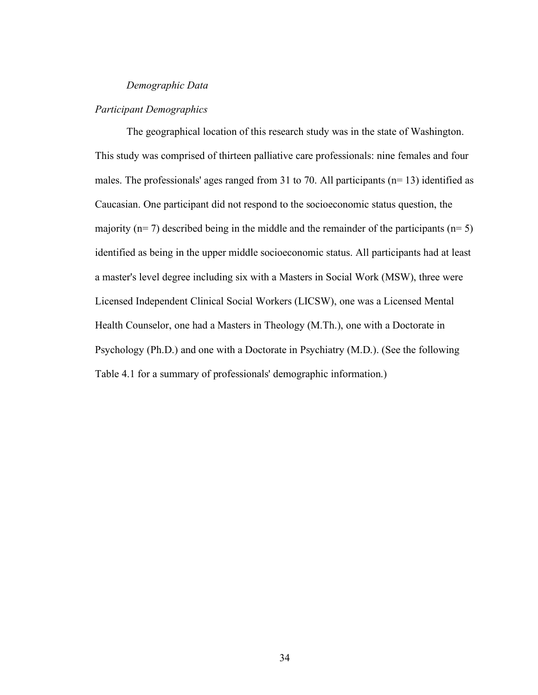### *Demographic Data*

### *Participant Demographics*

The geographical location of this research study was in the state of Washington. This study was comprised of thirteen palliative care professionals: nine females and four males. The professionals' ages ranged from 31 to 70. All participants (n= 13) identified as Caucasian. One participant did not respond to the socioeconomic status question, the majority ( $n= 7$ ) described being in the middle and the remainder of the participants ( $n= 5$ ) identified as being in the upper middle socioeconomic status. All participants had at least a master's level degree including six with a Masters in Social Work (MSW), three were Licensed Independent Clinical Social Workers (LICSW), one was a Licensed Mental Health Counselor, one had a Masters in Theology (M.Th.), one with a Doctorate in Psychology (Ph.D.) and one with a Doctorate in Psychiatry (M.D.). (See the following Table 4.1 for a summary of professionals' demographic information.)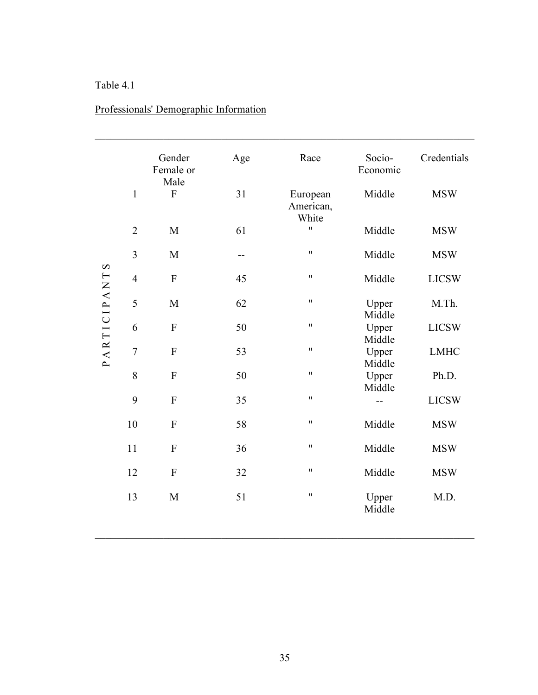### Table 4.1

|                       |                | Gender<br>Female or<br>Male | Age | Race                           | Socio-<br>Economic | Credentials  |
|-----------------------|----------------|-----------------------------|-----|--------------------------------|--------------------|--------------|
|                       | $\mathbf{1}$   | ${\bf F}$                   | 31  | European<br>American,<br>White | Middle             | <b>MSW</b>   |
|                       | $\overline{2}$ | M                           | 61  | Ħ                              | Middle             | <b>MSW</b>   |
| $\boldsymbol{\Omega}$ | $\overline{3}$ | M                           | --  | Ħ                              | Middle             | <b>MSW</b>   |
| PARTICIPANT           | $\overline{4}$ | $\overline{F}$              | 45  | Ħ                              | Middle             | <b>LICSW</b> |
|                       | 5              | M                           | 62  | $\pmb{\mathsf{H}}$             | Upper<br>Middle    | M.Th.        |
|                       | 6              | ${\bf F}$                   | 50  | Ħ                              | Upper<br>Middle    | <b>LICSW</b> |
|                       | $\overline{7}$ | $\boldsymbol{\mathrm{F}}$   | 53  | Ħ                              | Upper<br>Middle    | <b>LMHC</b>  |
|                       | 8              | ${\bf F}$                   | 50  | 11                             | Upper<br>Middle    | Ph.D.        |
|                       | 9              | $\overline{F}$              | 35  | 11                             |                    | <b>LICSW</b> |
|                       | 10             | F                           | 58  | Ħ                              | Middle             | <b>MSW</b>   |
|                       | 11             | ${\bf F}$                   | 36  | Ħ                              | Middle             | <b>MSW</b>   |
|                       | 12             | $\overline{F}$              | 32  | Ħ                              | Middle             | <b>MSW</b>   |
|                       | 13             | M                           | 51  | 11                             | Upper<br>Middle    | M.D.         |

# Professionals' Demographic Information

 $\mathcal{L}_\mathcal{L} = \{ \mathcal{L}_\mathcal{L} = \{ \mathcal{L}_\mathcal{L} = \{ \mathcal{L}_\mathcal{L} = \{ \mathcal{L}_\mathcal{L} = \{ \mathcal{L}_\mathcal{L} = \{ \mathcal{L}_\mathcal{L} = \{ \mathcal{L}_\mathcal{L} = \{ \mathcal{L}_\mathcal{L} = \{ \mathcal{L}_\mathcal{L} = \{ \mathcal{L}_\mathcal{L} = \{ \mathcal{L}_\mathcal{L} = \{ \mathcal{L}_\mathcal{L} = \{ \mathcal{L}_\mathcal{L} = \{ \mathcal{L}_\mathcal{$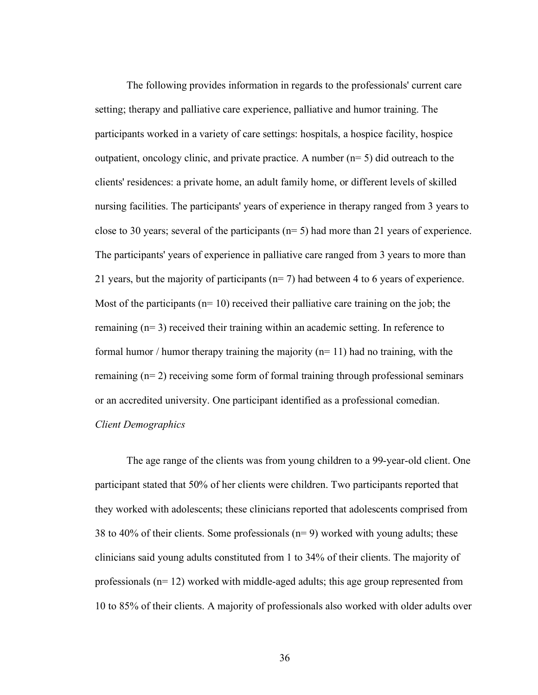The following provides information in regards to the professionals' current care setting; therapy and palliative care experience, palliative and humor training. The participants worked in a variety of care settings: hospitals, a hospice facility, hospice outpatient, oncology clinic, and private practice. A number  $(n=5)$  did outreach to the clients' residences: a private home, an adult family home, or different levels of skilled nursing facilities. The participants' years of experience in therapy ranged from 3 years to close to 30 years; several of the participants  $(n=5)$  had more than 21 years of experience. The participants' years of experience in palliative care ranged from 3 years to more than 21 years, but the majority of participants (n= 7) had between 4 to 6 years of experience. Most of the participants ( $n=10$ ) received their palliative care training on the job; the remaining (n= 3) received their training within an academic setting. In reference to formal humor / humor therapy training the majority  $(n=11)$  had no training, with the remaining (n= 2) receiving some form of formal training through professional seminars or an accredited university. One participant identified as a professional comedian. *Client Demographics*

The age range of the clients was from young children to a 99-year-old client. One participant stated that 50% of her clients were children. Two participants reported that they worked with adolescents; these clinicians reported that adolescents comprised from 38 to 40% of their clients. Some professionals (n= 9) worked with young adults; these clinicians said young adults constituted from 1 to 34% of their clients. The majority of professionals  $(n=12)$  worked with middle-aged adults; this age group represented from 10 to 85% of their clients. A majority of professionals also worked with older adults over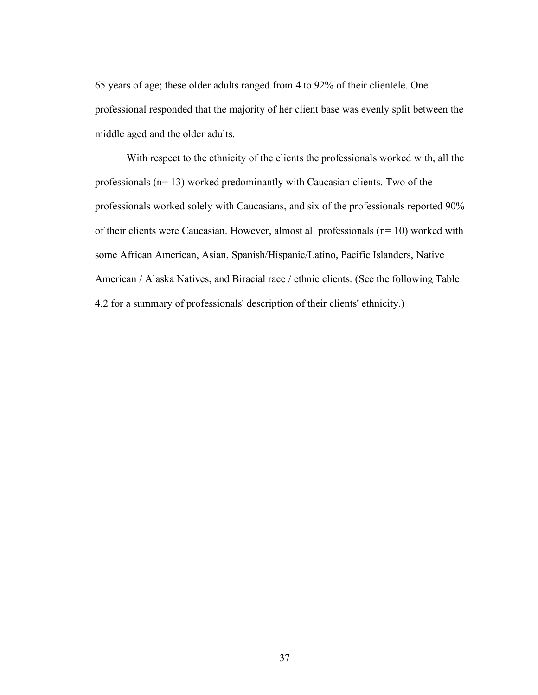65 years of age; these older adults ranged from 4 to 92% of their clientele. One professional responded that the majority of her client base was evenly split between the middle aged and the older adults.

With respect to the ethnicity of the clients the professionals worked with, all the professionals (n= 13) worked predominantly with Caucasian clients. Two of the professionals worked solely with Caucasians, and six of the professionals reported 90% of their clients were Caucasian. However, almost all professionals (n= 10) worked with some African American, Asian, Spanish/Hispanic/Latino, Pacific Islanders, Native American / Alaska Natives, and Biracial race / ethnic clients. (See the following Table 4.2 for a summary of professionals' description of their clients' ethnicity.)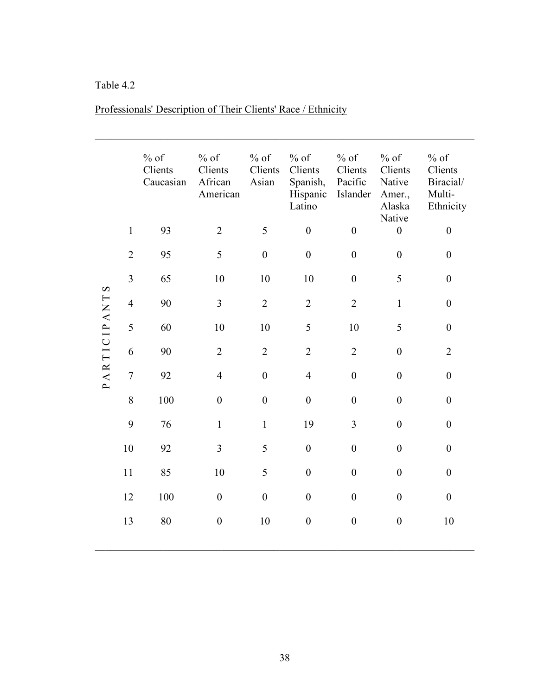# Table 4.2

|              |                | $\%$ of<br>Clients<br>Caucasian | $%$ of<br>Clients<br>African<br>American | $%$ of<br>Clients<br>Asian | $%$ of<br>Clients<br>Spanish,<br>Hispanic<br>Latino | $%$ of<br>Clients<br>Pacific<br>Islander | $%$ of<br>Clients<br>Native<br>Amer.,<br>Alaska | $%$ of<br>Clients<br>Biracial/<br>Multi-<br>Ethnicity |
|--------------|----------------|---------------------------------|------------------------------------------|----------------------------|-----------------------------------------------------|------------------------------------------|-------------------------------------------------|-------------------------------------------------------|
|              | $\mathbf{1}$   | 93                              | $\overline{2}$                           | 5                          | $\boldsymbol{0}$                                    | $\boldsymbol{0}$                         | Native<br>$\boldsymbol{0}$                      | $\boldsymbol{0}$                                      |
|              | $\overline{2}$ | 95                              | 5                                        | $\overline{0}$             | $\boldsymbol{0}$                                    | $\overline{0}$                           | $\boldsymbol{0}$                                | $\boldsymbol{0}$                                      |
|              | $\overline{3}$ | 65                              | 10                                       | $10\,$                     | 10                                                  | $\boldsymbol{0}$                         | 5                                               | $\boldsymbol{0}$                                      |
|              | $\overline{4}$ | 90                              | $\mathfrak{Z}$                           | $\overline{2}$             | $\overline{2}$                                      | $\overline{2}$                           | $\mathbf{1}$                                    | $\boldsymbol{0}$                                      |
| PARTICIPANTS | 5              | 60                              | 10                                       | $10\,$                     | 5                                                   | 10                                       | 5                                               | $\boldsymbol{0}$                                      |
|              | 6              | 90                              | $\overline{2}$                           | $\overline{2}$             | $\overline{2}$                                      | $\overline{2}$                           | $\boldsymbol{0}$                                | $\overline{2}$                                        |
|              | $\overline{7}$ | 92                              | $\overline{4}$                           | $\boldsymbol{0}$           | $\overline{4}$                                      | $\boldsymbol{0}$                         | $\boldsymbol{0}$                                | $\boldsymbol{0}$                                      |
|              | 8              | 100                             | $\boldsymbol{0}$                         | $\boldsymbol{0}$           | $\boldsymbol{0}$                                    | $\boldsymbol{0}$                         | $\boldsymbol{0}$                                | $\boldsymbol{0}$                                      |
|              | 9              | 76                              | $\mathbf{1}$                             | $\mathbf{1}$               | 19                                                  | $\overline{3}$                           | $\boldsymbol{0}$                                | $\boldsymbol{0}$                                      |
|              | 10             | 92                              | $\overline{3}$                           | 5                          | $\boldsymbol{0}$                                    | $\boldsymbol{0}$                         | $\boldsymbol{0}$                                | $\boldsymbol{0}$                                      |
|              | 11             | 85                              | $10\,$                                   | 5                          | $\boldsymbol{0}$                                    | $\boldsymbol{0}$                         | $\boldsymbol{0}$                                | $\boldsymbol{0}$                                      |
|              | 12             | 100                             | $\overline{0}$                           | $\boldsymbol{0}$           | $\boldsymbol{0}$                                    | $\overline{0}$                           | $\boldsymbol{0}$                                | $\boldsymbol{0}$                                      |
|              | 13             | 80                              | $\boldsymbol{0}$                         | 10                         | $\boldsymbol{0}$                                    | $\boldsymbol{0}$                         | $\boldsymbol{0}$                                | 10                                                    |
|              |                |                                 |                                          |                            |                                                     |                                          |                                                 |                                                       |

 $\mathcal{L}_\mathcal{L} = \{ \mathcal{L}_\mathcal{L} = \{ \mathcal{L}_\mathcal{L} = \{ \mathcal{L}_\mathcal{L} = \{ \mathcal{L}_\mathcal{L} = \{ \mathcal{L}_\mathcal{L} = \{ \mathcal{L}_\mathcal{L} = \{ \mathcal{L}_\mathcal{L} = \{ \mathcal{L}_\mathcal{L} = \{ \mathcal{L}_\mathcal{L} = \{ \mathcal{L}_\mathcal{L} = \{ \mathcal{L}_\mathcal{L} = \{ \mathcal{L}_\mathcal{L} = \{ \mathcal{L}_\mathcal{L} = \{ \mathcal{L}_\mathcal{$ 

# Professionals' Description of Their Clients' Race / Ethnicity

 $\mathcal{L}_\mathcal{L} = \{ \mathcal{L}_\mathcal{L} = \{ \mathcal{L}_\mathcal{L} = \{ \mathcal{L}_\mathcal{L} = \{ \mathcal{L}_\mathcal{L} = \{ \mathcal{L}_\mathcal{L} = \{ \mathcal{L}_\mathcal{L} = \{ \mathcal{L}_\mathcal{L} = \{ \mathcal{L}_\mathcal{L} = \{ \mathcal{L}_\mathcal{L} = \{ \mathcal{L}_\mathcal{L} = \{ \mathcal{L}_\mathcal{L} = \{ \mathcal{L}_\mathcal{L} = \{ \mathcal{L}_\mathcal{L} = \{ \mathcal{L}_\mathcal{$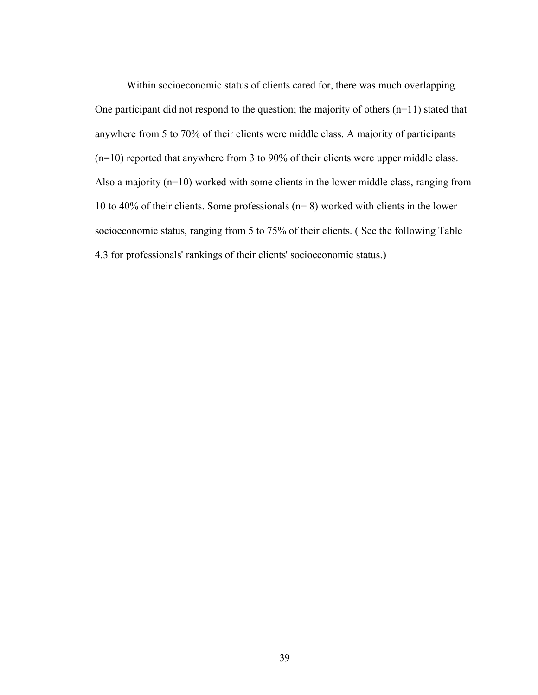Within socioeconomic status of clients cared for, there was much overlapping. One participant did not respond to the question; the majority of others (n=11) stated that anywhere from 5 to 70% of their clients were middle class. A majority of participants (n=10) reported that anywhere from 3 to 90% of their clients were upper middle class. Also a majority (n=10) worked with some clients in the lower middle class, ranging from 10 to 40% of their clients. Some professionals (n= 8) worked with clients in the lower socioeconomic status, ranging from 5 to 75% of their clients. ( See the following Table 4.3 for professionals' rankings of their clients' socioeconomic status.)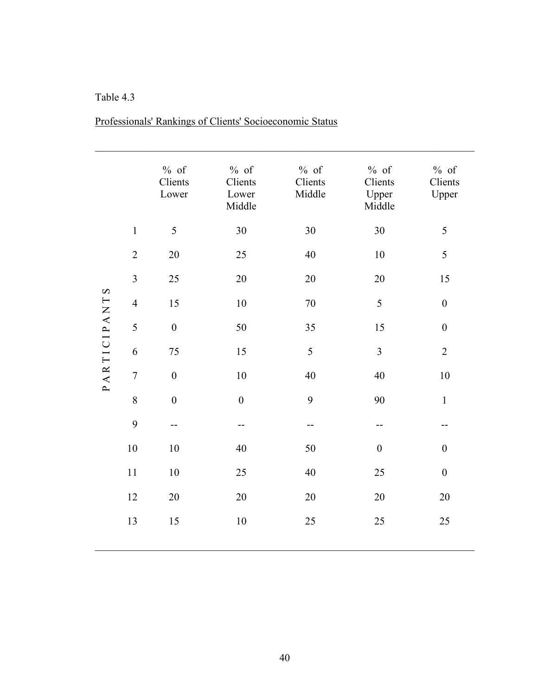### Table 4.3

|              |                  | $%$ of<br>Clients<br>Lower | $%$ of<br>Clients<br>Lower<br>Middle | $%$ of<br>Clients<br>Middle | $%$ of<br>Clients<br>Upper<br>Middle | $%$ of<br>Clients<br>Upper |
|--------------|------------------|----------------------------|--------------------------------------|-----------------------------|--------------------------------------|----------------------------|
|              | $\mathbf{1}$     | 5                          | $30\,$                               | 30                          | 30                                   | 5                          |
|              | $\sqrt{2}$       | $20\,$                     | 25                                   | 40                          | 10                                   | 5                          |
|              | $\overline{3}$   | 25                         | 20                                   | 20                          | 20                                   | 15                         |
| PARTICIPANTS | $\overline{4}$   | 15                         | $10\,$                               | 70                          | 5                                    | $\boldsymbol{0}$           |
|              | 5                | $\boldsymbol{0}$           | 50                                   | 35                          | 15                                   | $\boldsymbol{0}$           |
|              | 6                | $75\,$                     | 15                                   | 5                           | $\mathfrak{Z}$                       | $\overline{2}$             |
|              | $\boldsymbol{7}$ | $\boldsymbol{0}$           | $10\,$                               | 40                          | 40                                   | $10\,$                     |
|              | $\,8\,$          | $\boldsymbol{0}$           | $\boldsymbol{0}$                     | 9                           | 90                                   | $\,1\,$                    |
|              | 9                | $-$                        | --                                   | --                          | --                                   | --                         |
|              | $10\,$           | $10\,$                     | 40                                   | 50                          | $\boldsymbol{0}$                     | $\boldsymbol{0}$           |
|              | 11               | $10\,$                     | 25                                   | 40                          | 25                                   | $\boldsymbol{0}$           |
|              | 12               | $20\,$                     | $20\,$                               | 20                          | $20\,$                               | 20                         |
|              | 13               | 15                         | $10\,$                               | $25\,$                      | 25                                   | 25                         |
|              |                  |                            |                                      |                             |                                      |                            |

# Professionals' Rankings of Clients' Socioeconomic Status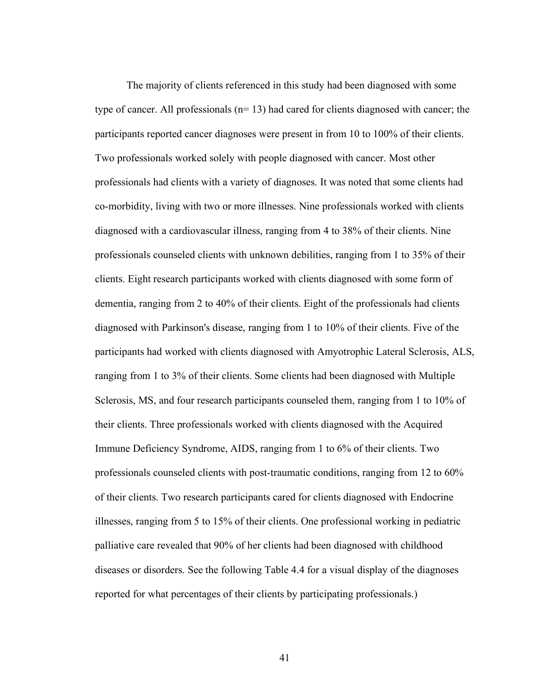The majority of clients referenced in this study had been diagnosed with some type of cancer. All professionals  $(n=13)$  had cared for clients diagnosed with cancer; the participants reported cancer diagnoses were present in from 10 to 100% of their clients. Two professionals worked solely with people diagnosed with cancer. Most other professionals had clients with a variety of diagnoses. It was noted that some clients had co-morbidity, living with two or more illnesses. Nine professionals worked with clients diagnosed with a cardiovascular illness, ranging from 4 to 38% of their clients. Nine professionals counseled clients with unknown debilities, ranging from 1 to 35% of their clients. Eight research participants worked with clients diagnosed with some form of dementia, ranging from 2 to 40% of their clients. Eight of the professionals had clients diagnosed with Parkinson's disease, ranging from 1 to 10% of their clients. Five of the participants had worked with clients diagnosed with Amyotrophic Lateral Sclerosis, ALS, ranging from 1 to 3% of their clients. Some clients had been diagnosed with Multiple Sclerosis, MS, and four research participants counseled them, ranging from 1 to 10% of their clients. Three professionals worked with clients diagnosed with the Acquired Immune Deficiency Syndrome, AIDS, ranging from 1 to 6% of their clients. Two professionals counseled clients with post-traumatic conditions, ranging from 12 to 60% of their clients. Two research participants cared for clients diagnosed with Endocrine illnesses, ranging from 5 to 15% of their clients. One professional working in pediatric palliative care revealed that 90% of her clients had been diagnosed with childhood diseases or disorders. See the following Table 4.4 for a visual display of the diagnoses reported for what percentages of their clients by participating professionals.)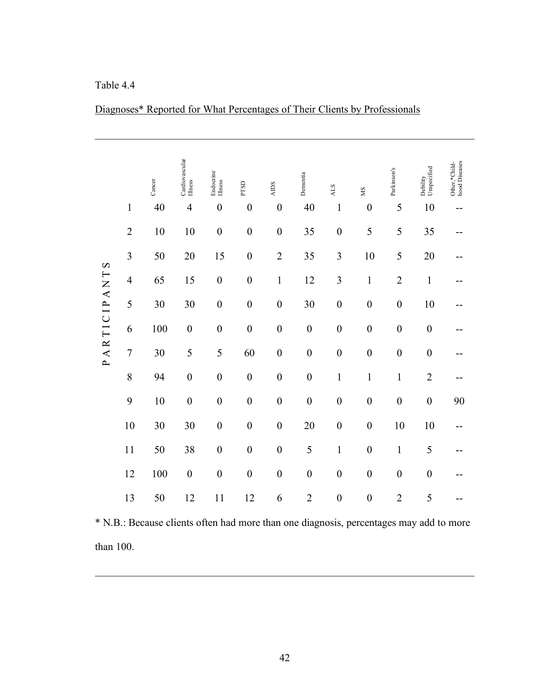Table 4.4

|                         |                | Cancer | Cardiovascular<br>Illness | Endocrine<br>Illness | PTSD             | SCIIV            | Dementia         | <b>ALS</b>       | SM               | Parkinson's      | Unspecified<br>Debility | Other,*Child-<br>hood Diseases |
|-------------------------|----------------|--------|---------------------------|----------------------|------------------|------------------|------------------|------------------|------------------|------------------|-------------------------|--------------------------------|
|                         | $\mathbf{1}$   | 40     | $\overline{4}$            | $\boldsymbol{0}$     | $\boldsymbol{0}$ | $\boldsymbol{0}$ | 40               | $\mathbf{1}$     | $\boldsymbol{0}$ | 5                | 10                      | --                             |
| $\infty$<br>PARTICIPANT | $\overline{2}$ | 10     | 10                        | $\boldsymbol{0}$     | $\boldsymbol{0}$ | $\boldsymbol{0}$ | 35               | $\boldsymbol{0}$ | 5                | 5                | 35                      |                                |
|                         | $\overline{3}$ | 50     | 20                        | 15                   | $\boldsymbol{0}$ | $\overline{2}$   | 35               | $\overline{3}$   | 10               | 5                | 20                      |                                |
|                         | $\overline{4}$ | 65     | 15                        | $\boldsymbol{0}$     | $\boldsymbol{0}$ | $\mathbf 1$      | 12               | $\overline{3}$   | $\mathbf 1$      | $\overline{2}$   | $\mathbf 1$             |                                |
|                         | 5              | 30     | 30                        | $\overline{0}$       | $\boldsymbol{0}$ | $\boldsymbol{0}$ | 30               | $\boldsymbol{0}$ | $\boldsymbol{0}$ | $\boldsymbol{0}$ | 10                      |                                |
|                         | 6              | 100    | $\boldsymbol{0}$          | $\boldsymbol{0}$     | $\boldsymbol{0}$ | $\boldsymbol{0}$ | $\boldsymbol{0}$ | $\boldsymbol{0}$ | $\boldsymbol{0}$ | $\boldsymbol{0}$ | $\boldsymbol{0}$        |                                |
|                         | $\overline{7}$ | 30     | 5                         | 5                    | 60               | $\boldsymbol{0}$ | $\boldsymbol{0}$ | $\boldsymbol{0}$ | $\boldsymbol{0}$ | $\boldsymbol{0}$ | $\boldsymbol{0}$        |                                |
|                         | 8              | 94     | $\boldsymbol{0}$          | $\boldsymbol{0}$     | $\boldsymbol{0}$ | $\boldsymbol{0}$ | $\boldsymbol{0}$ | $\mathbbm{1}$    | $\mathbf 1$      | $\mathbf 1$      | $\overline{2}$          |                                |
|                         | 9              | 10     | $\boldsymbol{0}$          | $\boldsymbol{0}$     | $\boldsymbol{0}$ | $\boldsymbol{0}$ | $\boldsymbol{0}$ | $\boldsymbol{0}$ | $\boldsymbol{0}$ | $\boldsymbol{0}$ | $\boldsymbol{0}$        | 90                             |
|                         | 10             | 30     | 30                        | $\boldsymbol{0}$     | $\boldsymbol{0}$ | $\boldsymbol{0}$ | 20               | $\boldsymbol{0}$ | $\boldsymbol{0}$ | 10               | 10                      |                                |
|                         | 11             | 50     | 38                        | $\boldsymbol{0}$     | $\boldsymbol{0}$ | $\boldsymbol{0}$ | 5                | $\mathbf{1}$     | $\boldsymbol{0}$ | $\mathbf{1}$     | 5                       |                                |
|                         | 12             | 100    | $\boldsymbol{0}$          | $\overline{0}$       | $\overline{0}$   | $\boldsymbol{0}$ | $\boldsymbol{0}$ | $\boldsymbol{0}$ | $\boldsymbol{0}$ | $\boldsymbol{0}$ | $\boldsymbol{0}$        |                                |
|                         | 13             | 50     | 12                        | 11                   | 12               | 6                | $\overline{2}$   | $\boldsymbol{0}$ | $\boldsymbol{0}$ | $\overline{2}$   | 5                       |                                |

Diagnoses\* Reported for What Percentages of Their Clients by Professionals

 $\mathcal{L}_\mathcal{L} = \{ \mathcal{L}_\mathcal{L} = \{ \mathcal{L}_\mathcal{L} = \{ \mathcal{L}_\mathcal{L} = \{ \mathcal{L}_\mathcal{L} = \{ \mathcal{L}_\mathcal{L} = \{ \mathcal{L}_\mathcal{L} = \{ \mathcal{L}_\mathcal{L} = \{ \mathcal{L}_\mathcal{L} = \{ \mathcal{L}_\mathcal{L} = \{ \mathcal{L}_\mathcal{L} = \{ \mathcal{L}_\mathcal{L} = \{ \mathcal{L}_\mathcal{L} = \{ \mathcal{L}_\mathcal{L} = \{ \mathcal{L}_\mathcal{$ 

\* N.B.: Because clients often had more than one diagnosis, percentages may add to more than 100.

 $\mathcal{L}_\text{max} = \mathcal{L}_\text{max} = \mathcal{L}_\text{max} = \mathcal{L}_\text{max} = \mathcal{L}_\text{max} = \mathcal{L}_\text{max} = \mathcal{L}_\text{max} = \mathcal{L}_\text{max} = \mathcal{L}_\text{max} = \mathcal{L}_\text{max} = \mathcal{L}_\text{max} = \mathcal{L}_\text{max} = \mathcal{L}_\text{max} = \mathcal{L}_\text{max} = \mathcal{L}_\text{max} = \mathcal{L}_\text{max} = \mathcal{L}_\text{max} = \mathcal{L}_\text{max} = \mathcal{$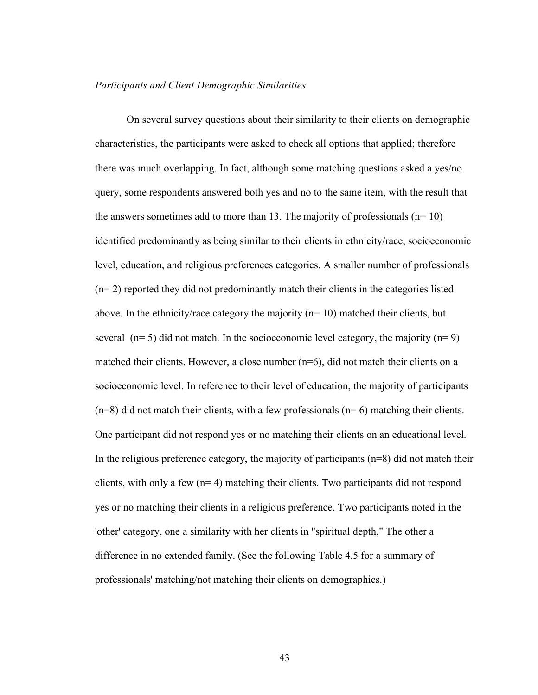#### *Participants and Client Demographic Similarities*

On several survey questions about their similarity to their clients on demographic characteristics, the participants were asked to check all options that applied; therefore there was much overlapping. In fact, although some matching questions asked a yes/no query, some respondents answered both yes and no to the same item, with the result that the answers sometimes add to more than 13. The majority of professionals  $(n=10)$ identified predominantly as being similar to their clients in ethnicity/race, socioeconomic level, education, and religious preferences categories. A smaller number of professionals (n= 2) reported they did not predominantly match their clients in the categories listed above. In the ethnicity/race category the majority  $(n=10)$  matched their clients, but several  $(n= 5)$  did not match. In the socioeconomic level category, the majority  $(n= 9)$ matched their clients. However, a close number (n=6), did not match their clients on a socioeconomic level. In reference to their level of education, the majority of participants  $(n=8)$  did not match their clients, with a few professionals  $(n=6)$  matching their clients. One participant did not respond yes or no matching their clients on an educational level. In the religious preference category, the majority of participants  $(n=8)$  did not match their clients, with only a few  $(n= 4)$  matching their clients. Two participants did not respond yes or no matching their clients in a religious preference. Two participants noted in the 'other' category, one a similarity with her clients in "spiritual depth," The other a difference in no extended family. (See the following Table 4.5 for a summary of professionals' matching/not matching their clients on demographics.)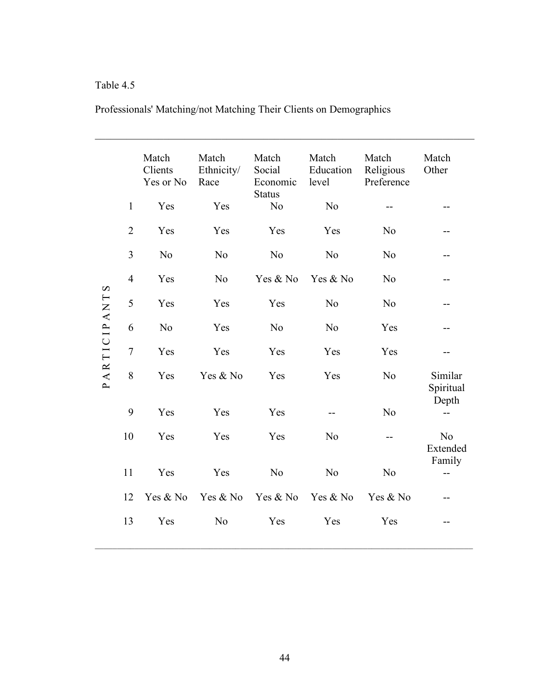# Table 4.5

| Professionals' Matching/not Matching Their Clients on Demographics |  |
|--------------------------------------------------------------------|--|
|--------------------------------------------------------------------|--|

|                       |                | Match<br>Clients<br>Yes or No | Match<br>Ethnicity/<br>Race | Match<br>Social<br>Economic<br><b>Status</b> | Match<br>Education<br>level | Match<br>Religious<br>Preference | Match<br>Other             |
|-----------------------|----------------|-------------------------------|-----------------------------|----------------------------------------------|-----------------------------|----------------------------------|----------------------------|
|                       | $\mathbf{1}$   | Yes                           | Yes                         | N <sub>0</sub>                               | N <sub>o</sub>              |                                  |                            |
|                       | $\overline{2}$ | Yes                           | Yes                         | Yes                                          | Yes                         | N <sub>o</sub>                   |                            |
|                       | 3              | N <sub>o</sub>                | N <sub>o</sub>              | N <sub>o</sub>                               | N <sub>o</sub>              | N <sub>o</sub>                   |                            |
| $\boldsymbol{\Omega}$ | $\overline{4}$ | Yes                           | N <sub>o</sub>              | Yes & No                                     | Yes & No                    | N <sub>o</sub>                   |                            |
| PARTICIPANT           | 5              | Yes                           | Yes                         | Yes                                          | N <sub>o</sub>              | N <sub>o</sub>                   |                            |
|                       | 6              | N <sub>o</sub>                | Yes                         | N <sub>0</sub>                               | N <sub>o</sub>              | Yes                              | --                         |
|                       | $\overline{7}$ | Yes                           | Yes                         | Yes                                          | Yes                         | Yes                              |                            |
|                       | 8              | Yes                           | Yes & No                    | Yes                                          | Yes                         | N <sub>o</sub>                   | Similar<br>Spiritual       |
|                       | 9              | Yes                           | Yes                         | Yes                                          |                             | N <sub>o</sub>                   | Depth                      |
|                       | 10             | Yes                           | Yes                         | Yes                                          | N <sub>o</sub>              |                                  | N <sub>o</sub><br>Extended |
|                       | 11             | Yes                           | Yes                         | N <sub>o</sub>                               | N <sub>o</sub>              | N <sub>o</sub>                   | Family                     |
|                       | 12             | Yes & No                      | Yes & No                    | Yes & No                                     | Yes & No                    | Yes & No                         |                            |
|                       | 13             | Yes                           | N <sub>o</sub>              | Yes                                          | Yes                         | Yes                              |                            |

 $\mathcal{L}_\mathcal{L} = \{ \mathcal{L}_\mathcal{L} = \{ \mathcal{L}_\mathcal{L} = \{ \mathcal{L}_\mathcal{L} = \{ \mathcal{L}_\mathcal{L} = \{ \mathcal{L}_\mathcal{L} = \{ \mathcal{L}_\mathcal{L} = \{ \mathcal{L}_\mathcal{L} = \{ \mathcal{L}_\mathcal{L} = \{ \mathcal{L}_\mathcal{L} = \{ \mathcal{L}_\mathcal{L} = \{ \mathcal{L}_\mathcal{L} = \{ \mathcal{L}_\mathcal{L} = \{ \mathcal{L}_\mathcal{L} = \{ \mathcal{L}_\mathcal{$ 

 $\_$  , and the state of the state of the state of the state of the state of the state of the state of the state of the state of the state of the state of the state of the state of the state of the state of the state of the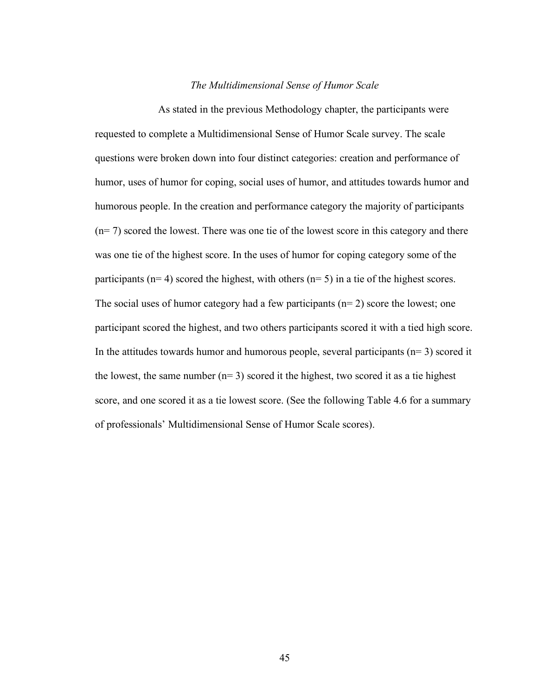#### *The Multidimensional Sense of Humor Scale*

As stated in the previous Methodology chapter, the participants were requested to complete a Multidimensional Sense of Humor Scale survey. The scale questions were broken down into four distinct categories: creation and performance of humor, uses of humor for coping, social uses of humor, and attitudes towards humor and humorous people. In the creation and performance category the majority of participants (n= 7) scored the lowest. There was one tie of the lowest score in this category and there was one tie of the highest score. In the uses of humor for coping category some of the participants ( $n= 4$ ) scored the highest, with others ( $n= 5$ ) in a tie of the highest scores. The social uses of humor category had a few participants  $(n=2)$  score the lowest; one participant scored the highest, and two others participants scored it with a tied high score. In the attitudes towards humor and humorous people, several participants ( $n=3$ ) scored it the lowest, the same number  $(n=3)$  scored it the highest, two scored it as a tie highest score, and one scored it as a tie lowest score. (See the following Table 4.6 for a summary of professionals' Multidimensional Sense of Humor Scale scores).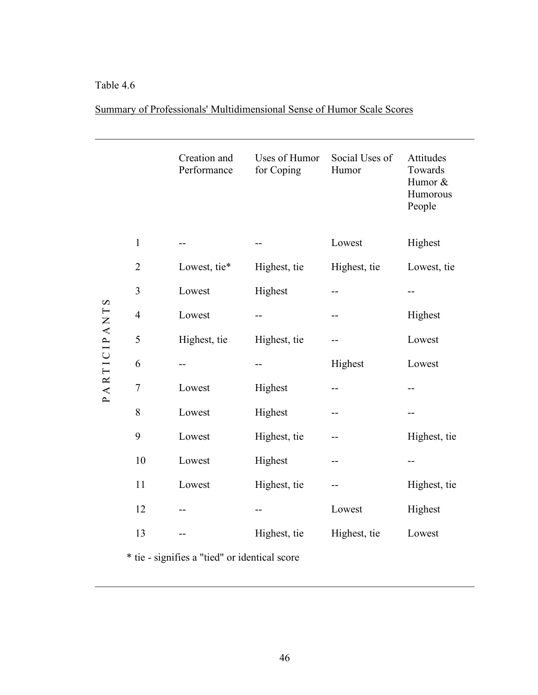### Table 4.6

|--|

 $\mathcal{L}_\mathcal{L} = \{ \mathcal{L}_\mathcal{L} = \{ \mathcal{L}_\mathcal{L} = \{ \mathcal{L}_\mathcal{L} = \{ \mathcal{L}_\mathcal{L} = \{ \mathcal{L}_\mathcal{L} = \{ \mathcal{L}_\mathcal{L} = \{ \mathcal{L}_\mathcal{L} = \{ \mathcal{L}_\mathcal{L} = \{ \mathcal{L}_\mathcal{L} = \{ \mathcal{L}_\mathcal{L} = \{ \mathcal{L}_\mathcal{L} = \{ \mathcal{L}_\mathcal{L} = \{ \mathcal{L}_\mathcal{L} = \{ \mathcal{L}_\mathcal{$ 

|              |                  | Creation and<br>Performance                   | Uses of Humor<br>for Coping | Social Uses of<br>Humor | Attitudes<br>Towards<br>Humor &<br>Humorous<br>People |
|--------------|------------------|-----------------------------------------------|-----------------------------|-------------------------|-------------------------------------------------------|
|              | $\mathbf{1}$     |                                               |                             | Lowest                  | Highest                                               |
|              | $\overline{2}$   | Lowest, tie*                                  | Highest, tie                | Highest, tie            | Lowest, tie                                           |
|              | 3                | Lowest                                        | Highest                     | --                      |                                                       |
| PARTICIPANTS | $\overline{4}$   | Lowest                                        | --                          |                         | Highest                                               |
|              | 5                | Highest, tie                                  | Highest, tie                |                         | Lowest                                                |
|              | 6                |                                               | --                          | Highest                 | Lowest                                                |
|              | $\boldsymbol{7}$ | Lowest                                        | Highest                     |                         |                                                       |
|              | $8\,$            | Lowest                                        | Highest                     |                         |                                                       |
|              | 9                | Lowest                                        | Highest, tie                |                         | Highest, tie                                          |
|              | 10               | Lowest                                        | Highest                     |                         | --                                                    |
|              | 11               | Lowest                                        | Highest, tie                |                         | Highest, tie                                          |
|              | 12               |                                               |                             | Lowest                  | Highest                                               |
|              | 13               |                                               | Highest, tie                | Highest, tie            | Lowest                                                |
|              |                  | * tie - signifies a "tied" or identical score |                             |                         |                                                       |

 $\mathcal{L}_\mathcal{L} = \{ \mathcal{L}_\mathcal{L} = \{ \mathcal{L}_\mathcal{L} = \{ \mathcal{L}_\mathcal{L} = \{ \mathcal{L}_\mathcal{L} = \{ \mathcal{L}_\mathcal{L} = \{ \mathcal{L}_\mathcal{L} = \{ \mathcal{L}_\mathcal{L} = \{ \mathcal{L}_\mathcal{L} = \{ \mathcal{L}_\mathcal{L} = \{ \mathcal{L}_\mathcal{L} = \{ \mathcal{L}_\mathcal{L} = \{ \mathcal{L}_\mathcal{L} = \{ \mathcal{L}_\mathcal{L} = \{ \mathcal{L}_\mathcal{$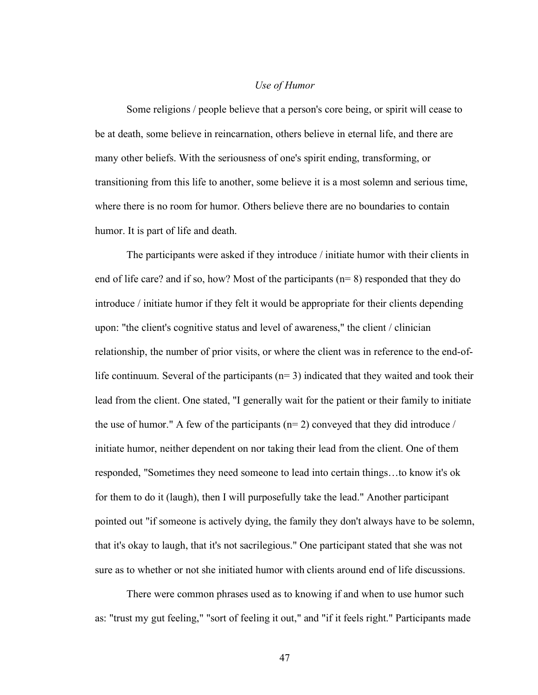#### *Use of Humor*

Some religions / people believe that a person's core being, or spirit will cease to be at death, some believe in reincarnation, others believe in eternal life, and there are many other beliefs. With the seriousness of one's spirit ending, transforming, or transitioning from this life to another, some believe it is a most solemn and serious time, where there is no room for humor. Others believe there are no boundaries to contain humor. It is part of life and death.

The participants were asked if they introduce / initiate humor with their clients in end of life care? and if so, how? Most of the participants (n= 8) responded that they do introduce / initiate humor if they felt it would be appropriate for their clients depending upon: "the client's cognitive status and level of awareness," the client / clinician relationship, the number of prior visits, or where the client was in reference to the end-oflife continuum. Several of the participants  $(n=3)$  indicated that they waited and took their lead from the client. One stated, "I generally wait for the patient or their family to initiate the use of humor." A few of the participants ( $n=2$ ) conveyed that they did introduce / initiate humor, neither dependent on nor taking their lead from the client. One of them responded, "Sometimes they need someone to lead into certain things…to know it's ok for them to do it (laugh), then I will purposefully take the lead." Another participant pointed out "if someone is actively dying, the family they don't always have to be solemn, that it's okay to laugh, that it's not sacrilegious." One participant stated that she was not sure as to whether or not she initiated humor with clients around end of life discussions.

There were common phrases used as to knowing if and when to use humor such as: "trust my gut feeling," "sort of feeling it out," and "if it feels right." Participants made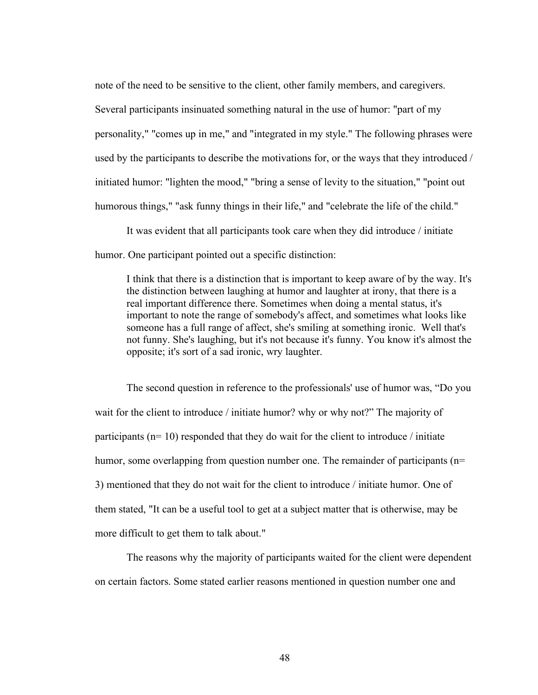note of the need to be sensitive to the client, other family members, and caregivers. Several participants insinuated something natural in the use of humor: "part of my personality," "comes up in me," and "integrated in my style." The following phrases were used by the participants to describe the motivations for, or the ways that they introduced / initiated humor: "lighten the mood," "bring a sense of levity to the situation," "point out humorous things," "ask funny things in their life," and "celebrate the life of the child."

It was evident that all participants took care when they did introduce / initiate humor. One participant pointed out a specific distinction:

I think that there is a distinction that is important to keep aware of by the way. It's the distinction between laughing at humor and laughter at irony, that there is a real important difference there. Sometimes when doing a mental status, it's important to note the range of somebody's affect, and sometimes what looks like someone has a full range of affect, she's smiling at something ironic. Well that's not funny. She's laughing, but it's not because it's funny. You know it's almost the opposite; it's sort of a sad ironic, wry laughter.

The second question in reference to the professionals' use of humor was, "Do you wait for the client to introduce / initiate humor? why or why not?" The majority of participants ( $n=10$ ) responded that they do wait for the client to introduce / initiate humor, some overlapping from question number one. The remainder of participants (n= 3) mentioned that they do not wait for the client to introduce / initiate humor. One of them stated, "It can be a useful tool to get at a subject matter that is otherwise, may be more difficult to get them to talk about."

The reasons why the majority of participants waited for the client were dependent on certain factors. Some stated earlier reasons mentioned in question number one and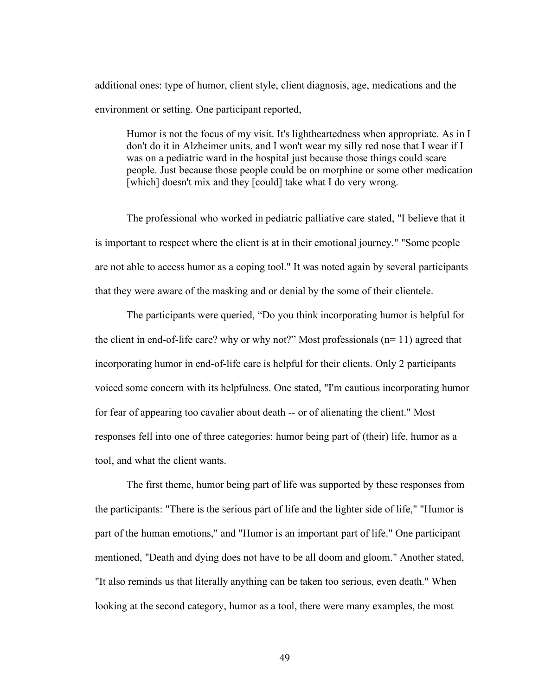additional ones: type of humor, client style, client diagnosis, age, medications and the environment or setting. One participant reported,

Humor is not the focus of my visit. It's lightheartedness when appropriate. As in I don't do it in Alzheimer units, and I won't wear my silly red nose that I wear if I was on a pediatric ward in the hospital just because those things could scare people. Just because those people could be on morphine or some other medication [which] doesn't mix and they [could] take what I do very wrong.

The professional who worked in pediatric palliative care stated, "I believe that it is important to respect where the client is at in their emotional journey." "Some people are not able to access humor as a coping tool." It was noted again by several participants that they were aware of the masking and or denial by the some of their clientele.

The participants were queried, "Do you think incorporating humor is helpful for the client in end-of-life care? why or why not?" Most professionals (n= 11) agreed that incorporating humor in end-of-life care is helpful for their clients. Only 2 participants voiced some concern with its helpfulness. One stated, "I'm cautious incorporating humor for fear of appearing too cavalier about death -- or of alienating the client." Most responses fell into one of three categories: humor being part of (their) life, humor as a tool, and what the client wants.

The first theme, humor being part of life was supported by these responses from the participants: "There is the serious part of life and the lighter side of life," "Humor is part of the human emotions," and "Humor is an important part of life." One participant mentioned, "Death and dying does not have to be all doom and gloom." Another stated, "It also reminds us that literally anything can be taken too serious, even death." When looking at the second category, humor as a tool, there were many examples, the most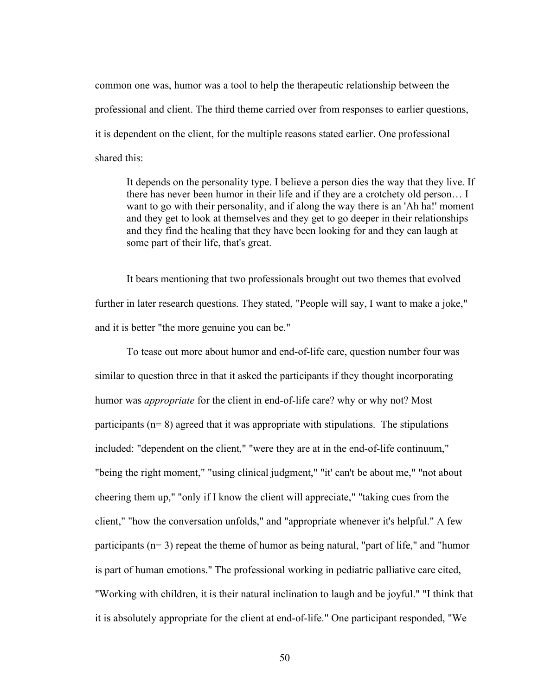common one was, humor was a tool to help the therapeutic relationship between the professional and client. The third theme carried over from responses to earlier questions, it is dependent on the client, for the multiple reasons stated earlier. One professional shared this:

It depends on the personality type. I believe a person dies the way that they live. If there has never been humor in their life and if they are a crotchety old person… I want to go with their personality, and if along the way there is an 'Ah ha!' moment and they get to look at themselves and they get to go deeper in their relationships and they find the healing that they have been looking for and they can laugh at some part of their life, that's great.

It bears mentioning that two professionals brought out two themes that evolved further in later research questions. They stated, "People will say, I want to make a joke," and it is better "the more genuine you can be."

To tease out more about humor and end-of-life care, question number four was similar to question three in that it asked the participants if they thought incorporating humor was *appropriate* for the client in end-of-life care? why or why not? Most participants (n= 8) agreed that it was appropriate with stipulations. The stipulations included: "dependent on the client," "were they are at in the end-of-life continuum," "being the right moment," "using clinical judgment," "it' can't be about me," "not about cheering them up," "only if I know the client will appreciate," "taking cues from the client," "how the conversation unfolds," and "appropriate whenever it's helpful." A few participants (n= 3) repeat the theme of humor as being natural, "part of life," and "humor is part of human emotions." The professional working in pediatric palliative care cited, "Working with children, it is their natural inclination to laugh and be joyful." "I think that it is absolutely appropriate for the client at end-of-life." One participant responded, "We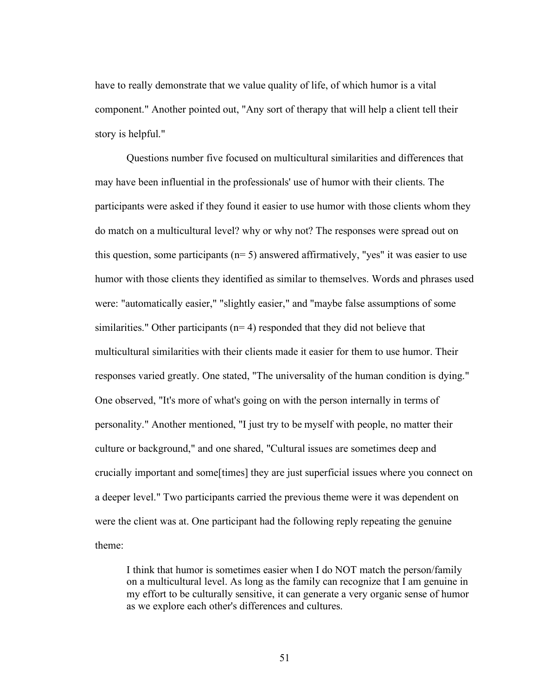have to really demonstrate that we value quality of life, of which humor is a vital component." Another pointed out, "Any sort of therapy that will help a client tell their story is helpful."

Questions number five focused on multicultural similarities and differences that may have been influential in the professionals' use of humor with their clients. The participants were asked if they found it easier to use humor with those clients whom they do match on a multicultural level? why or why not? The responses were spread out on this question, some participants ( $n=5$ ) answered affirmatively, "yes" it was easier to use humor with those clients they identified as similar to themselves. Words and phrases used were: "automatically easier," "slightly easier," and "maybe false assumptions of some similarities." Other participants ( $n=4$ ) responded that they did not believe that multicultural similarities with their clients made it easier for them to use humor. Their responses varied greatly. One stated, "The universality of the human condition is dying." One observed, "It's more of what's going on with the person internally in terms of personality." Another mentioned, "I just try to be myself with people, no matter their culture or background," and one shared, "Cultural issues are sometimes deep and crucially important and some[times] they are just superficial issues where you connect on a deeper level." Two participants carried the previous theme were it was dependent on were the client was at. One participant had the following reply repeating the genuine theme:

I think that humor is sometimes easier when I do NOT match the person/family on a multicultural level. As long as the family can recognize that I am genuine in my effort to be culturally sensitive, it can generate a very organic sense of humor as we explore each other's differences and cultures.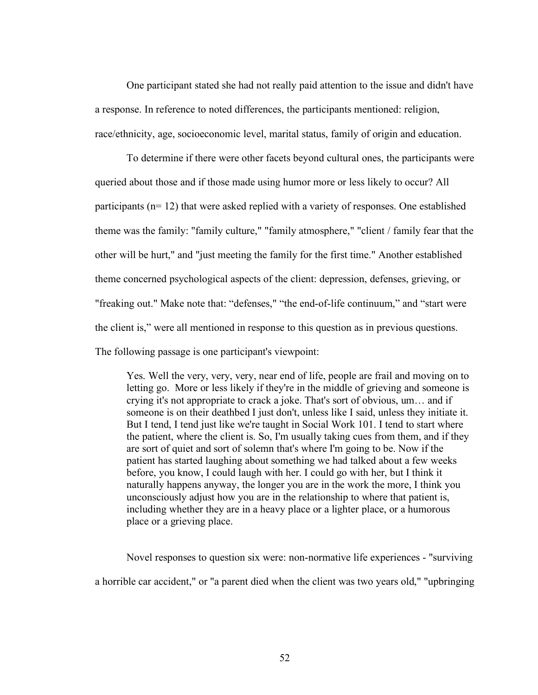One participant stated she had not really paid attention to the issue and didn't have a response. In reference to noted differences, the participants mentioned: religion, race/ethnicity, age, socioeconomic level, marital status, family of origin and education.

To determine if there were other facets beyond cultural ones, the participants were queried about those and if those made using humor more or less likely to occur? All participants (n= 12) that were asked replied with a variety of responses. One established theme was the family: "family culture," "family atmosphere," "client / family fear that the other will be hurt," and "just meeting the family for the first time." Another established theme concerned psychological aspects of the client: depression, defenses, grieving, or "freaking out." Make note that: "defenses," "the end-of-life continuum," and "start were the client is," were all mentioned in response to this question as in previous questions. The following passage is one participant's viewpoint:

Yes. Well the very, very, very, near end of life, people are frail and moving on to letting go. More or less likely if they're in the middle of grieving and someone is crying it's not appropriate to crack a joke. That's sort of obvious, um… and if someone is on their deathbed I just don't, unless like I said, unless they initiate it. But I tend, I tend just like we're taught in Social Work 101. I tend to start where the patient, where the client is. So, I'm usually taking cues from them, and if they are sort of quiet and sort of solemn that's where I'm going to be. Now if the patient has started laughing about something we had talked about a few weeks before, you know, I could laugh with her. I could go with her, but I think it naturally happens anyway, the longer you are in the work the more, I think you unconsciously adjust how you are in the relationship to where that patient is, including whether they are in a heavy place or a lighter place, or a humorous place or a grieving place.

Novel responses to question six were: non-normative life experiences - "surviving a horrible car accident," or "a parent died when the client was two years old," "upbringing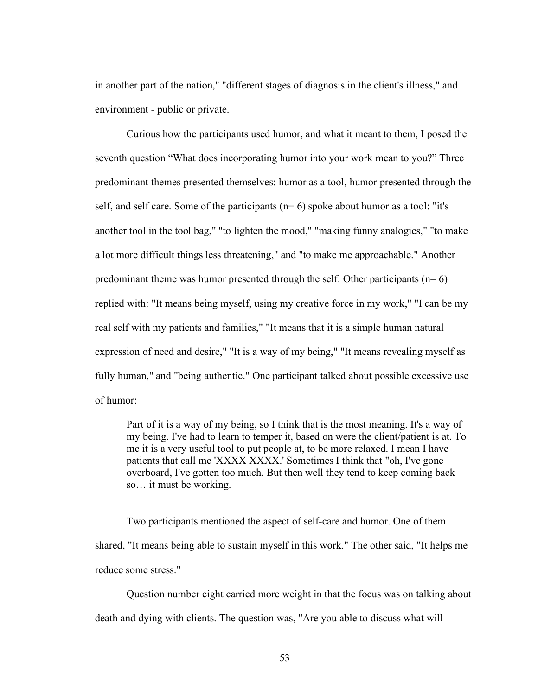in another part of the nation," "different stages of diagnosis in the client's illness," and environment - public or private.

Curious how the participants used humor, and what it meant to them, I posed the seventh question "What does incorporating humor into your work mean to you?" Three predominant themes presented themselves: humor as a tool, humor presented through the self, and self care. Some of the participants  $(n=6)$  spoke about humor as a tool: "it's another tool in the tool bag," "to lighten the mood," "making funny analogies," "to make a lot more difficult things less threatening," and "to make me approachable." Another predominant theme was humor presented through the self. Other participants  $(n=6)$ replied with: "It means being myself, using my creative force in my work," "I can be my real self with my patients and families," "It means that it is a simple human natural expression of need and desire," "It is a way of my being," "It means revealing myself as fully human," and "being authentic." One participant talked about possible excessive use of humor:

Part of it is a way of my being, so I think that is the most meaning. It's a way of my being. I've had to learn to temper it, based on were the client/patient is at. To me it is a very useful tool to put people at, to be more relaxed. I mean I have patients that call me 'XXXX XXXX.' Sometimes I think that "oh, I've gone overboard, I've gotten too much. But then well they tend to keep coming back so… it must be working.

Two participants mentioned the aspect of self-care and humor. One of them shared, "It means being able to sustain myself in this work." The other said, "It helps me reduce some stress."

Question number eight carried more weight in that the focus was on talking about death and dying with clients. The question was, "Are you able to discuss what will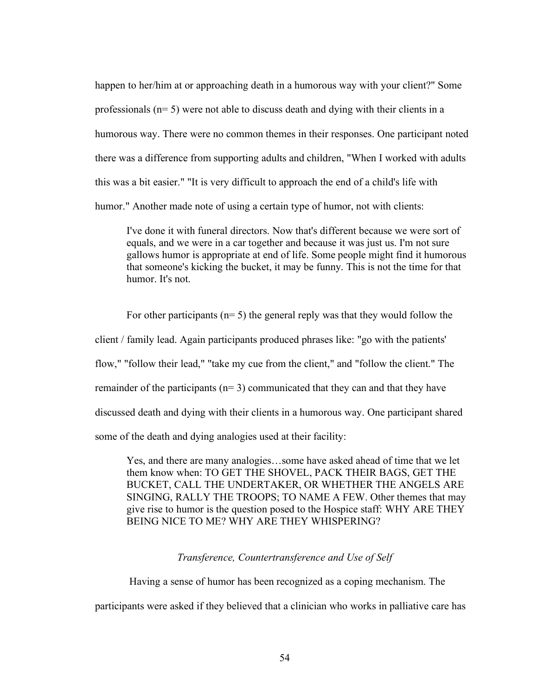happen to her/him at or approaching death in a humorous way with your client?" Some professionals (n= 5) were not able to discuss death and dying with their clients in a humorous way. There were no common themes in their responses. One participant noted there was a difference from supporting adults and children, "When I worked with adults this was a bit easier." "It is very difficult to approach the end of a child's life with humor." Another made note of using a certain type of humor, not with clients:

I've done it with funeral directors. Now that's different because we were sort of equals, and we were in a car together and because it was just us. I'm not sure gallows humor is appropriate at end of life. Some people might find it humorous that someone's kicking the bucket, it may be funny. This is not the time for that humor. It's not.

For other participants ( $n= 5$ ) the general reply was that they would follow the client / family lead. Again participants produced phrases like: "go with the patients' flow," "follow their lead," "take my cue from the client," and "follow the client." The remainder of the participants ( $n=3$ ) communicated that they can and that they have discussed death and dying with their clients in a humorous way. One participant shared some of the death and dying analogies used at their facility:

Yes, and there are many analogies…some have asked ahead of time that we let them know when: TO GET THE SHOVEL, PACK THEIR BAGS, GET THE BUCKET, CALL THE UNDERTAKER, OR WHETHER THE ANGELS ARE SINGING, RALLY THE TROOPS; TO NAME A FEW. Other themes that may give rise to humor is the question posed to the Hospice staff: WHY ARE THEY BEING NICE TO ME? WHY ARE THEY WHISPERING?

*Transference, Countertransference and Use of Self*

Having a sense of humor has been recognized as a coping mechanism. The participants were asked if they believed that a clinician who works in palliative care has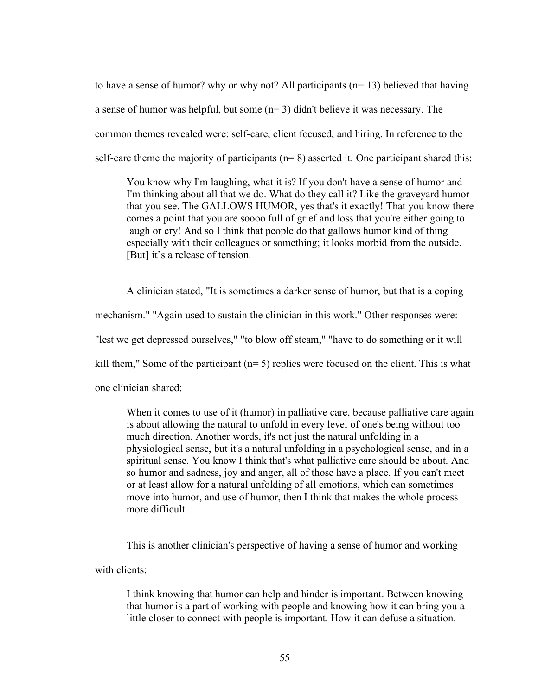to have a sense of humor? why or why not? All participants (n= 13) believed that having a sense of humor was helpful, but some (n= 3) didn't believe it was necessary. The common themes revealed were: self-care, client focused, and hiring. In reference to the self-care theme the majority of participants ( $n=8$ ) asserted it. One participant shared this:

You know why I'm laughing, what it is? If you don't have a sense of humor and I'm thinking about all that we do. What do they call it? Like the graveyard humor that you see. The GALLOWS HUMOR, yes that's it exactly! That you know there comes a point that you are soooo full of grief and loss that you're either going to laugh or cry! And so I think that people do that gallows humor kind of thing especially with their colleagues or something; it looks morbid from the outside. [But] it's a release of tension.

A clinician stated, "It is sometimes a darker sense of humor, but that is a coping mechanism." "Again used to sustain the clinician in this work." Other responses were: "lest we get depressed ourselves," "to blow off steam," "have to do something or it will kill them," Some of the participant (n= 5) replies were focused on the client. This is what one clinician shared:

When it comes to use of it (humor) in palliative care, because palliative care again is about allowing the natural to unfold in every level of one's being without too much direction. Another words, it's not just the natural unfolding in a physiological sense, but it's a natural unfolding in a psychological sense, and in a spiritual sense. You know I think that's what palliative care should be about. And so humor and sadness, joy and anger, all of those have a place. If you can't meet or at least allow for a natural unfolding of all emotions, which can sometimes move into humor, and use of humor, then I think that makes the whole process more difficult.

This is another clinician's perspective of having a sense of humor and working

with clients:

I think knowing that humor can help and hinder is important. Between knowing that humor is a part of working with people and knowing how it can bring you a little closer to connect with people is important. How it can defuse a situation.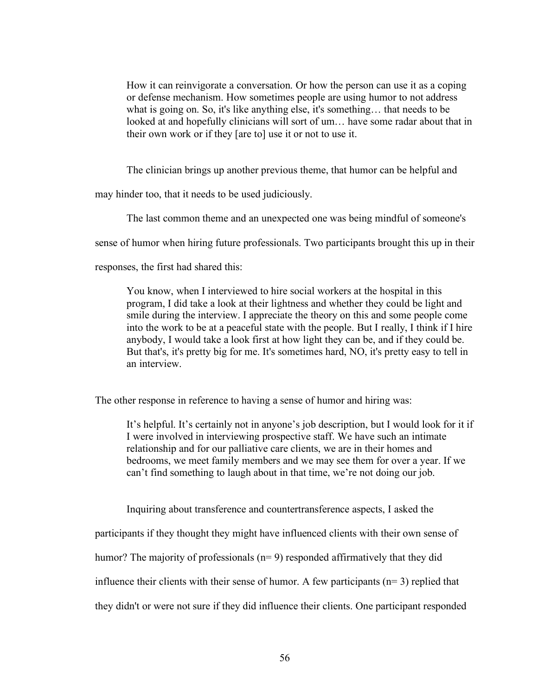How it can reinvigorate a conversation. Or how the person can use it as a coping or defense mechanism. How sometimes people are using humor to not address what is going on. So, it's like anything else, it's something… that needs to be looked at and hopefully clinicians will sort of um... have some radar about that in their own work or if they [are to] use it or not to use it.

The clinician brings up another previous theme, that humor can be helpful and

may hinder too, that it needs to be used judiciously.

The last common theme and an unexpected one was being mindful of someone's

sense of humor when hiring future professionals. Two participants brought this up in their

responses, the first had shared this:

You know, when I interviewed to hire social workers at the hospital in this program, I did take a look at their lightness and whether they could be light and smile during the interview. I appreciate the theory on this and some people come into the work to be at a peaceful state with the people. But I really, I think if I hire anybody, I would take a look first at how light they can be, and if they could be. But that's, it's pretty big for me. It's sometimes hard, NO, it's pretty easy to tell in an interview.

The other response in reference to having a sense of humor and hiring was:

It's helpful. It's certainly not in anyone's job description, but I would look for it if I were involved in interviewing prospective staff. We have such an intimate relationship and for our palliative care clients, we are in their homes and bedrooms, we meet family members and we may see them for over a year. If we can't find something to laugh about in that time, we're not doing our job.

Inquiring about transference and countertransference aspects, I asked the

participants if they thought they might have influenced clients with their own sense of

humor? The majority of professionals (n= 9) responded affirmatively that they did

influence their clients with their sense of humor. A few participants  $(n=3)$  replied that

they didn't or were not sure if they did influence their clients. One participant responded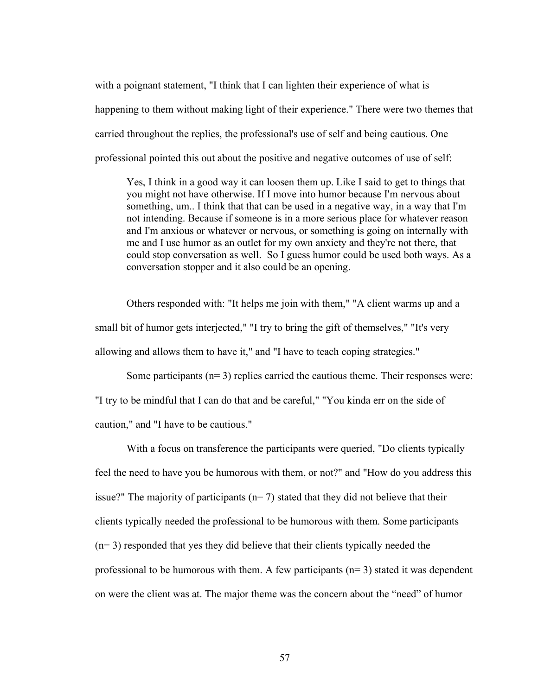with a poignant statement, "I think that I can lighten their experience of what is happening to them without making light of their experience." There were two themes that carried throughout the replies, the professional's use of self and being cautious. One professional pointed this out about the positive and negative outcomes of use of self:

Yes, I think in a good way it can loosen them up. Like I said to get to things that you might not have otherwise. If I move into humor because I'm nervous about something, um.. I think that that can be used in a negative way, in a way that I'm not intending. Because if someone is in a more serious place for whatever reason and I'm anxious or whatever or nervous, or something is going on internally with me and I use humor as an outlet for my own anxiety and they're not there, that could stop conversation as well. So I guess humor could be used both ways. As a conversation stopper and it also could be an opening.

Others responded with: "It helps me join with them," "A client warms up and a small bit of humor gets interjected," "I try to bring the gift of themselves," "It's very allowing and allows them to have it," and "I have to teach coping strategies."

Some participants  $(n=3)$  replies carried the cautious theme. Their responses were: "I try to be mindful that I can do that and be careful," "You kinda err on the side of caution," and "I have to be cautious."

With a focus on transference the participants were queried, "Do clients typically feel the need to have you be humorous with them, or not?" and "How do you address this issue?" The majority of participants ( $n=7$ ) stated that they did not believe that their clients typically needed the professional to be humorous with them. Some participants (n= 3) responded that yes they did believe that their clients typically needed the professional to be humorous with them. A few participants  $(n=3)$  stated it was dependent on were the client was at. The major theme was the concern about the "need" of humor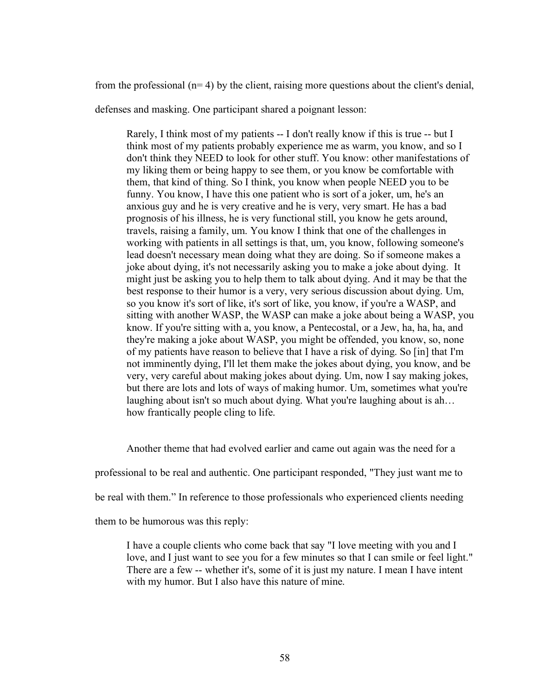from the professional  $(n=4)$  by the client, raising more questions about the client's denial,

defenses and masking. One participant shared a poignant lesson:

Rarely, I think most of my patients -- I don't really know if this is true -- but I think most of my patients probably experience me as warm, you know, and so I don't think they NEED to look for other stuff. You know: other manifestations of my liking them or being happy to see them, or you know be comfortable with them, that kind of thing. So I think, you know when people NEED you to be funny. You know, I have this one patient who is sort of a joker, um, he's an anxious guy and he is very creative and he is very, very smart. He has a bad prognosis of his illness, he is very functional still, you know he gets around, travels, raising a family, um. You know I think that one of the challenges in working with patients in all settings is that, um, you know, following someone's lead doesn't necessary mean doing what they are doing. So if someone makes a joke about dying, it's not necessarily asking you to make a joke about dying. It might just be asking you to help them to talk about dying. And it may be that the best response to their humor is a very, very serious discussion about dying. Um, so you know it's sort of like, it's sort of like, you know, if you're a WASP, and sitting with another WASP, the WASP can make a joke about being a WASP, you know. If you're sitting with a, you know, a Pentecostal, or a Jew, ha, ha, ha, and they're making a joke about WASP, you might be offended, you know, so, none of my patients have reason to believe that I have a risk of dying. So [in] that I'm not imminently dying, I'll let them make the jokes about dying, you know, and be very, very careful about making jokes about dying. Um, now I say making jokes, but there are lots and lots of ways of making humor. Um, sometimes what you're laughing about isn't so much about dying. What you're laughing about is ah... how frantically people cling to life.

Another theme that had evolved earlier and came out again was the need for a

professional to be real and authentic. One participant responded, "They just want me to

be real with them." In reference to those professionals who experienced clients needing

them to be humorous was this reply:

I have a couple clients who come back that say "I love meeting with you and I love, and I just want to see you for a few minutes so that I can smile or feel light." There are a few -- whether it's, some of it is just my nature. I mean I have intent with my humor. But I also have this nature of mine.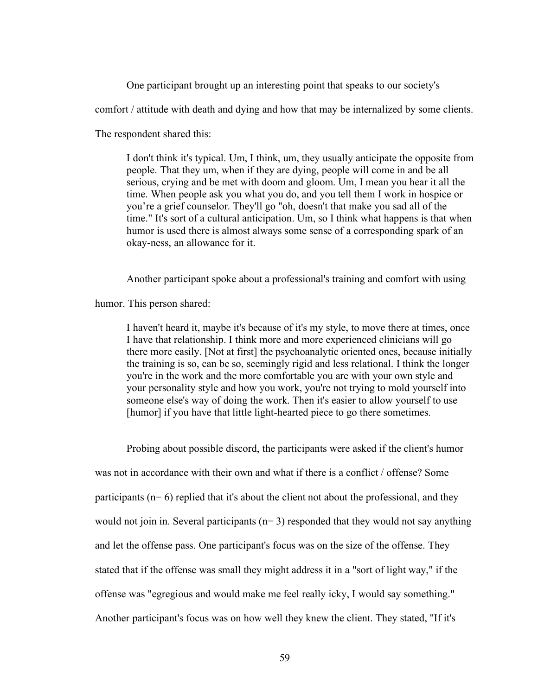One participant brought up an interesting point that speaks to our society's

comfort / attitude with death and dying and how that may be internalized by some clients.

The respondent shared this:

I don't think it's typical. Um, I think, um, they usually anticipate the opposite from people. That they um, when if they are dying, people will come in and be all serious, crying and be met with doom and gloom. Um, I mean you hear it all the time. When people ask you what you do, and you tell them I work in hospice or you're a grief counselor. They'll go "oh, doesn't that make you sad all of the time." It's sort of a cultural anticipation. Um, so I think what happens is that when humor is used there is almost always some sense of a corresponding spark of an okay-ness, an allowance for it.

Another participant spoke about a professional's training and comfort with using

humor. This person shared:

I haven't heard it, maybe it's because of it's my style, to move there at times, once I have that relationship. I think more and more experienced clinicians will go there more easily. [Not at first] the psychoanalytic oriented ones, because initially the training is so, can be so, seemingly rigid and less relational. I think the longer you're in the work and the more comfortable you are with your own style and your personality style and how you work, you're not trying to mold yourself into someone else's way of doing the work. Then it's easier to allow yourself to use [humor] if you have that little light-hearted piece to go there sometimes.

Probing about possible discord, the participants were asked if the client's humor was not in accordance with their own and what if there is a conflict / offense? Some participants (n= 6) replied that it's about the client not about the professional, and they would not join in. Several participants  $(n=3)$  responded that they would not say anything and let the offense pass. One participant's focus was on the size of the offense. They stated that if the offense was small they might address it in a "sort of light way," if the offense was "egregious and would make me feel really icky, I would say something." Another participant's focus was on how well they knew the client. They stated, "If it's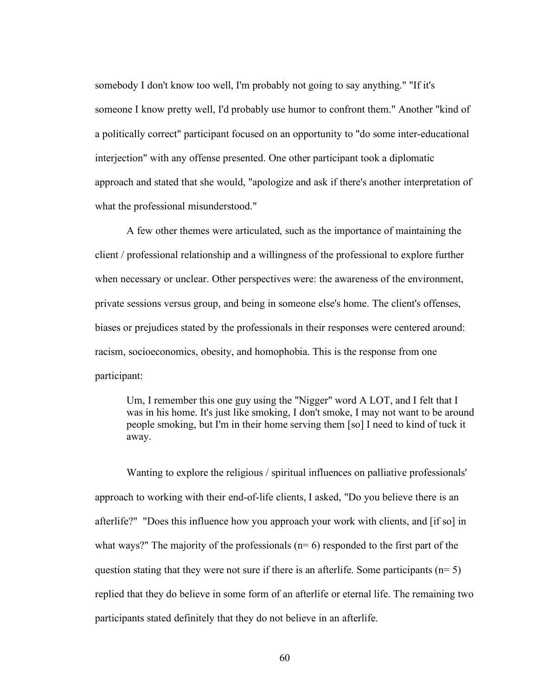somebody I don't know too well, I'm probably not going to say anything." "If it's someone I know pretty well, I'd probably use humor to confront them." Another "kind of a politically correct" participant focused on an opportunity to "do some inter-educational interjection" with any offense presented. One other participant took a diplomatic approach and stated that she would, "apologize and ask if there's another interpretation of what the professional misunderstood."

A few other themes were articulated, such as the importance of maintaining the client / professional relationship and a willingness of the professional to explore further when necessary or unclear. Other perspectives were: the awareness of the environment, private sessions versus group, and being in someone else's home. The client's offenses, biases or prejudices stated by the professionals in their responses were centered around: racism, socioeconomics, obesity, and homophobia. This is the response from one participant:

Um, I remember this one guy using the "Nigger" word A LOT, and I felt that I was in his home. It's just like smoking, I don't smoke, I may not want to be around people smoking, but I'm in their home serving them [so] I need to kind of tuck it away.

Wanting to explore the religious / spiritual influences on palliative professionals' approach to working with their end-of-life clients, I asked, "Do you believe there is an afterlife?" "Does this influence how you approach your work with clients, and [if so] in what ways?" The majority of the professionals  $(n=6)$  responded to the first part of the question stating that they were not sure if there is an afterlife. Some participants ( $n=5$ ) replied that they do believe in some form of an afterlife or eternal life. The remaining two participants stated definitely that they do not believe in an afterlife.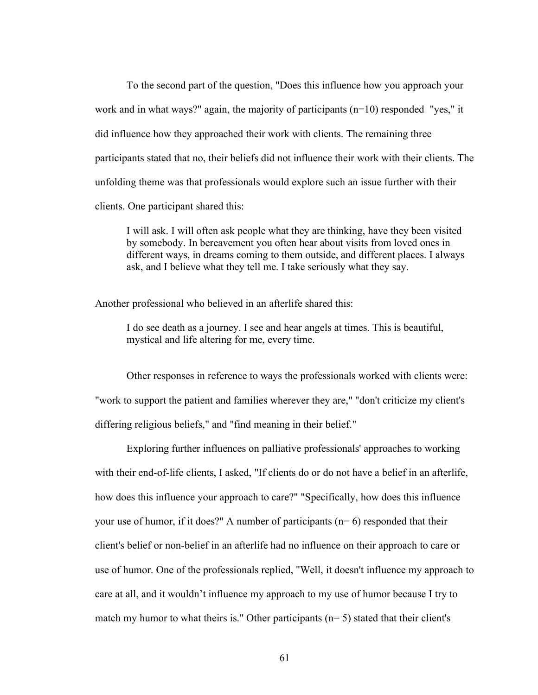To the second part of the question, "Does this influence how you approach your work and in what ways?" again, the majority of participants (n=10) responded "yes," it did influence how they approached their work with clients. The remaining three participants stated that no, their beliefs did not influence their work with their clients. The unfolding theme was that professionals would explore such an issue further with their clients. One participant shared this:

I will ask. I will often ask people what they are thinking, have they been visited by somebody. In bereavement you often hear about visits from loved ones in different ways, in dreams coming to them outside, and different places. I always ask, and I believe what they tell me. I take seriously what they say.

Another professional who believed in an afterlife shared this:

I do see death as a journey. I see and hear angels at times. This is beautiful, mystical and life altering for me, every time.

Other responses in reference to ways the professionals worked with clients were: "work to support the patient and families wherever they are," "don't criticize my client's differing religious beliefs," and "find meaning in their belief."

Exploring further influences on palliative professionals' approaches to working with their end-of-life clients, I asked, "If clients do or do not have a belief in an afterlife, how does this influence your approach to care?" "Specifically, how does this influence your use of humor, if it does?" A number of participants  $(n=6)$  responded that their client's belief or non-belief in an afterlife had no influence on their approach to care or use of humor. One of the professionals replied, "Well, it doesn't influence my approach to care at all, and it wouldn't influence my approach to my use of humor because I try to match my humor to what theirs is." Other participants ( $n=5$ ) stated that their client's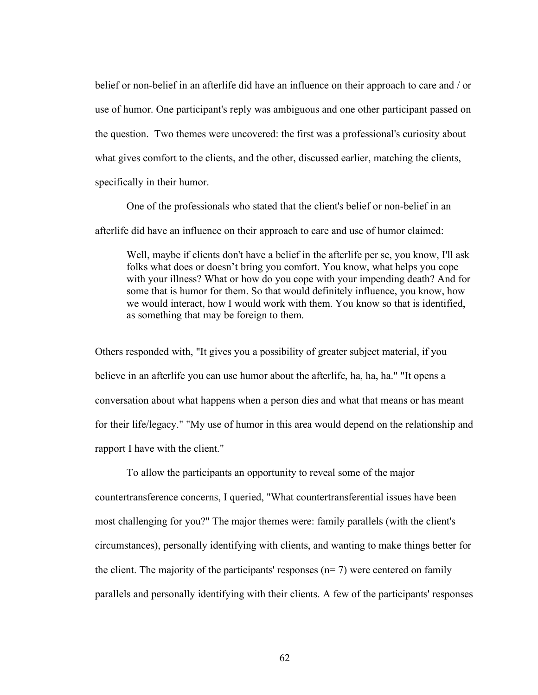belief or non-belief in an afterlife did have an influence on their approach to care and / or use of humor. One participant's reply was ambiguous and one other participant passed on the question. Two themes were uncovered: the first was a professional's curiosity about what gives comfort to the clients, and the other, discussed earlier, matching the clients, specifically in their humor.

One of the professionals who stated that the client's belief or non-belief in an afterlife did have an influence on their approach to care and use of humor claimed:

Well, maybe if clients don't have a belief in the afterlife per se, you know, I'll ask folks what does or doesn't bring you comfort. You know, what helps you cope with your illness? What or how do you cope with your impending death? And for some that is humor for them. So that would definitely influence, you know, how we would interact, how I would work with them. You know so that is identified, as something that may be foreign to them.

Others responded with, "It gives you a possibility of greater subject material, if you believe in an afterlife you can use humor about the afterlife, ha, ha, ha." "It opens a conversation about what happens when a person dies and what that means or has meant for their life/legacy." "My use of humor in this area would depend on the relationship and rapport I have with the client."

To allow the participants an opportunity to reveal some of the major countertransference concerns, I queried, "What countertransferential issues have been most challenging for you?" The major themes were: family parallels (with the client's circumstances), personally identifying with clients, and wanting to make things better for the client. The majority of the participants' responses  $(n= 7)$  were centered on family parallels and personally identifying with their clients. A few of the participants' responses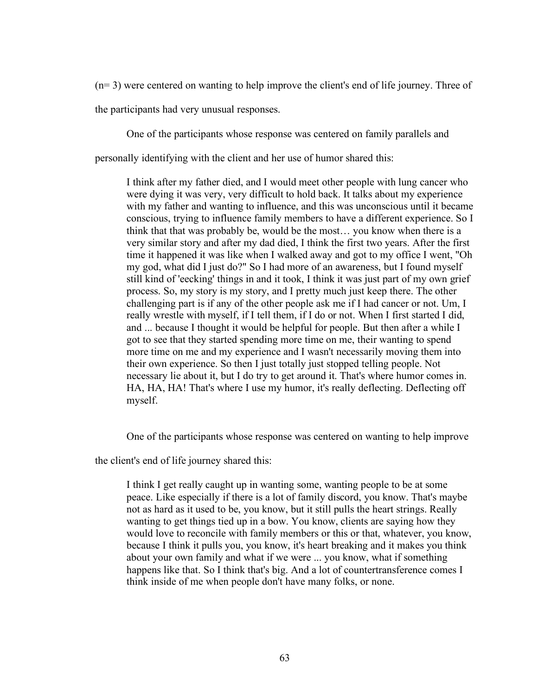(n= 3) were centered on wanting to help improve the client's end of life journey. Three of

the participants had very unusual responses.

One of the participants whose response was centered on family parallels and

personally identifying with the client and her use of humor shared this:

I think after my father died, and I would meet other people with lung cancer who were dying it was very, very difficult to hold back. It talks about my experience with my father and wanting to influence, and this was unconscious until it became conscious, trying to influence family members to have a different experience. So I think that that was probably be, would be the most… you know when there is a very similar story and after my dad died, I think the first two years. After the first time it happened it was like when I walked away and got to my office I went, "Oh my god, what did I just do?" So I had more of an awareness, but I found myself still kind of 'eecking' things in and it took, I think it was just part of my own grief process. So, my story is my story, and I pretty much just keep there. The other challenging part is if any of the other people ask me if I had cancer or not. Um, I really wrestle with myself, if I tell them, if I do or not. When I first started I did, and ... because I thought it would be helpful for people. But then after a while I got to see that they started spending more time on me, their wanting to spend more time on me and my experience and I wasn't necessarily moving them into their own experience. So then I just totally just stopped telling people. Not necessary lie about it, but I do try to get around it. That's where humor comes in. HA, HA, HA! That's where I use my humor, it's really deflecting. Deflecting off myself.

One of the participants whose response was centered on wanting to help improve

the client's end of life journey shared this:

I think I get really caught up in wanting some, wanting people to be at some peace. Like especially if there is a lot of family discord, you know. That's maybe not as hard as it used to be, you know, but it still pulls the heart strings. Really wanting to get things tied up in a bow. You know, clients are saying how they would love to reconcile with family members or this or that, whatever, you know, because I think it pulls you, you know, it's heart breaking and it makes you think about your own family and what if we were ... you know, what if something happens like that. So I think that's big. And a lot of countertransference comes I think inside of me when people don't have many folks, or none.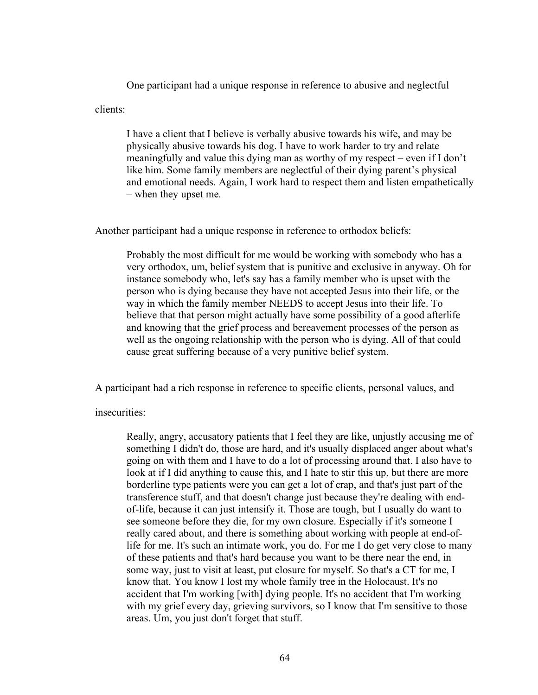One participant had a unique response in reference to abusive and neglectful

clients:

I have a client that I believe is verbally abusive towards his wife, and may be physically abusive towards his dog. I have to work harder to try and relate meaningfully and value this dying man as worthy of my respect – even if I don't like him. Some family members are neglectful of their dying parent's physical and emotional needs. Again, I work hard to respect them and listen empathetically – when they upset me.

Another participant had a unique response in reference to orthodox beliefs:

Probably the most difficult for me would be working with somebody who has a very orthodox, um, belief system that is punitive and exclusive in anyway. Oh for instance somebody who, let's say has a family member who is upset with the person who is dying because they have not accepted Jesus into their life, or the way in which the family member NEEDS to accept Jesus into their life. To believe that that person might actually have some possibility of a good afterlife and knowing that the grief process and bereavement processes of the person as well as the ongoing relationship with the person who is dying. All of that could cause great suffering because of a very punitive belief system.

A participant had a rich response in reference to specific clients, personal values, and

insecurities:

Really, angry, accusatory patients that I feel they are like, unjustly accusing me of something I didn't do, those are hard, and it's usually displaced anger about what's going on with them and I have to do a lot of processing around that. I also have to look at if I did anything to cause this, and I hate to stir this up, but there are more borderline type patients were you can get a lot of crap, and that's just part of the transference stuff, and that doesn't change just because they're dealing with endof-life, because it can just intensify it. Those are tough, but I usually do want to see someone before they die, for my own closure. Especially if it's someone I really cared about, and there is something about working with people at end-oflife for me. It's such an intimate work, you do. For me I do get very close to many of these patients and that's hard because you want to be there near the end, in some way, just to visit at least, put closure for myself. So that's a CT for me, I know that. You know I lost my whole family tree in the Holocaust. It's no accident that I'm working [with] dying people. It's no accident that I'm working with my grief every day, grieving survivors, so I know that I'm sensitive to those areas. Um, you just don't forget that stuff.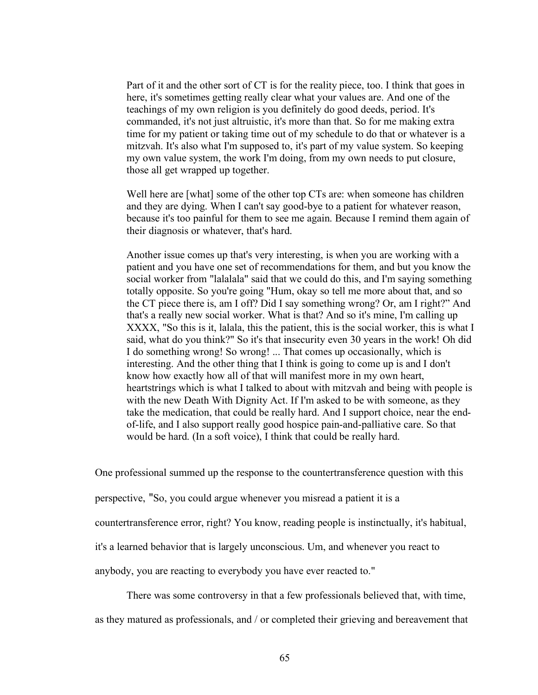Part of it and the other sort of CT is for the reality piece, too. I think that goes in here, it's sometimes getting really clear what your values are. And one of the teachings of my own religion is you definitely do good deeds, period. It's commanded, it's not just altruistic, it's more than that. So for me making extra time for my patient or taking time out of my schedule to do that or whatever is a mitzvah. It's also what I'm supposed to, it's part of my value system. So keeping my own value system, the work I'm doing, from my own needs to put closure, those all get wrapped up together.

Well here are [what] some of the other top CTs are: when someone has children and they are dying. When I can't say good-bye to a patient for whatever reason, because it's too painful for them to see me again. Because I remind them again of their diagnosis or whatever, that's hard.

Another issue comes up that's very interesting, is when you are working with a patient and you have one set of recommendations for them, and but you know the social worker from "lalalala" said that we could do this, and I'm saying something totally opposite. So you're going "Hum, okay so tell me more about that, and so the CT piece there is, am I off? Did I say something wrong? Or, am I right?" And that's a really new social worker. What is that? And so it's mine, I'm calling up XXXX, "So this is it, lalala, this the patient, this is the social worker, this is what I said, what do you think?" So it's that insecurity even 30 years in the work! Oh did I do something wrong! So wrong! ... That comes up occasionally, which is interesting. And the other thing that I think is going to come up is and I don't know how exactly how all of that will manifest more in my own heart, heartstrings which is what I talked to about with mitzvah and being with people is with the new Death With Dignity Act. If I'm asked to be with someone, as they take the medication, that could be really hard. And I support choice, near the endof-life, and I also support really good hospice pain-and-palliative care. So that would be hard. (In a soft voice), I think that could be really hard.

One professional summed up the response to the countertransference question with this

perspective, "So, you could argue whenever you misread a patient it is a

countertransference error, right? You know, reading people is instinctually, it's habitual,

it's a learned behavior that is largely unconscious. Um, and whenever you react to

anybody, you are reacting to everybody you have ever reacted to."

There was some controversy in that a few professionals believed that, with time,

as they matured as professionals, and / or completed their grieving and bereavement that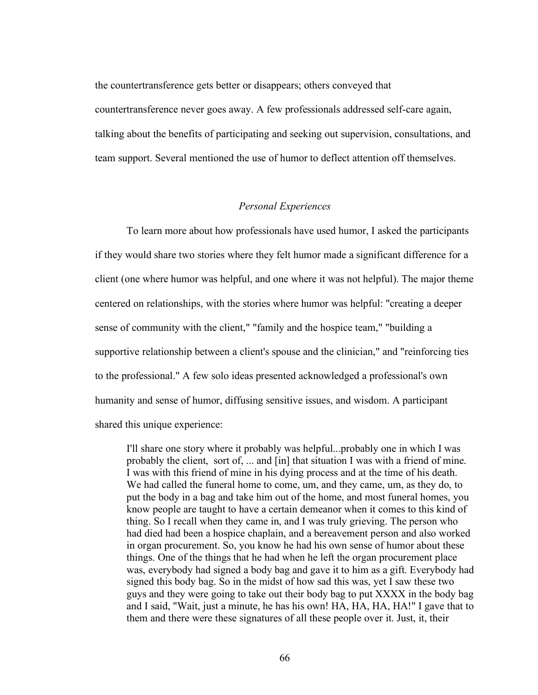the countertransference gets better or disappears; others conveyed that countertransference never goes away. A few professionals addressed self-care again, talking about the benefits of participating and seeking out supervision, consultations, and team support. Several mentioned the use of humor to deflect attention off themselves.

### *Personal Experiences*

To learn more about how professionals have used humor, I asked the participants if they would share two stories where they felt humor made a significant difference for a client (one where humor was helpful, and one where it was not helpful). The major theme centered on relationships, with the stories where humor was helpful: "creating a deeper sense of community with the client," "family and the hospice team," "building a supportive relationship between a client's spouse and the clinician," and "reinforcing ties to the professional." A few solo ideas presented acknowledged a professional's own humanity and sense of humor, diffusing sensitive issues, and wisdom. A participant shared this unique experience:

I'll share one story where it probably was helpful...probably one in which I was probably the client, sort of, ... and [in] that situation I was with a friend of mine. I was with this friend of mine in his dying process and at the time of his death. We had called the funeral home to come, um, and they came, um, as they do, to put the body in a bag and take him out of the home, and most funeral homes, you know people are taught to have a certain demeanor when it comes to this kind of thing. So I recall when they came in, and I was truly grieving. The person who had died had been a hospice chaplain, and a bereavement person and also worked in organ procurement. So, you know he had his own sense of humor about these things. One of the things that he had when he left the organ procurement place was, everybody had signed a body bag and gave it to him as a gift. Everybody had signed this body bag. So in the midst of how sad this was, yet I saw these two guys and they were going to take out their body bag to put XXXX in the body bag and I said, "Wait, just a minute, he has his own! HA, HA, HA, HA!" I gave that to them and there were these signatures of all these people over it. Just, it, their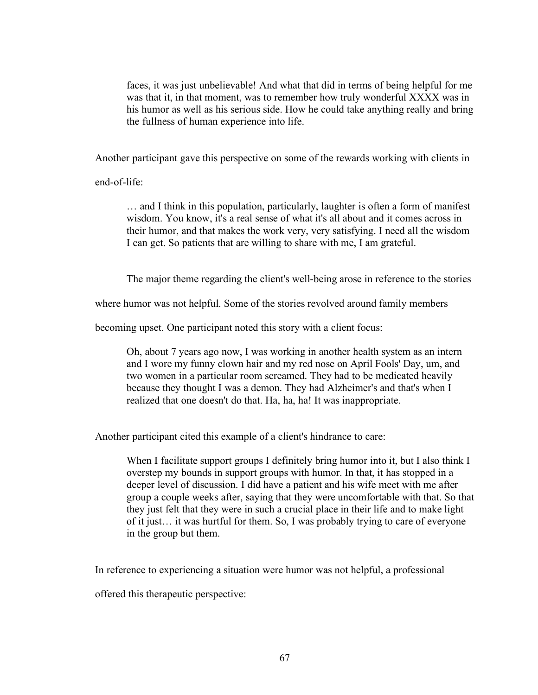faces, it was just unbelievable! And what that did in terms of being helpful for me was that it, in that moment, was to remember how truly wonderful XXXX was in his humor as well as his serious side. How he could take anything really and bring the fullness of human experience into life.

Another participant gave this perspective on some of the rewards working with clients in

end-of-life:

… and I think in this population, particularly, laughter is often a form of manifest wisdom. You know, it's a real sense of what it's all about and it comes across in their humor, and that makes the work very, very satisfying. I need all the wisdom I can get. So patients that are willing to share with me, I am grateful.

The major theme regarding the client's well-being arose in reference to the stories

where humor was not helpful. Some of the stories revolved around family members

becoming upset. One participant noted this story with a client focus:

Oh, about 7 years ago now, I was working in another health system as an intern and I wore my funny clown hair and my red nose on April Fools' Day, um, and two women in a particular room screamed. They had to be medicated heavily because they thought I was a demon. They had Alzheimer's and that's when I realized that one doesn't do that. Ha, ha, ha! It was inappropriate.

Another participant cited this example of a client's hindrance to care:

When I facilitate support groups I definitely bring humor into it, but I also think I overstep my bounds in support groups with humor. In that, it has stopped in a deeper level of discussion. I did have a patient and his wife meet with me after group a couple weeks after, saying that they were uncomfortable with that. So that they just felt that they were in such a crucial place in their life and to make light of it just… it was hurtful for them. So, I was probably trying to care of everyone in the group but them.

In reference to experiencing a situation were humor was not helpful, a professional

offered this therapeutic perspective: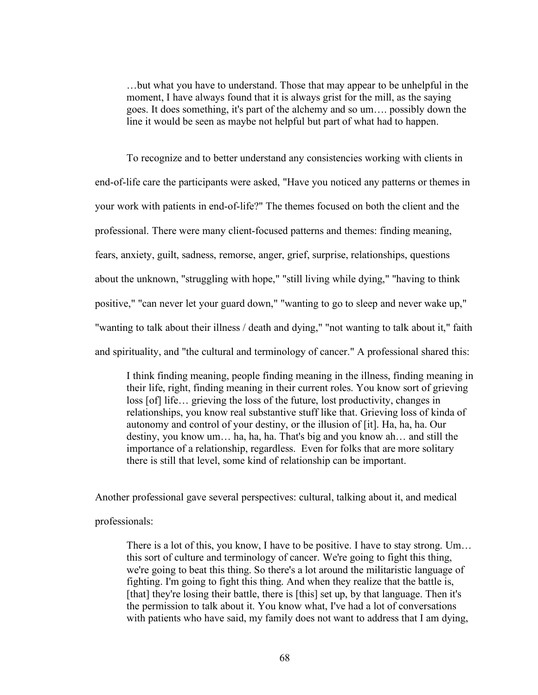…but what you have to understand. Those that may appear to be unhelpful in the moment, I have always found that it is always grist for the mill, as the saying goes. It does something, it's part of the alchemy and so um…. possibly down the line it would be seen as maybe not helpful but part of what had to happen.

To recognize and to better understand any consistencies working with clients in end-of-life care the participants were asked, "Have you noticed any patterns or themes in your work with patients in end-of-life?" The themes focused on both the client and the professional. There were many client-focused patterns and themes: finding meaning, fears, anxiety, guilt, sadness, remorse, anger, grief, surprise, relationships, questions about the unknown, "struggling with hope," "still living while dying," "having to think positive," "can never let your guard down," "wanting to go to sleep and never wake up," "wanting to talk about their illness / death and dying," "not wanting to talk about it," faith and spirituality, and "the cultural and terminology of cancer." A professional shared this:

I think finding meaning, people finding meaning in the illness, finding meaning in their life, right, finding meaning in their current roles. You know sort of grieving loss [of] life… grieving the loss of the future, lost productivity, changes in relationships, you know real substantive stuff like that. Grieving loss of kinda of autonomy and control of your destiny, or the illusion of [it]. Ha, ha, ha. Our destiny, you know um… ha, ha, ha. That's big and you know ah… and still the importance of a relationship, regardless. Even for folks that are more solitary there is still that level, some kind of relationship can be important.

Another professional gave several perspectives: cultural, talking about it, and medical

# professionals:

There is a lot of this, you know, I have to be positive. I have to stay strong. Um… this sort of culture and terminology of cancer. We're going to fight this thing, we're going to beat this thing. So there's a lot around the militaristic language of fighting. I'm going to fight this thing. And when they realize that the battle is, [that] they're losing their battle, there is [this] set up, by that language. Then it's the permission to talk about it. You know what, I've had a lot of conversations with patients who have said, my family does not want to address that I am dying,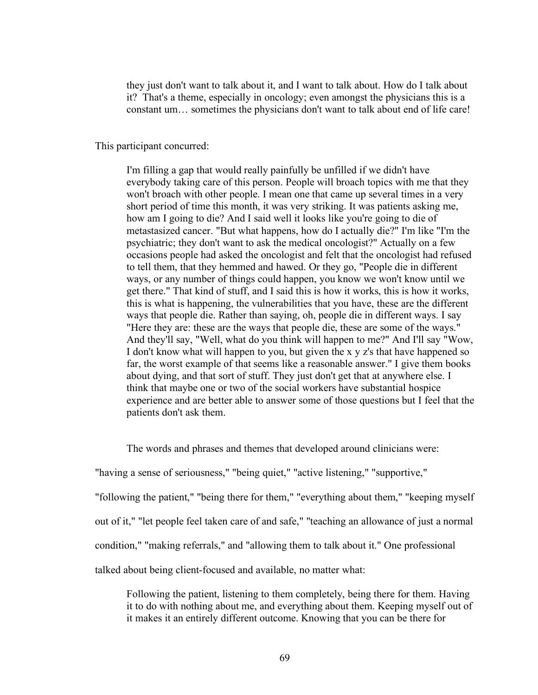they just don't want to talk about it, and I want to talk about. How do I talk about it? That's a theme, especially in oncology; even amongst the physicians this is a constant um… sometimes the physicians don't want to talk about end of life care!

This participant concurred:

I'm filling a gap that would really painfully be unfilled if we didn't have everybody taking care of this person. People will broach topics with me that they won't broach with other people. I mean one that came up several times in a very short period of time this month, it was very striking. It was patients asking me, how am I going to die? And I said well it looks like you're going to die of metastasized cancer. "But what happens, how do I actually die?" I'm like "I'm the psychiatric; they don't want to ask the medical oncologist?" Actually on a few occasions people had asked the oncologist and felt that the oncologist had refused to tell them, that they hemmed and hawed. Or they go, "People die in different ways, or any number of things could happen, you know we won't know until we get there." That kind of stuff, and I said this is how it works, this is how it works, this is what is happening, the vulnerabilities that you have, these are the different ways that people die. Rather than saying, oh, people die in different ways. I say "Here they are: these are the ways that people die, these are some of the ways." And they'll say, "Well, what do you think will happen to me?" And I'll say "Wow, I don't know what will happen to you, but given the x y z's that have happened so far, the worst example of that seems like a reasonable answer." I give them books about dying, and that sort of stuff. They just don't get that at anywhere else. I think that maybe one or two of the social workers have substantial hospice experience and are better able to answer some of those questions but I feel that the patients don't ask them.

The words and phrases and themes that developed around clinicians were:

"having a sense of seriousness," "being quiet," "active listening," "supportive,"

"following the patient," "being there for them," "everything about them," "keeping myself

out of it," "let people feel taken care of and safe," "teaching an allowance of just a normal

condition," "making referrals," and "allowing them to talk about it." One professional

talked about being client-focused and available, no matter what:

Following the patient, listening to them completely, being there for them. Having it to do with nothing about me, and everything about them. Keeping myself out of it makes it an entirely different outcome. Knowing that you can be there for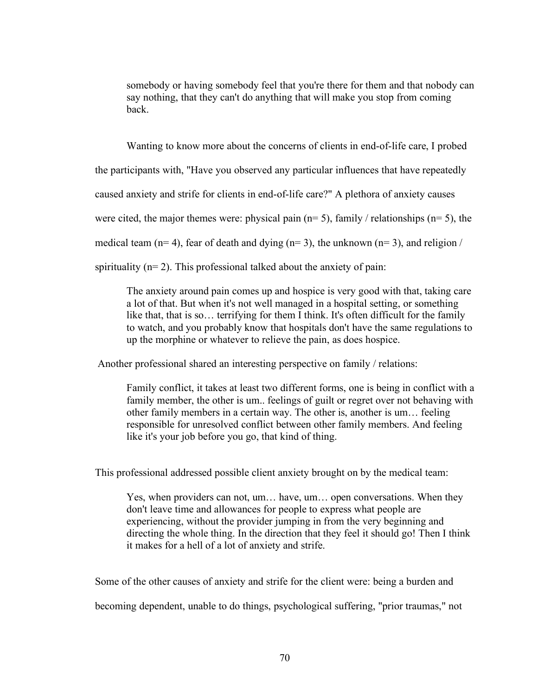somebody or having somebody feel that you're there for them and that nobody can say nothing, that they can't do anything that will make you stop from coming back.

Wanting to know more about the concerns of clients in end-of-life care, I probed

the participants with, "Have you observed any particular influences that have repeatedly

caused anxiety and strife for clients in end-of-life care?" A plethora of anxiety causes

were cited, the major themes were: physical pain  $(n= 5)$ , family / relationships  $(n= 5)$ , the

medical team ( $n= 4$ ), fear of death and dying ( $n= 3$ ), the unknown ( $n= 3$ ), and religion /

spirituality  $(n=2)$ . This professional talked about the anxiety of pain:

The anxiety around pain comes up and hospice is very good with that, taking care a lot of that. But when it's not well managed in a hospital setting, or something like that, that is so… terrifying for them I think. It's often difficult for the family to watch, and you probably know that hospitals don't have the same regulations to up the morphine or whatever to relieve the pain, as does hospice.

Another professional shared an interesting perspective on family / relations:

Family conflict, it takes at least two different forms, one is being in conflict with a family member, the other is um.. feelings of guilt or regret over not behaving with other family members in a certain way. The other is, another is um… feeling responsible for unresolved conflict between other family members. And feeling like it's your job before you go, that kind of thing.

This professional addressed possible client anxiety brought on by the medical team:

Yes, when providers can not, um… have, um… open conversations. When they don't leave time and allowances for people to express what people are experiencing, without the provider jumping in from the very beginning and directing the whole thing. In the direction that they feel it should go! Then I think it makes for a hell of a lot of anxiety and strife.

Some of the other causes of anxiety and strife for the client were: being a burden and

becoming dependent, unable to do things, psychological suffering, "prior traumas," not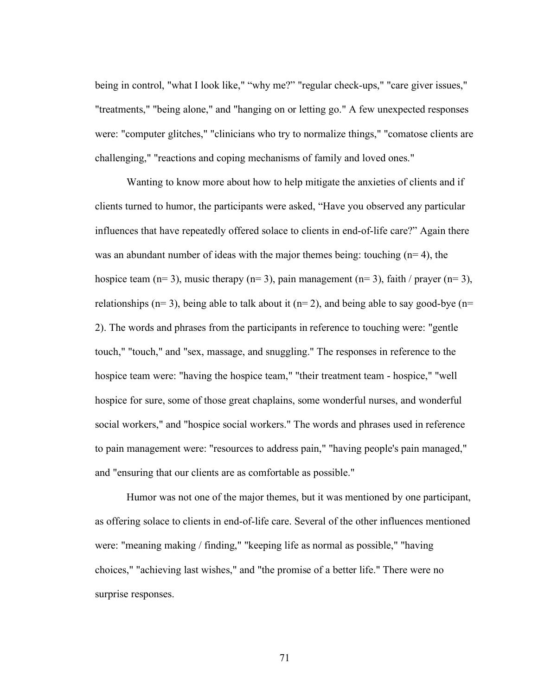being in control, "what I look like," "why me?" "regular check-ups," "care giver issues," "treatments," "being alone," and "hanging on or letting go." A few unexpected responses were: "computer glitches," "clinicians who try to normalize things," "comatose clients are challenging," "reactions and coping mechanisms of family and loved ones."

Wanting to know more about how to help mitigate the anxieties of clients and if clients turned to humor, the participants were asked, "Have you observed any particular influences that have repeatedly offered solace to clients in end-of-life care?" Again there was an abundant number of ideas with the major themes being: touching  $(n=4)$ , the hospice team  $(n= 3)$ , music therapy  $(n= 3)$ , pain management  $(n= 3)$ , faith / prayer  $(n= 3)$ , relationships ( $n= 3$ ), being able to talk about it ( $n= 2$ ), and being able to say good-bye ( $n=$ 2). The words and phrases from the participants in reference to touching were: "gentle touch," "touch," and "sex, massage, and snuggling." The responses in reference to the hospice team were: "having the hospice team," "their treatment team - hospice," "well hospice for sure, some of those great chaplains, some wonderful nurses, and wonderful social workers," and "hospice social workers." The words and phrases used in reference to pain management were: "resources to address pain," "having people's pain managed," and "ensuring that our clients are as comfortable as possible."

Humor was not one of the major themes, but it was mentioned by one participant, as offering solace to clients in end-of-life care. Several of the other influences mentioned were: "meaning making / finding," "keeping life as normal as possible," "having choices," "achieving last wishes," and "the promise of a better life." There were no surprise responses.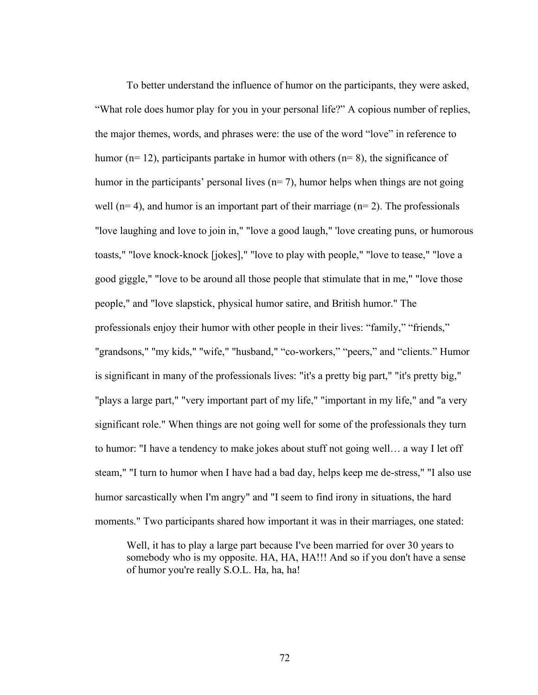To better understand the influence of humor on the participants, they were asked, "What role does humor play for you in your personal life?" A copious number of replies, the major themes, words, and phrases were: the use of the word "love" in reference to humor ( $n= 12$ ), participants partake in humor with others ( $n= 8$ ), the significance of humor in the participants' personal lives  $(n= 7)$ , humor helps when things are not going well ( $n= 4$ ), and humor is an important part of their marriage ( $n= 2$ ). The professionals "love laughing and love to join in," "love a good laugh," 'love creating puns, or humorous toasts," "love knock-knock [jokes]," "love to play with people," "love to tease," "love a good giggle," "love to be around all those people that stimulate that in me," "love those people," and "love slapstick, physical humor satire, and British humor." The professionals enjoy their humor with other people in their lives: "family," "friends," "grandsons," "my kids," "wife," "husband," "co-workers," "peers," and "clients." Humor is significant in many of the professionals lives: "it's a pretty big part," "it's pretty big," "plays a large part," "very important part of my life," "important in my life," and "a very significant role." When things are not going well for some of the professionals they turn to humor: "I have a tendency to make jokes about stuff not going well… a way I let off steam," "I turn to humor when I have had a bad day, helps keep me de-stress," "I also use humor sarcastically when I'm angry" and "I seem to find irony in situations, the hard moments." Two participants shared how important it was in their marriages, one stated:

Well, it has to play a large part because I've been married for over 30 years to somebody who is my opposite. HA, HA, HA!!! And so if you don't have a sense of humor you're really S.O.L. Ha, ha, ha!

72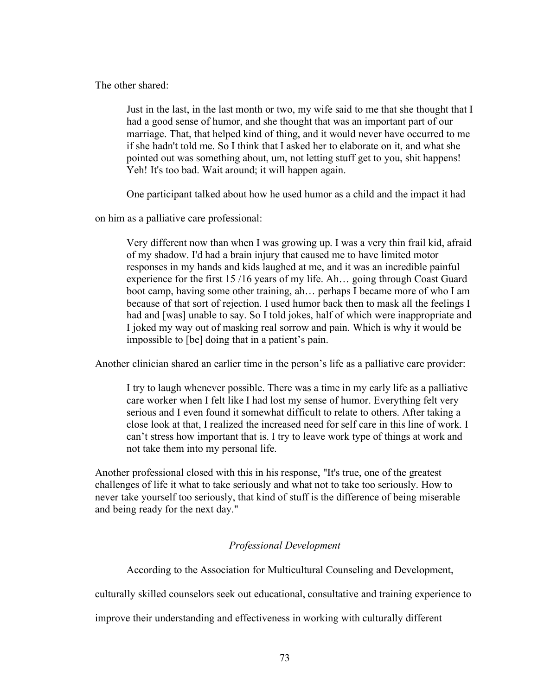The other shared:

Just in the last, in the last month or two, my wife said to me that she thought that I had a good sense of humor, and she thought that was an important part of our marriage. That, that helped kind of thing, and it would never have occurred to me if she hadn't told me. So I think that I asked her to elaborate on it, and what she pointed out was something about, um, not letting stuff get to you, shit happens! Yeh! It's too bad. Wait around; it will happen again.

One participant talked about how he used humor as a child and the impact it had

on him as a palliative care professional:

Very different now than when I was growing up. I was a very thin frail kid, afraid of my shadow. I'd had a brain injury that caused me to have limited motor responses in my hands and kids laughed at me, and it was an incredible painful experience for the first 15 /16 years of my life. Ah… going through Coast Guard boot camp, having some other training, ah… perhaps I became more of who I am because of that sort of rejection. I used humor back then to mask all the feelings I had and [was] unable to say. So I told jokes, half of which were inappropriate and I joked my way out of masking real sorrow and pain. Which is why it would be impossible to [be] doing that in a patient's pain.

Another clinician shared an earlier time in the person's life as a palliative care provider:

I try to laugh whenever possible. There was a time in my early life as a palliative care worker when I felt like I had lost my sense of humor. Everything felt very serious and I even found it somewhat difficult to relate to others. After taking a close look at that, I realized the increased need for self care in this line of work. I can't stress how important that is. I try to leave work type of things at work and not take them into my personal life.

Another professional closed with this in his response, "It's true, one of the greatest challenges of life it what to take seriously and what not to take too seriously. How to never take yourself too seriously, that kind of stuff is the difference of being miserable and being ready for the next day."

# *Professional Development*

According to the Association for Multicultural Counseling and Development,

culturally skilled counselors seek out educational, consultative and training experience to

improve their understanding and effectiveness in working with culturally different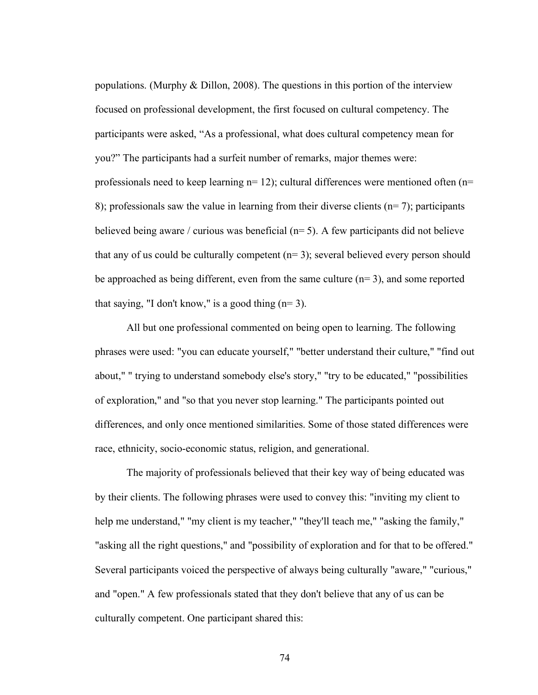populations. (Murphy & Dillon, 2008). The questions in this portion of the interview focused on professional development, the first focused on cultural competency. The participants were asked, "As a professional, what does cultural competency mean for you?" The participants had a surfeit number of remarks, major themes were: professionals need to keep learning  $n=12$ ); cultural differences were mentioned often  $(n=$ 8); professionals saw the value in learning from their diverse clients ( $n=7$ ); participants believed being aware / curious was beneficial  $(n=5)$ . A few participants did not believe that any of us could be culturally competent  $(n=3)$ ; several believed every person should be approached as being different, even from the same culture  $(n=3)$ , and some reported that saying, "I don't know," is a good thing  $(n=3)$ .

All but one professional commented on being open to learning. The following phrases were used: "you can educate yourself," "better understand their culture," "find out about," " trying to understand somebody else's story," "try to be educated," "possibilities of exploration," and "so that you never stop learning." The participants pointed out differences, and only once mentioned similarities. Some of those stated differences were race, ethnicity, socio-economic status, religion, and generational.

The majority of professionals believed that their key way of being educated was by their clients. The following phrases were used to convey this: "inviting my client to help me understand," "my client is my teacher," "they'll teach me," "asking the family," "asking all the right questions," and "possibility of exploration and for that to be offered." Several participants voiced the perspective of always being culturally "aware," "curious," and "open." A few professionals stated that they don't believe that any of us can be culturally competent. One participant shared this:

74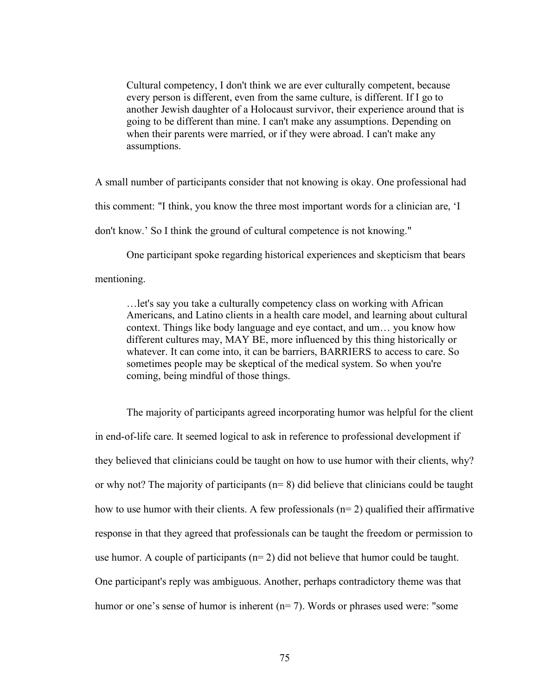Cultural competency, I don't think we are ever culturally competent, because every person is different, even from the same culture, is different. If I go to another Jewish daughter of a Holocaust survivor, their experience around that is going to be different than mine. I can't make any assumptions. Depending on when their parents were married, or if they were abroad. I can't make any assumptions.

A small number of participants consider that not knowing is okay. One professional had this comment: "I think, you know the three most important words for a clinician are, 'I don't know.' So I think the ground of cultural competence is not knowing."

One participant spoke regarding historical experiences and skepticism that bears

mentioning.

…let's say you take a culturally competency class on working with African Americans, and Latino clients in a health care model, and learning about cultural context. Things like body language and eye contact, and um… you know how different cultures may, MAY BE, more influenced by this thing historically or whatever. It can come into, it can be barriers, BARRIERS to access to care. So sometimes people may be skeptical of the medical system. So when you're coming, being mindful of those things.

The majority of participants agreed incorporating humor was helpful for the client in end-of-life care. It seemed logical to ask in reference to professional development if they believed that clinicians could be taught on how to use humor with their clients, why? or why not? The majority of participants  $(n=8)$  did believe that clinicians could be taught how to use humor with their clients. A few professionals  $(n=2)$  qualified their affirmative response in that they agreed that professionals can be taught the freedom or permission to use humor. A couple of participants  $(n=2)$  did not believe that humor could be taught. One participant's reply was ambiguous. Another, perhaps contradictory theme was that humor or one's sense of humor is inherent (n= 7). Words or phrases used were: "some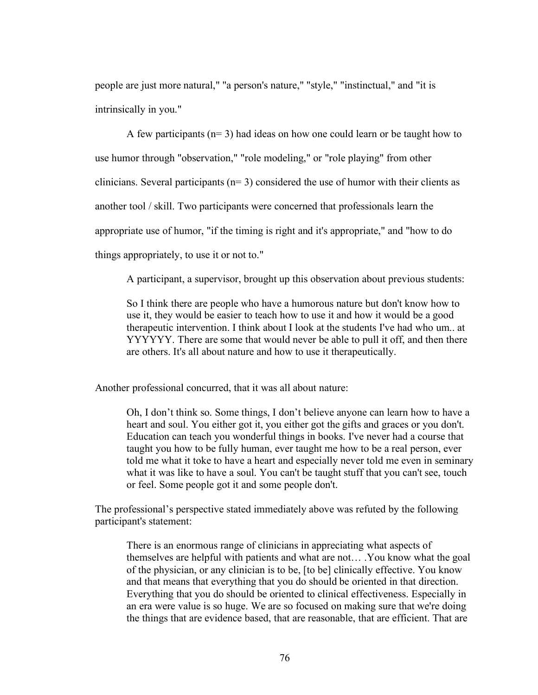people are just more natural," "a person's nature," "style," "instinctual," and "it is intrinsically in you."

A few participants ( $n=3$ ) had ideas on how one could learn or be taught how to use humor through "observation," "role modeling," or "role playing" from other clinicians. Several participants ( $n=3$ ) considered the use of humor with their clients as another tool / skill. Two participants were concerned that professionals learn the appropriate use of humor, "if the timing is right and it's appropriate," and "how to do things appropriately, to use it or not to."

A participant, a supervisor, brought up this observation about previous students:

So I think there are people who have a humorous nature but don't know how to use it, they would be easier to teach how to use it and how it would be a good therapeutic intervention. I think about I look at the students I've had who um.. at YYYYYY. There are some that would never be able to pull it off, and then there are others. It's all about nature and how to use it therapeutically.

Another professional concurred, that it was all about nature:

Oh, I don't think so. Some things, I don't believe anyone can learn how to have a heart and soul. You either got it, you either got the gifts and graces or you don't. Education can teach you wonderful things in books. I've never had a course that taught you how to be fully human, ever taught me how to be a real person, ever told me what it toke to have a heart and especially never told me even in seminary what it was like to have a soul. You can't be taught stuff that you can't see, touch or feel. Some people got it and some people don't.

The professional's perspective stated immediately above was refuted by the following participant's statement:

There is an enormous range of clinicians in appreciating what aspects of themselves are helpful with patients and what are not… .You know what the goal of the physician, or any clinician is to be, [to be] clinically effective. You know and that means that everything that you do should be oriented in that direction. Everything that you do should be oriented to clinical effectiveness. Especially in an era were value is so huge. We are so focused on making sure that we're doing the things that are evidence based, that are reasonable, that are efficient. That are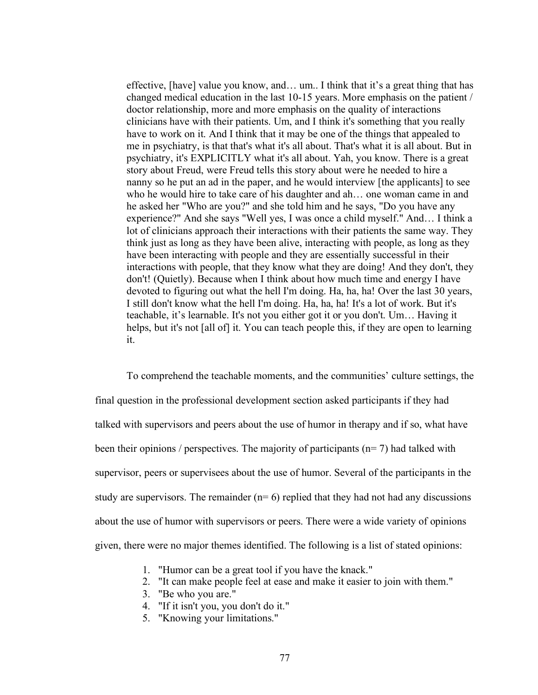effective, [have] value you know, and… um.. I think that it's a great thing that has changed medical education in the last 10-15 years. More emphasis on the patient / doctor relationship, more and more emphasis on the quality of interactions clinicians have with their patients. Um, and I think it's something that you really have to work on it. And I think that it may be one of the things that appealed to me in psychiatry, is that that's what it's all about. That's what it is all about. But in psychiatry, it's EXPLICITLY what it's all about. Yah, you know. There is a great story about Freud, were Freud tells this story about were he needed to hire a nanny so he put an ad in the paper, and he would interview [the applicants] to see who he would hire to take care of his daughter and ah… one woman came in and he asked her "Who are you?" and she told him and he says, "Do you have any experience?" And she says "Well yes, I was once a child myself." And… I think a lot of clinicians approach their interactions with their patients the same way. They think just as long as they have been alive, interacting with people, as long as they have been interacting with people and they are essentially successful in their interactions with people, that they know what they are doing! And they don't, they don't! (Quietly). Because when I think about how much time and energy I have devoted to figuring out what the hell I'm doing. Ha, ha, ha! Over the last 30 years, I still don't know what the hell I'm doing. Ha, ha, ha! It's a lot of work. But it's teachable, it's learnable. It's not you either got it or you don't. Um… Having it helps, but it's not [all of] it. You can teach people this, if they are open to learning it.

To comprehend the teachable moments, and the communities' culture settings, the final question in the professional development section asked participants if they had talked with supervisors and peers about the use of humor in therapy and if so, what have been their opinions / perspectives. The majority of participants ( $n= 7$ ) had talked with supervisor, peers or supervisees about the use of humor. Several of the participants in the study are supervisors. The remainder  $(n=6)$  replied that they had not had any discussions about the use of humor with supervisors or peers. There were a wide variety of opinions given, there were no major themes identified. The following is a list of stated opinions:

- 1. "Humor can be a great tool if you have the knack."
- 2. "It can make people feel at ease and make it easier to join with them."
- 3. "Be who you are."
- 4. "If it isn't you, you don't do it."
- 5. "Knowing your limitations."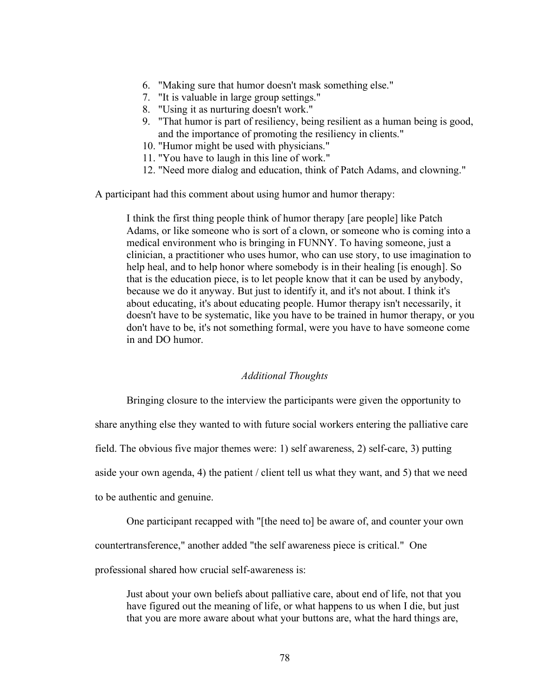- 6. "Making sure that humor doesn't mask something else."
- 7. "It is valuable in large group settings."
- 8. "Using it as nurturing doesn't work."
- 9. "That humor is part of resiliency, being resilient as a human being is good, and the importance of promoting the resiliency in clients."
- 10. "Humor might be used with physicians."
- 11. "You have to laugh in this line of work."
- 12. "Need more dialog and education, think of Patch Adams, and clowning."

A participant had this comment about using humor and humor therapy:

I think the first thing people think of humor therapy [are people] like Patch Adams, or like someone who is sort of a clown, or someone who is coming into a medical environment who is bringing in FUNNY. To having someone, just a clinician, a practitioner who uses humor, who can use story, to use imagination to help heal, and to help honor where somebody is in their healing [is enough]. So that is the education piece, is to let people know that it can be used by anybody, because we do it anyway. But just to identify it, and it's not about. I think it's about educating, it's about educating people. Humor therapy isn't necessarily, it doesn't have to be systematic, like you have to be trained in humor therapy, or you don't have to be, it's not something formal, were you have to have someone come in and DO humor.

## *Additional Thoughts*

Bringing closure to the interview the participants were given the opportunity to

share anything else they wanted to with future social workers entering the palliative care

field. The obvious five major themes were: 1) self awareness, 2) self-care, 3) putting

aside your own agenda, 4) the patient / client tell us what they want, and 5) that we need

to be authentic and genuine.

One participant recapped with "[the need to] be aware of, and counter your own

countertransference," another added "the self awareness piece is critical." One

professional shared how crucial self-awareness is:

Just about your own beliefs about palliative care, about end of life, not that you have figured out the meaning of life, or what happens to us when I die, but just that you are more aware about what your buttons are, what the hard things are,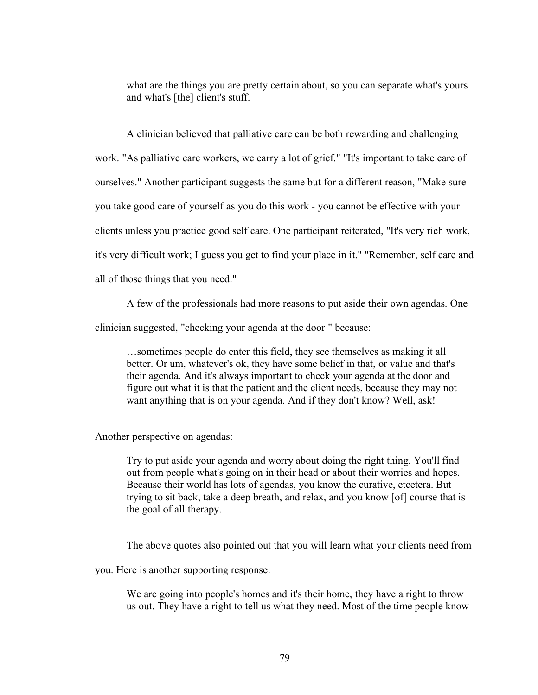what are the things you are pretty certain about, so you can separate what's yours and what's [the] client's stuff.

A clinician believed that palliative care can be both rewarding and challenging work. "As palliative care workers, we carry a lot of grief." "It's important to take care of ourselves." Another participant suggests the same but for a different reason, "Make sure you take good care of yourself as you do this work - you cannot be effective with your clients unless you practice good self care. One participant reiterated, "It's very rich work, it's very difficult work; I guess you get to find your place in it." "Remember, self care and all of those things that you need."

A few of the professionals had more reasons to put aside their own agendas. One

clinician suggested, "checking your agenda at the door " because:

…sometimes people do enter this field, they see themselves as making it all better. Or um, whatever's ok, they have some belief in that, or value and that's their agenda. And it's always important to check your agenda at the door and figure out what it is that the patient and the client needs, because they may not want anything that is on your agenda. And if they don't know? Well, ask!

Another perspective on agendas:

Try to put aside your agenda and worry about doing the right thing. You'll find out from people what's going on in their head or about their worries and hopes. Because their world has lots of agendas, you know the curative, etcetera. But trying to sit back, take a deep breath, and relax, and you know [of] course that is the goal of all therapy.

The above quotes also pointed out that you will learn what your clients need from

you. Here is another supporting response:

We are going into people's homes and it's their home, they have a right to throw us out. They have a right to tell us what they need. Most of the time people know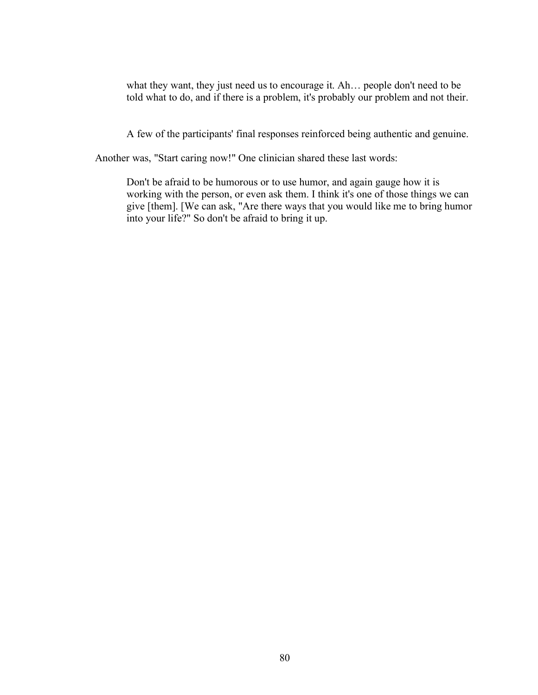what they want, they just need us to encourage it. Ah… people don't need to be told what to do, and if there is a problem, it's probably our problem and not their.

A few of the participants' final responses reinforced being authentic and genuine.

Another was, "Start caring now!" One clinician shared these last words:

Don't be afraid to be humorous or to use humor, and again gauge how it is working with the person, or even ask them. I think it's one of those things we can give [them]. [We can ask, "Are there ways that you would like me to bring humor into your life?" So don't be afraid to bring it up.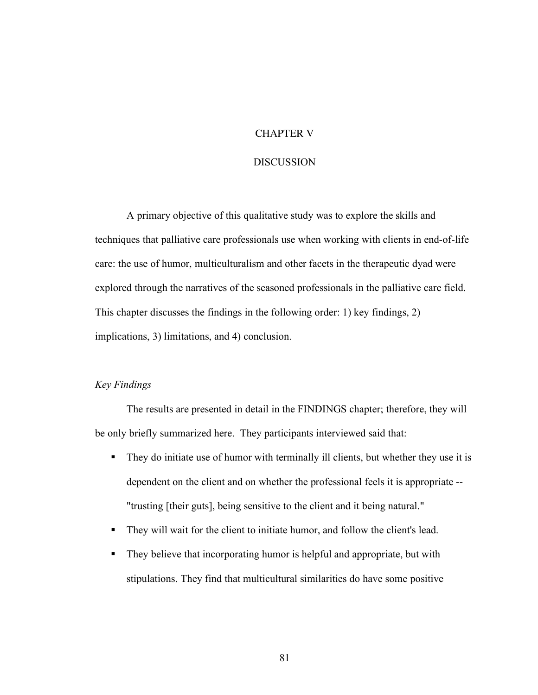## CHAPTER V

#### DISCUSSION

A primary objective of this qualitative study was to explore the skills and techniques that palliative care professionals use when working with clients in end-of-life care: the use of humor, multiculturalism and other facets in the therapeutic dyad were explored through the narratives of the seasoned professionals in the palliative care field. This chapter discusses the findings in the following order: 1) key findings, 2) implications, 3) limitations, and 4) conclusion.

# *Key Findings*

The results are presented in detail in the FINDINGS chapter; therefore, they will be only briefly summarized here. They participants interviewed said that:

- They do initiate use of humor with terminally ill clients, but whether they use it is dependent on the client and on whether the professional feels it is appropriate -- "trusting [their guts], being sensitive to the client and it being natural."
- They will wait for the client to initiate humor, and follow the client's lead.
- They believe that incorporating humor is helpful and appropriate, but with stipulations. They find that multicultural similarities do have some positive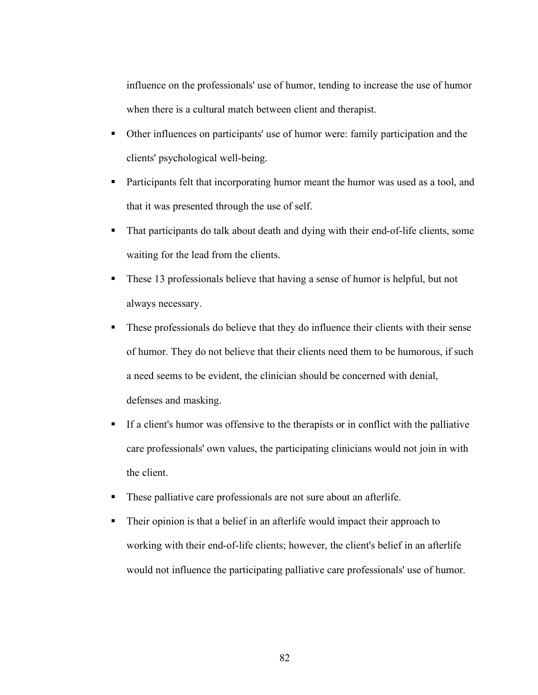influence on the professionals' use of humor, tending to increase the use of humor when there is a cultural match between client and therapist.

- Other influences on participants' use of humor were: family participation and the clients' psychological well-being.
- **Participants felt that incorporating humor meant the humor was used as a tool, and** that it was presented through the use of self.
- That participants do talk about death and dying with their end-of-life clients, some waiting for the lead from the clients.
- These 13 professionals believe that having a sense of humor is helpful, but not always necessary.
- These professionals do believe that they do influence their clients with their sense of humor. They do not believe that their clients need them to be humorous, if such a need seems to be evident, the clinician should be concerned with denial, defenses and masking.
- If a client's humor was offensive to the therapists or in conflict with the palliative care professionals' own values, the participating clinicians would not join in with the client.
- These palliative care professionals are not sure about an afterlife.
- Their opinion is that a belief in an afterlife would impact their approach to working with their end-of-life clients; however, the client's belief in an afterlife would not influence the participating palliative care professionals' use of humor.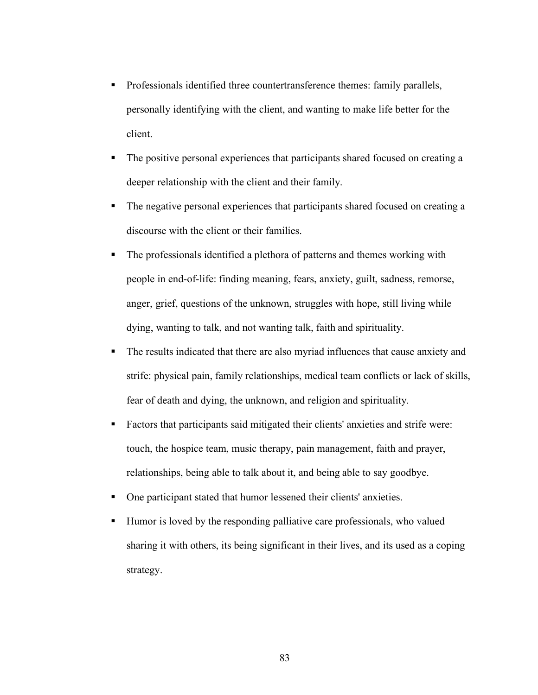- Professionals identified three countertransference themes: family parallels, personally identifying with the client, and wanting to make life better for the client.
- The positive personal experiences that participants shared focused on creating a deeper relationship with the client and their family.
- The negative personal experiences that participants shared focused on creating a discourse with the client or their families.
- The professionals identified a plethora of patterns and themes working with people in end-of-life: finding meaning, fears, anxiety, guilt, sadness, remorse, anger, grief, questions of the unknown, struggles with hope, still living while dying, wanting to talk, and not wanting talk, faith and spirituality.
- The results indicated that there are also myriad influences that cause anxiety and strife: physical pain, family relationships, medical team conflicts or lack of skills, fear of death and dying, the unknown, and religion and spirituality.
- Factors that participants said mitigated their clients' anxieties and strife were: touch, the hospice team, music therapy, pain management, faith and prayer, relationships, being able to talk about it, and being able to say goodbye.
- One participant stated that humor lessened their clients' anxieties.
- Humor is loved by the responding palliative care professionals, who valued sharing it with others, its being significant in their lives, and its used as a coping strategy.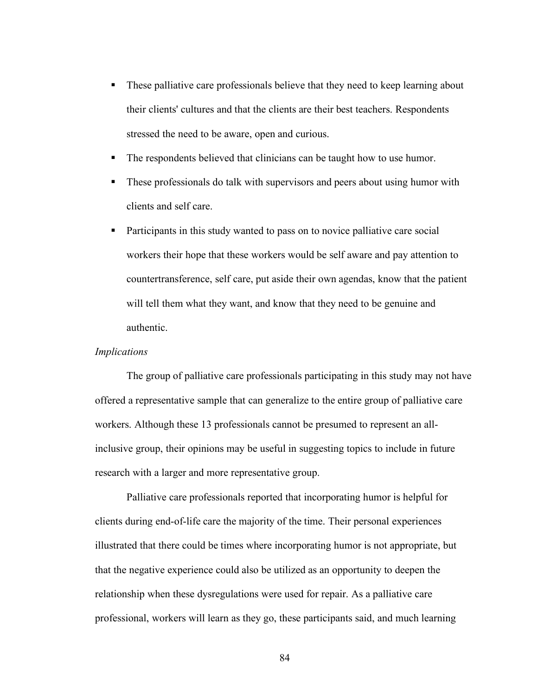- These palliative care professionals believe that they need to keep learning about their clients' cultures and that the clients are their best teachers. Respondents stressed the need to be aware, open and curious.
- The respondents believed that clinicians can be taught how to use humor.
- **These professionals do talk with supervisors and peers about using humor with** clients and self care.
- Participants in this study wanted to pass on to novice palliative care social workers their hope that these workers would be self aware and pay attention to countertransference, self care, put aside their own agendas, know that the patient will tell them what they want, and know that they need to be genuine and authentic.

# *Implications*

The group of palliative care professionals participating in this study may not have offered a representative sample that can generalize to the entire group of palliative care workers. Although these 13 professionals cannot be presumed to represent an allinclusive group, their opinions may be useful in suggesting topics to include in future research with a larger and more representative group.

Palliative care professionals reported that incorporating humor is helpful for clients during end-of-life care the majority of the time. Their personal experiences illustrated that there could be times where incorporating humor is not appropriate, but that the negative experience could also be utilized as an opportunity to deepen the relationship when these dysregulations were used for repair. As a palliative care professional, workers will learn as they go, these participants said, and much learning

84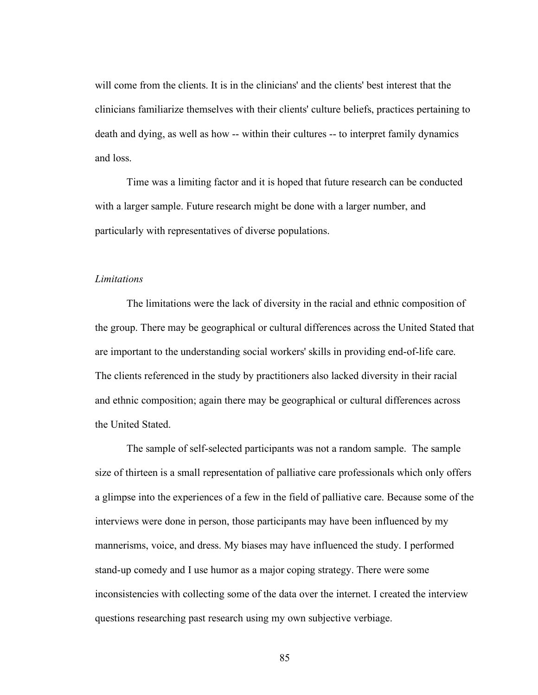will come from the clients. It is in the clinicians' and the clients' best interest that the clinicians familiarize themselves with their clients' culture beliefs, practices pertaining to death and dying, as well as how -- within their cultures -- to interpret family dynamics and loss.

Time was a limiting factor and it is hoped that future research can be conducted with a larger sample. Future research might be done with a larger number, and particularly with representatives of diverse populations.

#### *Limitations*

The limitations were the lack of diversity in the racial and ethnic composition of the group. There may be geographical or cultural differences across the United Stated that are important to the understanding social workers' skills in providing end-of-life care. The clients referenced in the study by practitioners also lacked diversity in their racial and ethnic composition; again there may be geographical or cultural differences across the United Stated.

The sample of self-selected participants was not a random sample. The sample size of thirteen is a small representation of palliative care professionals which only offers a glimpse into the experiences of a few in the field of palliative care. Because some of the interviews were done in person, those participants may have been influenced by my mannerisms, voice, and dress. My biases may have influenced the study. I performed stand-up comedy and I use humor as a major coping strategy. There were some inconsistencies with collecting some of the data over the internet. I created the interview questions researching past research using my own subjective verbiage.

85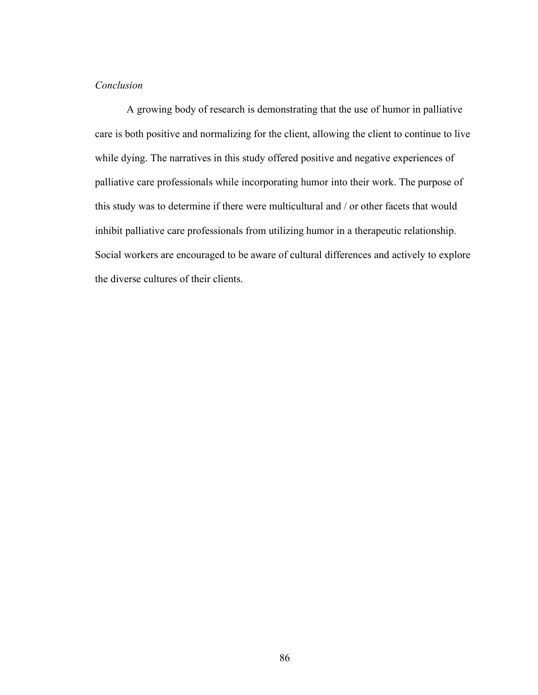# *Conclusion*

A growing body of research is demonstrating that the use of humor in palliative care is both positive and normalizing for the client, allowing the client to continue to live while dying. The narratives in this study offered positive and negative experiences of palliative care professionals while incorporating humor into their work. The purpose of this study was to determine if there were multicultural and / or other facets that would inhibit palliative care professionals from utilizing humor in a therapeutic relationship. Social workers are encouraged to be aware of cultural differences and actively to explore the diverse cultures of their clients.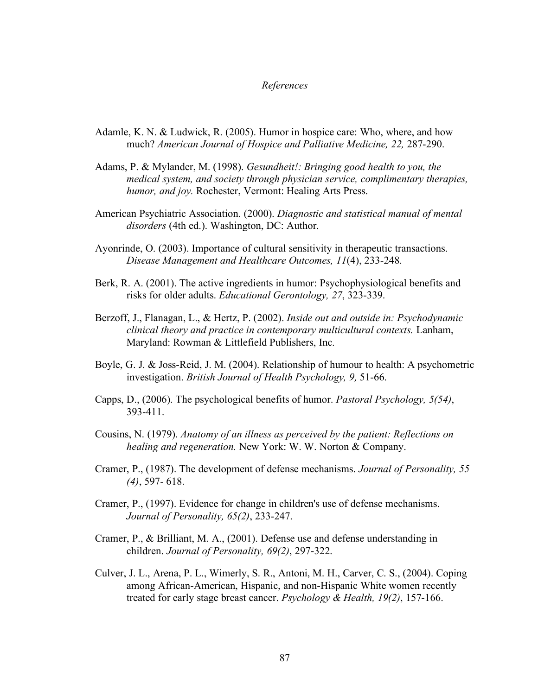#### *References*

- Adamle, K. N. & Ludwick, R. (2005). Humor in hospice care: Who, where, and how much? *American Journal of Hospice and Palliative Medicine, 22,* 287-290.
- Adams, P. & Mylander, M. (1998). *Gesundheit!: Bringing good health to you, the medical system, and society through physician service, complimentary therapies, humor, and joy.* Rochester, Vermont: Healing Arts Press.
- American Psychiatric Association. (2000). *Diagnostic and statistical manual of mental disorders* (4th ed.). Washington, DC: Author.
- Ayonrinde, O. (2003). Importance of cultural sensitivity in therapeutic transactions. *Disease Management and Healthcare Outcomes, 11*(4), 233-248.
- Berk, R. A. (2001). The active ingredients in humor: Psychophysiological benefits and risks for older adults. *Educational Gerontology, 27*, 323-339.
- Berzoff, J., Flanagan, L., & Hertz, P. (2002). *Inside out and outside in: Psychodynamic clinical theory and practice in contemporary multicultural contexts.* Lanham, Maryland: Rowman & Littlefield Publishers, Inc.
- Boyle, G. J. & Joss-Reid, J. M. (2004). Relationship of humour to health: A psychometric investigation. *British Journal of Health Psychology, 9,* 51-66.
- Capps, D., (2006). The psychological benefits of humor. *Pastoral Psychology, 5(54)*, 393-411.
- Cousins, N. (1979). *Anatomy of an illness as perceived by the patient: Reflections on healing and regeneration.* New York: W. W. Norton & Company.
- Cramer, P., (1987). The development of defense mechanisms. *Journal of Personality, 55 (4)*, 597- 618.
- Cramer, P., (1997). Evidence for change in children's use of defense mechanisms. *Journal of Personality, 65(2)*, 233-247.
- Cramer, P., & Brilliant, M. A., (2001). Defense use and defense understanding in children. *Journal of Personality, 69(2)*, 297-322.
- Culver, J. L., Arena, P. L., Wimerly, S. R., Antoni, M. H., Carver, C. S., (2004). Coping among African-American, Hispanic, and non-Hispanic White women recently treated for early stage breast cancer. *Psychology & Health, 19(2)*, 157-166.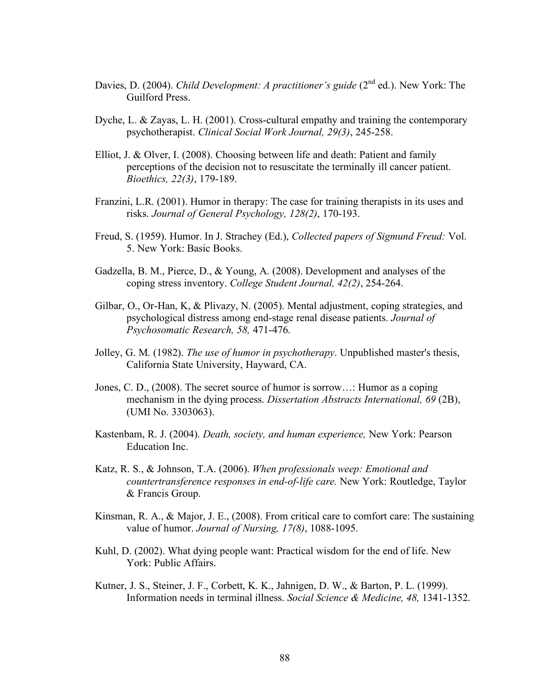- Davies, D. (2004). *Child Development: A practitioner's guide* (2<sup>nd</sup> ed.). New York: The Guilford Press.
- Dyche, L. & Zayas, L. H. (2001). Cross-cultural empathy and training the contemporary psychotherapist. *Clinical Social Work Journal, 29(3)*, 245-258.
- Elliot, J. & Olver, I. (2008). Choosing between life and death: Patient and family perceptions of the decision not to resuscitate the terminally ill cancer patient. *Bioethics, 22(3)*, 179-189.
- Franzini, L.R. (2001). Humor in therapy: The case for training therapists in its uses and risks. *Journal of General Psychology, 128(2)*, 170-193.
- Freud, S. (1959). Humor. In J. Strachey (Ed.), *Collected papers of Sigmund Freud:* Vol. 5. New York: Basic Books.
- Gadzella, B. M., Pierce, D., & Young, A. (2008). Development and analyses of the coping stress inventory. *College Student Journal, 42(2)*, 254-264.
- Gilbar, O., Or-Han, K, & Plivazy, N. (2005). Mental adjustment, coping strategies, and psychological distress among end-stage renal disease patients. *Journal of Psychosomatic Research, 58,* 471-476.
- Jolley, G. M. (1982). *The use of humor in psychotherapy*. Unpublished master's thesis, California State University, Hayward, CA.
- Jones, C. D., (2008). The secret source of humor is sorrow…: Humor as a coping mechanism in the dying process. *Dissertation Abstracts International, 69* (2B), (UMI No. 3303063).
- Kastenbam, R. J. (2004). *Death, society, and human experience,* New York: Pearson Education Inc.
- Katz, R. S., & Johnson, T.A. (2006). *When professionals weep: Emotional and countertransference responses in end-of-life care.* New York: Routledge, Taylor & Francis Group.
- Kinsman, R. A., & Major, J. E., (2008). From critical care to comfort care: The sustaining value of humor. *Journal of Nursing, 17(8)*, 1088-1095.
- Kuhl, D. (2002). What dying people want: Practical wisdom for the end of life. New York: Public Affairs.
- Kutner, J. S., Steiner, J. F., Corbett, K. K., Jahnigen, D. W., & Barton, P. L. (1999). Information needs in terminal illness. *Social Science & Medicine, 48,* 1341-1352.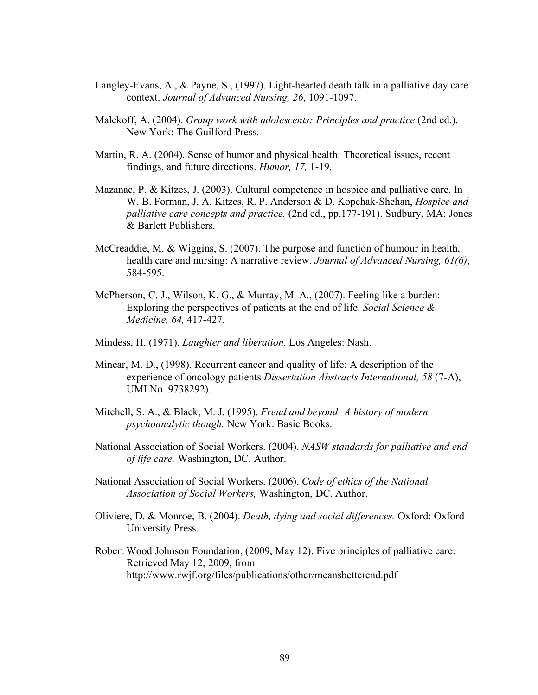- Langley-Evans, A., & Payne, S., (1997). Light-hearted death talk in a palliative day care context. *Journal of Advanced Nursing, 26*, 1091-1097.
- Malekoff, A. (2004). *Group work with adolescents: Principles and practice* (2nd ed.). New York: The Guilford Press.
- Martin, R. A. (2004). Sense of humor and physical health: Theoretical issues, recent findings, and future directions. *Humor, 17,* 1-19.
- Mazanac, P. & Kitzes, J. (2003). Cultural competence in hospice and palliative care. In W. B. Forman, J. A. Kitzes, R. P. Anderson & D. Kopchak-Shehan, *Hospice and palliative care concepts and practice.* (2nd ed., pp.177-191). Sudbury, MA: Jones & Barlett Publishers.
- McCreaddie, M. & Wiggins, S. (2007). The purpose and function of humour in health, health care and nursing: A narrative review. *Journal of Advanced Nursing, 61(6)*, 584-595.
- McPherson, C. J., Wilson, K. G., & Murray, M. A., (2007). Feeling like a burden: Exploring the perspectives of patients at the end of life. *Social Science & Medicine, 64,* 417-427.
- Mindess, H. (1971). *Laughter and liberation.* Los Angeles: Nash.
- Minear, M. D., (1998). Recurrent cancer and quality of life: A description of the experience of oncology patients *Dissertation Abstracts International, 58* (7-A), UMI No. 9738292).
- Mitchell, S. A., & Black, M. J. (1995). *Freud and beyond: A history of modern psychoanalytic though.* New York: Basic Books.
- National Association of Social Workers. (2004). *NASW standards for palliative and end of life care.* Washington, DC. Author.
- National Association of Social Workers. (2006). *Code of ethics of the National Association of Social Workers,* Washington, DC. Author.
- Oliviere, D. & Monroe, B. (2004). *Death, dying and social differences.* Oxford: Oxford University Press.
- Robert Wood Johnson Foundation, (2009, May 12). Five principles of palliative care. Retrieved May 12, 2009, from http://www.rwjf.org/files/publications/other/meansbetterend.pdf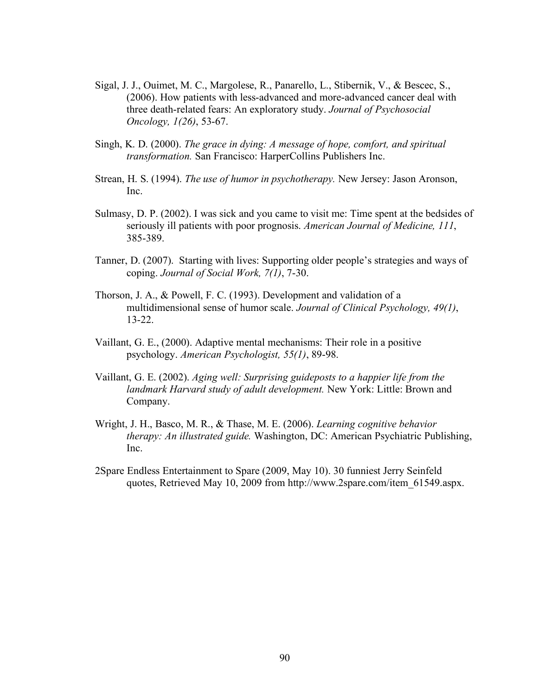- Sigal, J. J., Ouimet, M. C., Margolese, R., Panarello, L., Stibernik, V., & Bescec, S., (2006). How patients with less-advanced and more-advanced cancer deal with three death-related fears: An exploratory study. *Journal of Psychosocial Oncology, 1(26)*, 53-67.
- Singh, K. D. (2000). *The grace in dying: A message of hope, comfort, and spiritual transformation.* San Francisco: HarperCollins Publishers Inc.
- Strean, H. S. (1994). *The use of humor in psychotherapy.* New Jersey: Jason Aronson, Inc.
- Sulmasy, D. P. (2002). I was sick and you came to visit me: Time spent at the bedsides of seriously ill patients with poor prognosis. *American Journal of Medicine, 111*, 385-389.
- Tanner, D. (2007). Starting with lives: Supporting older people's strategies and ways of coping. *Journal of Social Work, 7(1)*, 7-30.
- Thorson, J. A., & Powell, F. C. (1993). Development and validation of a multidimensional sense of humor scale. *Journal of Clinical Psychology, 49(1)*, 13-22.
- Vaillant, G. E., (2000). Adaptive mental mechanisms: Their role in a positive psychology. *American Psychologist, 55(1)*, 89-98.
- Vaillant, G. E. (2002). *Aging well: Surprising guideposts to a happier life from the landmark Harvard study of adult development.* New York: Little: Brown and Company.
- Wright, J. H., Basco, M. R., & Thase, M. E. (2006). *Learning cognitive behavior therapy: An illustrated guide.* Washington, DC: American Psychiatric Publishing, Inc.
- 2Spare Endless Entertainment to Spare (2009, May 10). 30 funniest Jerry Seinfeld quotes, Retrieved May 10, 2009 from http://www.2spare.com/item\_61549.aspx.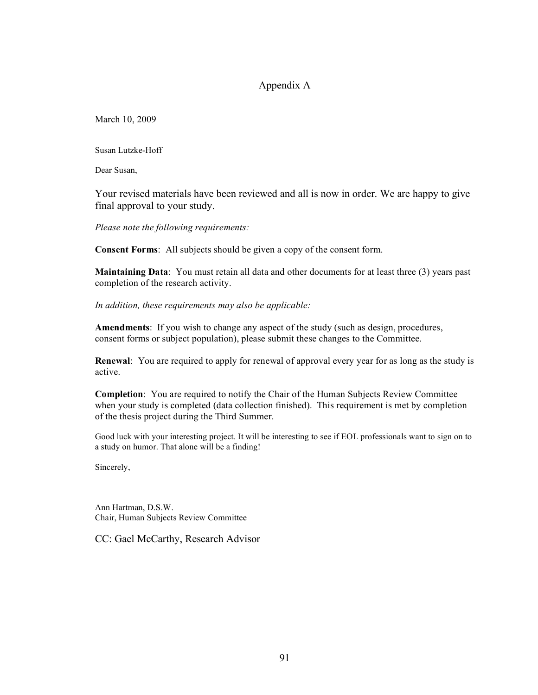# Appendix A

March 10, 2009

Susan Lutzke-Hoff

Dear Susan,

Your revised materials have been reviewed and all is now in order. We are happy to give final approval to your study.

*Please note the following requirements:*

**Consent Forms**: All subjects should be given a copy of the consent form.

**Maintaining Data**: You must retain all data and other documents for at least three (3) years past completion of the research activity.

*In addition, these requirements may also be applicable:*

**Amendments**: If you wish to change any aspect of the study (such as design, procedures, consent forms or subject population), please submit these changes to the Committee.

**Renewal**: You are required to apply for renewal of approval every year for as long as the study is active.

**Completion**: You are required to notify the Chair of the Human Subjects Review Committee when your study is completed (data collection finished). This requirement is met by completion of the thesis project during the Third Summer.

Good luck with your interesting project. It will be interesting to see if EOL professionals want to sign on to a study on humor. That alone will be a finding!

Sincerely,

Ann Hartman, D.S.W. Chair, Human Subjects Review Committee

CC: Gael McCarthy, Research Advisor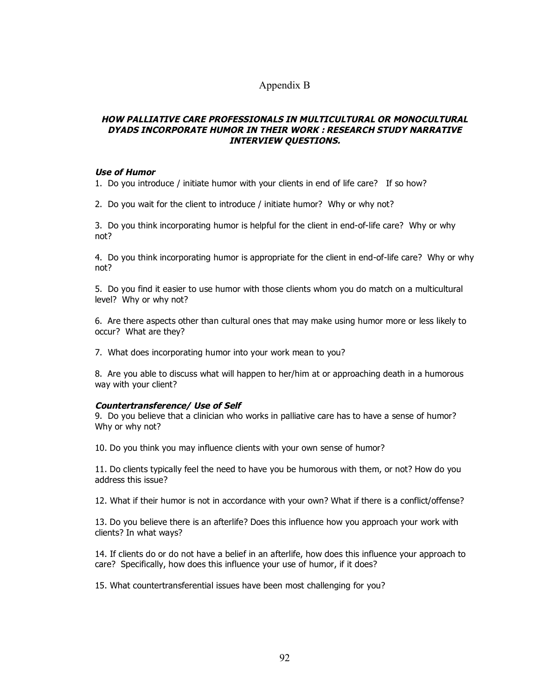# Appendix B

## **HOW PALLIATIVE CARE PROFESSIONALS IN MULTICULTURAL OR MONOCULTURAL DYADS INCORPORATE HUMOR IN THEIR WORK : RESEARCH STUDY NARRATIVE INTERVIEW QUESTIONS.**

#### **Use of Humor**

1. Do you introduce / initiate humor with your clients in end of life care? If so how?

2. Do you wait for the client to introduce / initiate humor? Why or why not?

3. Do you think incorporating humor is helpful for the client in end-of-life care? Why or why not?

4. Do you think incorporating humor is appropriate for the client in end-of-life care? Why or why not?

5. Do you find it easier to use humor with those clients whom you do match on a multicultural level? Why or why not?

6. Are there aspects other than cultural ones that may make using humor more or less likely to occur? What are they?

7. What does incorporating humor into your work mean to you?

8. Are you able to discuss what will happen to her/him at or approaching death in a humorous way with your client?

## **Countertransference/ Use of Self**

9. Do you believe that a clinician who works in palliative care has to have a sense of humor? Why or why not?

10. Do you think you may influence clients with your own sense of humor?

11. Do clients typically feel the need to have you be humorous with them, or not? How do you address this issue?

12. What if their humor is not in accordance with your own? What if there is a conflict/offense?

13. Do you believe there is an afterlife? Does this influence how you approach your work with clients? In what ways?

14. If clients do or do not have a belief in an afterlife, how does this influence your approach to care? Specifically, how does this influence your use of humor, if it does?

15. What countertransferential issues have been most challenging for you?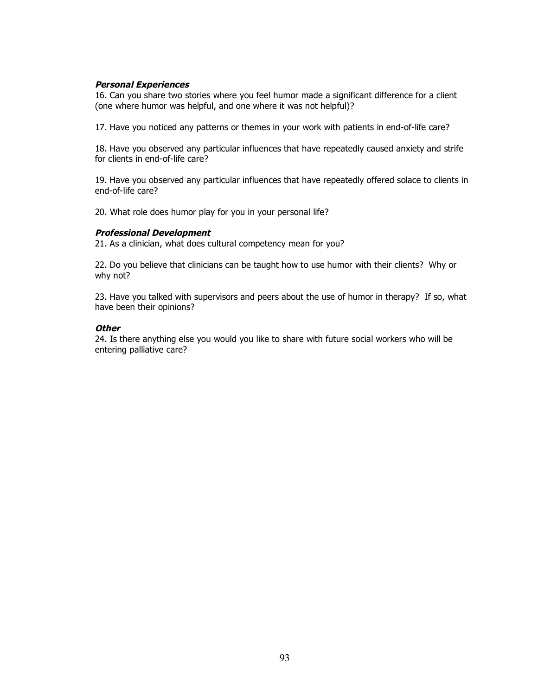#### **Personal Experiences**

16. Can you share two stories where you feel humor made a significant difference for a client (one where humor was helpful, and one where it was not helpful)?

17. Have you noticed any patterns or themes in your work with patients in end-of-life care?

18. Have you observed any particular influences that have repeatedly caused anxiety and strife for clients in end-of-life care?

19. Have you observed any particular influences that have repeatedly offered solace to clients in end-of-life care?

20. What role does humor play for you in your personal life?

#### **Professional Development**

21. As a clinician, what does cultural competency mean for you?

22. Do you believe that clinicians can be taught how to use humor with their clients? Why or why not?

23. Have you talked with supervisors and peers about the use of humor in therapy? If so, what have been their opinions?

#### **Other**

24. Is there anything else you would you like to share with future social workers who will be entering palliative care?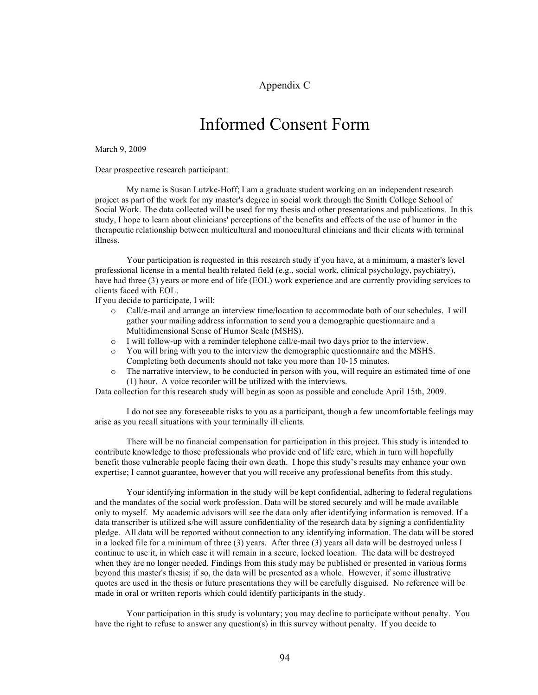Appendix C

# Informed Consent Form

March 9, 2009

Dear prospective research participant:

My name is Susan Lutzke-Hoff; I am a graduate student working on an independent research project as part of the work for my master's degree in social work through the Smith College School of Social Work. The data collected will be used for my thesis and other presentations and publications. In this study, I hope to learn about clinicians' perceptions of the benefits and effects of the use of humor in the therapeutic relationship between multicultural and monocultural clinicians and their clients with terminal illness.

Your participation is requested in this research study if you have, at a minimum, a master's level professional license in a mental health related field (e.g., social work, clinical psychology, psychiatry), have had three (3) years or more end of life (EOL) work experience and are currently providing services to clients faced with EOL.

If you decide to participate, I will:

- o Call/e-mail and arrange an interview time/location to accommodate both of our schedules. I will gather your mailing address information to send you a demographic questionnaire and a Multidimensional Sense of Humor Scale (MSHS).
- $\circ$  I will follow-up with a reminder telephone call/e-mail two days prior to the interview.
- o You will bring with you to the interview the demographic questionnaire and the MSHS. Completing both documents should not take you more than 10-15 minutes.
- o The narrative interview, to be conducted in person with you, will require an estimated time of one (1) hour. A voice recorder will be utilized with the interviews.

Data collection for this research study will begin as soon as possible and conclude April 15th, 2009.

I do not see any foreseeable risks to you as a participant, though a few uncomfortable feelings may arise as you recall situations with your terminally ill clients.

There will be no financial compensation for participation in this project. This study is intended to contribute knowledge to those professionals who provide end of life care, which in turn will hopefully benefit those vulnerable people facing their own death. I hope this study's results may enhance your own expertise; I cannot guarantee, however that you will receive any professional benefits from this study.

Your identifying information in the study will be kept confidential, adhering to federal regulations and the mandates of the social work profession. Data will be stored securely and will be made available only to myself. My academic advisors will see the data only after identifying information is removed. If a data transcriber is utilized s/he will assure confidentiality of the research data by signing a confidentiality pledge. All data will be reported without connection to any identifying information. The data will be stored in a locked file for a minimum of three (3) years. After three (3) years all data will be destroyed unless I continue to use it, in which case it will remain in a secure, locked location. The data will be destroyed when they are no longer needed. Findings from this study may be published or presented in various forms beyond this master's thesis; if so, the data will be presented as a whole. However, if some illustrative quotes are used in the thesis or future presentations they will be carefully disguised. No reference will be made in oral or written reports which could identify participants in the study.

Your participation in this study is voluntary; you may decline to participate without penalty. You have the right to refuse to answer any question(s) in this survey without penalty. If you decide to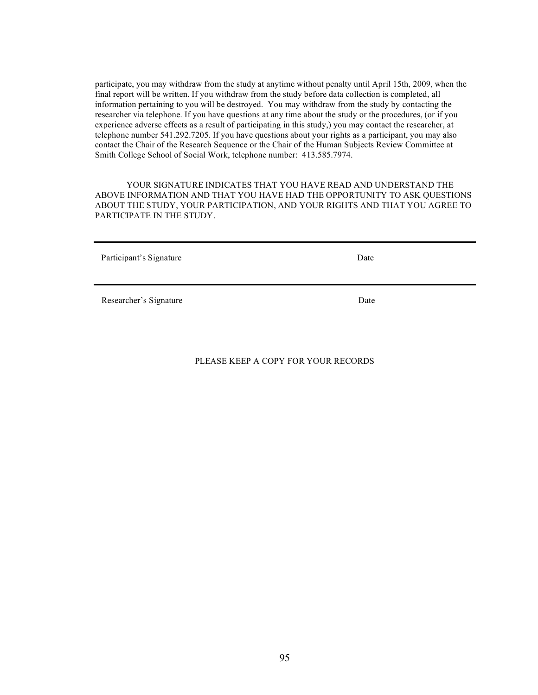participate, you may withdraw from the study at anytime without penalty until April 15th, 2009, when the final report will be written. If you withdraw from the study before data collection is completed, all information pertaining to you will be destroyed. You may withdraw from the study by contacting the researcher via telephone. If you have questions at any time about the study or the procedures, (or if you experience adverse effects as a result of participating in this study,) you may contact the researcher, at telephone number 541.292.7205. If you have questions about your rights as a participant, you may also contact the Chair of the Research Sequence or the Chair of the Human Subjects Review Committee at Smith College School of Social Work, telephone number: 413.585.7974.

YOUR SIGNATURE INDICATES THAT YOU HAVE READ AND UNDERSTAND THE ABOVE INFORMATION AND THAT YOU HAVE HAD THE OPPORTUNITY TO ASK QUESTIONS ABOUT THE STUDY, YOUR PARTICIPATION, AND YOUR RIGHTS AND THAT YOU AGREE TO PARTICIPATE IN THE STUDY.

Participant's Signature Date

Researcher's Signature Date

PLEASE KEEP A COPY FOR YOUR RECORDS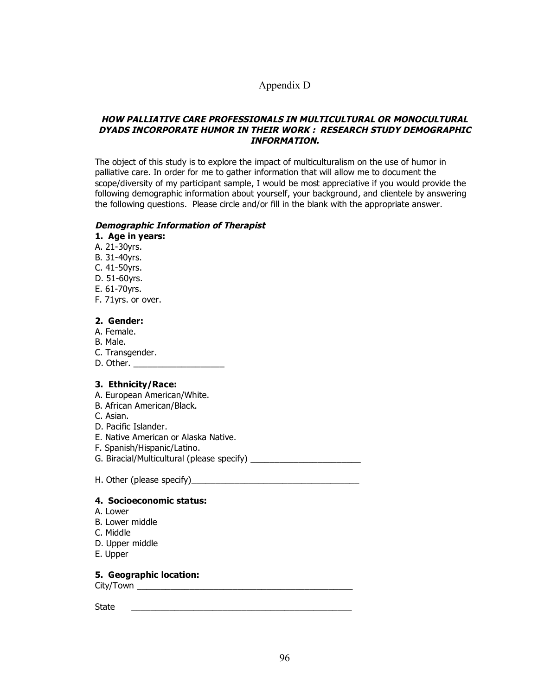# Appendix D

#### **HOW PALLIATIVE CARE PROFESSIONALS IN MULTICULTURAL OR MONOCULTURAL DYADS INCORPORATE HUMOR IN THEIR WORK : RESEARCH STUDY DEMOGRAPHIC INFORMATION.**

The object of this study is to explore the impact of multiculturalism on the use of humor in palliative care. In order for me to gather information that will allow me to document the scope/diversity of my participant sample, I would be most appreciative if you would provide the following demographic information about yourself, your background, and clientele by answering the following questions. Please circle and/or fill in the blank with the appropriate answer.

#### **Demographic Information of Therapist**

#### **1. Age in years:**

- A. 21-30yrs.
- B. 31-40yrs.
- C. 41-50yrs.
- D. 51-60yrs.
- E. 61-70yrs.
- F. 71yrs. or over.

#### **2. Gender:**

- A. Female.
- B. Male.
- C. Transgender.
- D. Other. \_\_\_\_\_\_\_\_\_\_\_\_\_\_\_\_\_\_\_

#### **3. Ethnicity/Race:**

- A. European American/White.
- B. African American/Black.
- C. Asian.
- D. Pacific Islander.
- E. Native American or Alaska Native.
- F. Spanish/Hispanic/Latino.
- G. Biracial/Multicultural (please specify) \_\_\_\_\_\_\_\_\_\_\_\_\_\_\_\_\_\_\_\_\_\_\_
- H. Other (please specify)\_\_\_\_\_\_\_\_\_\_\_\_\_\_\_\_\_\_\_\_\_\_\_\_\_\_\_\_\_\_\_\_\_\_\_

#### **4. Socioeconomic status:**

- A. Lower
- B. Lower middle
- C. Middle
- D. Upper middle
- E. Upper

## **5. Geographic location:**

City/Town \_\_\_\_\_\_\_\_\_\_\_\_\_\_\_\_\_\_\_\_\_\_\_\_\_\_\_\_\_\_\_\_\_\_\_\_\_\_\_\_\_\_\_\_\_

State \_\_\_\_\_\_\_\_\_\_\_\_\_\_\_\_\_\_\_\_\_\_\_\_\_\_\_\_\_\_\_\_\_\_\_\_\_\_\_\_\_\_\_\_\_\_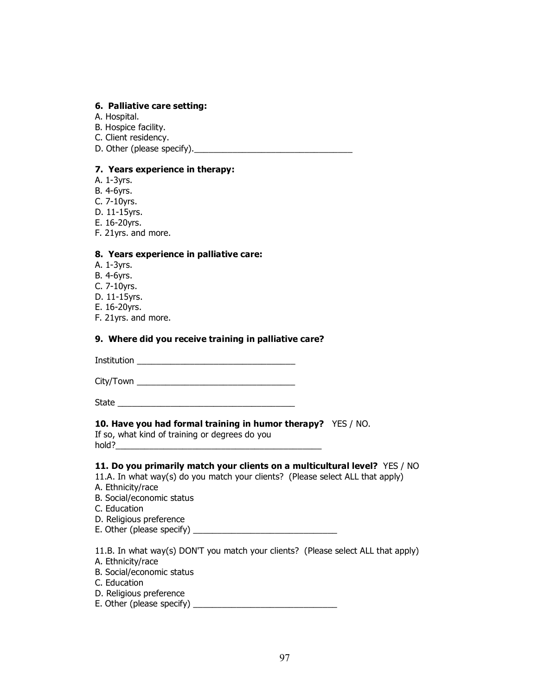#### **6. Palliative care setting:**

- A. Hospital.
- B. Hospice facility.
- C. Client residency.
- D. Other (please specify).\_\_\_\_\_\_\_\_\_\_\_\_\_\_\_\_\_\_\_\_\_\_\_\_\_\_\_\_\_\_\_\_\_

## **7. Years experience in therapy:**

- A. 1-3yrs.
- B. 4-6yrs.
- C. 7-10yrs.
- D. 11-15yrs.
- E. 16-20yrs.
- F. 21yrs. and more.

#### **8. Years experience in palliative care:**

- A. 1-3yrs.
- B. 4-6yrs.
- C. 7-10yrs.
- D. 11-15yrs.
- E. 16-20yrs.
- F. 21yrs. and more.

#### **9. Where did you receive training in palliative care?**

Institution \_\_\_\_\_\_\_\_\_\_\_\_\_\_\_\_\_\_\_\_\_\_\_\_\_\_\_\_\_\_\_\_\_

City/Town \_\_\_\_\_\_\_\_\_\_\_\_\_\_\_\_\_\_\_\_\_\_\_\_\_\_\_\_\_\_\_\_\_

State  $\Box$ 

## **10. Have you had formal training in humor therapy?** YES / NO.

If so, what kind of training or degrees do you hold?

#### **11. Do you primarily match your clients on a multicultural level?** YES / NO

11.A. In what way(s) do you match your clients? (Please select ALL that apply)

- A. Ethnicity/race
- B. Social/economic status
- C. Education
- D. Religious preference
- E. Other (please specify) \_\_\_\_\_\_\_\_\_\_\_\_\_\_\_\_\_\_\_\_\_\_\_\_\_\_\_\_\_\_

11.B. In what way(s) DON'T you match your clients? (Please select ALL that apply)

- A. Ethnicity/race
- B. Social/economic status
- C. Education
- D. Religious preference
- E. Other (please specify) \_\_\_\_\_\_\_\_\_\_\_\_\_\_\_\_\_\_\_\_\_\_\_\_\_\_\_\_\_\_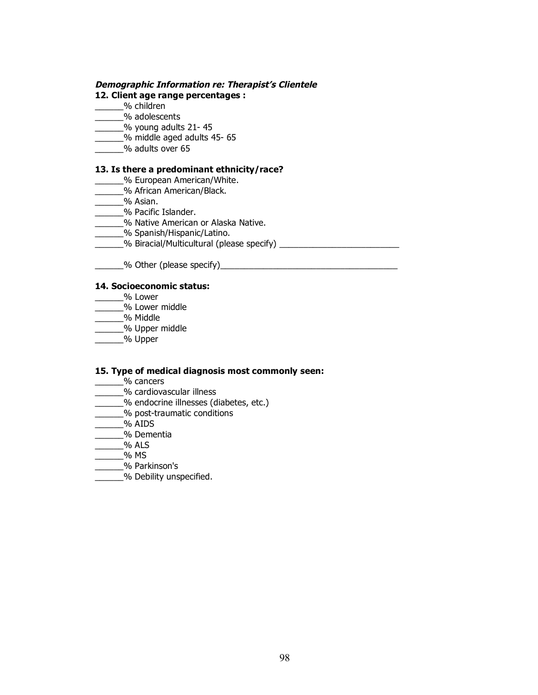## **Demographic Information re: Therapist's Clientele**

#### **12. Client age range percentages :**

- \_\_\_\_\_\_% children
- \_\_\_\_\_\_% adolescents
- \_\_\_\_\_\_% young adults 21- 45
- \_\_\_\_\_\_% middle aged adults 45- 65
- \_\_\_\_\_\_% adults over 65

## **13. Is there a predominant ethnicity/race?**

- \_\_\_\_\_\_% European American/White.
- \_\_\_\_\_\_% African American/Black.
- \_\_\_\_\_\_% Asian.
- \_\_\_\_\_\_% Pacific Islander.
- \_\_\_\_\_\_% Native American or Alaska Native.
- \_\_\_\_\_\_% Spanish/Hispanic/Latino.
- \_\_\_\_\_\_% Biracial/Multicultural (please specify) \_\_\_\_\_\_\_\_\_\_\_\_\_\_\_\_\_\_\_\_\_\_\_\_\_
- \_\_\_\_\_\_% Other (please specify)\_\_\_\_\_\_\_\_\_\_\_\_\_\_\_\_\_\_\_\_\_\_\_\_\_\_\_\_\_\_\_\_\_\_\_\_\_

#### **14. Socioeconomic status:**

- \_\_\_\_\_\_% Lower
- \_\_\_\_\_\_% Lower middle
- \_\_\_\_\_\_% Middle
- \_\_\_\_\_\_% Upper middle
- $\overline{\phantom{a}}$ % Upper

#### **15. Type of medical diagnosis most commonly seen:**

- \_\_\_\_\_\_% cancers
- \_\_\_\_\_\_% cardiovascular illness
- \_\_\_\_\_\_% endocrine illnesses (diabetes, etc.)
- **wide the U** ost-traumatic conditions
- \_\_\_\_\_\_% AIDS
- \_\_\_\_\_\_% Dementia
- $\overline{\phantom{a}}$ % ALS
- \_\_\_\_\_\_% MS
- \_\_\_\_\_\_% Parkinson's
- **Example 26 Debility unspecified.**